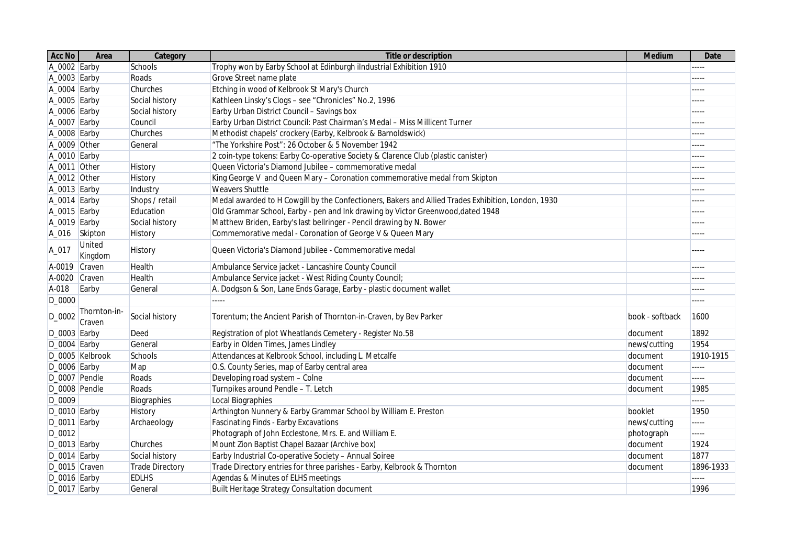| Acc No           | Area                     | Category        | <b>Title or description</b>                                                                        | <b>Medium</b>   | <b>Date</b> |
|------------------|--------------------------|-----------------|----------------------------------------------------------------------------------------------------|-----------------|-------------|
| A_0002 Earby     |                          | Schools         | Trophy won by Earby School at Edinburgh iIndustrial Exhibition 1910                                |                 | -----       |
| $A_0003$ Earby   |                          | Roads           | Grove Street name plate                                                                            |                 | $-----$     |
| A_0004 Earby     |                          | Churches        | Etching in wood of Kelbrook St Mary's Church                                                       |                 | $---$       |
| A_0005 Earby     |                          | Social history  | Kathleen Linsky's Clogs - see "Chronicles" No.2, 1996                                              |                 | $- - - - -$ |
| A_0006 Earby     |                          | Social history  | Earby Urban District Council - Savings box                                                         |                 | -----       |
| A_0007 Earby     |                          | Council         | Earby Urban District Council: Past Chairman's Medal - Miss Millicent Turner                        |                 | $- - - - -$ |
| A_0008 Earby     |                          | Churches        | Methodist chapels' crockery (Earby, Kelbrook & Barnoldswick)                                       |                 | -----       |
| A_0009 Other     |                          | General         | "The Yorkshire Post": 26 October & 5 November 1942                                                 |                 | $- - - - -$ |
| A_0010 Earby     |                          |                 | 2 coin-type tokens: Earby Co-operative Society & Clarence Club (plastic canister)                  |                 | $---$       |
| A_0011 Other     |                          | <b>History</b>  | Queen Victoria's Diamond Jubilee - commemorative medal                                             |                 | $- - - - -$ |
| A_0012 Other     |                          | History         | King George V and Queen Mary - Coronation commemorative medal from Skipton                         |                 | $- - - - -$ |
| A_0013 Earby     |                          | Industry        | <b>Weavers Shuttle</b>                                                                             |                 | $- - - - -$ |
| $A_0014$ Earby   |                          | Shops / retail  | Medal awarded to H Cowgill by the Confectioners, Bakers and Allied Trades Exhibition, London, 1930 |                 | $-----$     |
| $A_0015$ Earby   |                          | Education       | Old Grammar School, Earby - pen and Ink drawing by Victor Greenwood, dated 1948                    |                 | -----       |
| A_0019 Earby     |                          | Social history  | Matthew Briden, Earby's last bellringer - Pencil drawing by N. Bower                               |                 | -----       |
| A_016            | Skipton                  | History         | Commemorative medal - Coronation of George V & Queen Mary                                          |                 | -----       |
| A_017            | <b>United</b><br>Kingdom | History         | Queen Victoria's Diamond Jubilee - Commemorative medal                                             |                 | $- - - - -$ |
| A-0019 Craven    |                          | Health          | Ambulance Service jacket - Lancashire County Council                                               |                 | $- - - - -$ |
| A-0020 Craven    |                          | Health          | Ambulance Service jacket - West Riding County Council;                                             |                 | -----       |
| A-018            | Earby                    | General         | A. Dodgson & Son, Lane Ends Garage, Earby - plastic document wallet                                |                 | -----       |
| D_0000           |                          |                 | $\cdots$                                                                                           |                 |             |
| D_0002           | Thornton-in-<br>Craven   | Social history  | Torentum; the Ancient Parish of Thornton-in-Craven, by Bev Parker                                  | book - softback | 1600        |
| $D_0$ 0003 Earby |                          | Deed            | Registration of plot Wheatlands Cemetery - Register No.58                                          | document        | 1892        |
| $D_0004$ Earby   |                          | General         | Earby in Olden Times, James Lindley                                                                | news/cutting    | 1954        |
|                  | D_0005 Kelbrook          | Schools         | Attendances at Kelbrook School, including L. Metcalfe                                              | document        | 1910-1915   |
| $D_0006$ Earby   |                          | Map             | O.S. County Series, map of Earby central area                                                      | document        | -----       |
| D_0007 Pendle    |                          | Roads           | Developing road system - Colne                                                                     | document        | $\cdots$    |
| D_0008 Pendle    |                          | Roads           | Turnpikes around Pendle - T. Letch                                                                 | document        | 1985        |
| D_0009           |                          | Biographies     | Local Biographies                                                                                  |                 | -----       |
| D_0010 Earby     |                          | History         | Arthington Nunnery & Earby Grammar School by William E. Preston                                    | booklet         | 1950        |
| $D_0$ 0011 Earby |                          | Archaeology     | <b>Fascinating Finds - Earby Excavations</b>                                                       | news/cutting    | 11111       |
| D_0012           |                          |                 | Photograph of John Ecclestone, Mrs. E. and William E.                                              | photograph      | $\cdots$    |
| $D_0013$ Earby   |                          | Churches        | Mount Zion Baptist Chapel Bazaar (Archive box)                                                     | document        | 1924        |
| $D_0014$ Earby   |                          | Social history  | Earby Industrial Co-operative Society - Annual Soiree                                              | document        | 1877        |
| D_0015 Craven    |                          | Trade Directory | Trade Directory entries for three parishes - Earby, Kelbrook & Thornton                            | document        | 1896-1933   |
| D_0016 Earby     |                          | <b>EDLHS</b>    | Agendas & Minutes of ELHS meetings                                                                 |                 | 11111       |
| $D_0017$ Earby   |                          | General         | Built Heritage Strategy Consultation document                                                      |                 | 1996        |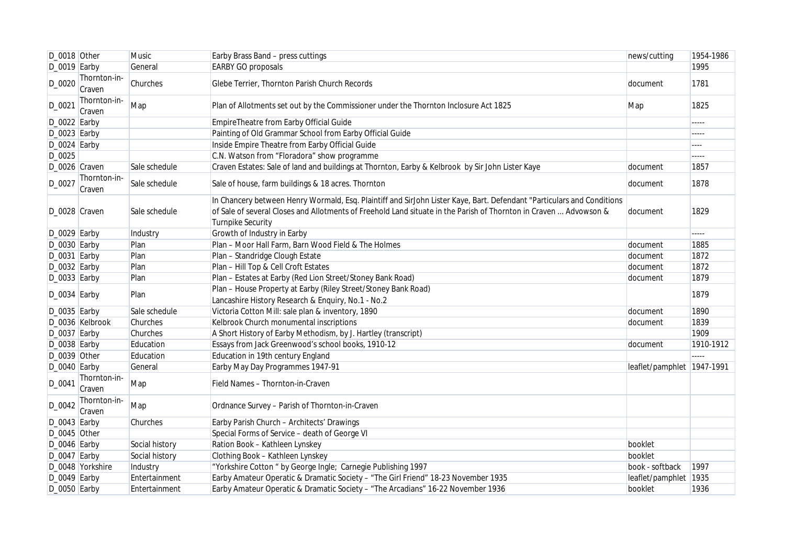| D_0018 Other   |                        | <b>Music</b>   | Earby Brass Band - press cuttings                                                                                                                                                                                                                                       | news/cutting               | 1954-1986 |
|----------------|------------------------|----------------|-------------------------------------------------------------------------------------------------------------------------------------------------------------------------------------------------------------------------------------------------------------------------|----------------------------|-----------|
| D_0019 Earby   |                        | General        | <b>EARBY GO proposals</b>                                                                                                                                                                                                                                               |                            | 1995      |
| D_0020         | Thornton-in-<br>Craven | Churches       | Glebe Terrier, Thornton Parish Church Records                                                                                                                                                                                                                           | document                   | 1781      |
| D_0021         | Thornton-in-<br>Craven | Map            | Plan of Allotments set out by the Commissioner under the Thornton Inclosure Act 1825                                                                                                                                                                                    | Map                        | 1825      |
| D_0022 Earby   |                        |                | EmpireTheatre from Earby Official Guide                                                                                                                                                                                                                                 |                            | -----     |
| $D_0023$ Earby |                        |                | Painting of Old Grammar School from Earby Official Guide                                                                                                                                                                                                                |                            | -----     |
| D_0024 Earby   |                        |                | Inside Empire Theatre from Earby Official Guide                                                                                                                                                                                                                         |                            | ----      |
| D_0025         |                        |                | C.N. Watson from "Floradora" show programme                                                                                                                                                                                                                             |                            | $\cdots$  |
| D_0026 Craven  |                        | Sale schedule  | Craven Estates: Sale of land and buildings at Thornton, Earby & Kelbrook by Sir John Lister Kaye                                                                                                                                                                        | document                   | 1857      |
| D_0027         | Thornton-in-<br>Craven | Sale schedule  | Sale of house, farm buildings & 18 acres. Thornton                                                                                                                                                                                                                      | document                   | 1878      |
| D_0028 Craven  |                        | Sale schedule  | In Chancery between Henry Wormald, Esq. Plaintiff and SirJohn Lister Kaye, Bart. Defendant "Particulars and Conditions<br>of Sale of several Closes and Allotments of Freehold Land situate in the Parish of Thornton in Craven  Advowson &<br><b>Turnpike Security</b> | document                   | 1829      |
| D_0029 Earby   |                        | Industry       | Growth of Industry in Earby                                                                                                                                                                                                                                             |                            | -----     |
| D_0030 Earby   |                        | Plan           | Plan - Moor Hall Farm, Barn Wood Field & The Holmes                                                                                                                                                                                                                     | document                   | 1885      |
| D_0031 Earby   |                        | Plan           | Plan - Standridge Clough Estate                                                                                                                                                                                                                                         | document                   | 1872      |
| D_0032 Earby   |                        | Plan           | Plan - Hill Top & Cell Croft Estates                                                                                                                                                                                                                                    | document                   | 1872      |
| $D_0033$ Earby |                        | Plan           | Plan - Estates at Earby (Red Lion Street/Stoney Bank Road)                                                                                                                                                                                                              | document                   | 1879      |
| $D_0034$ Earby |                        | Plan           | Plan - House Property at Earby (Riley Street/Stoney Bank Road)<br>Lancashire History Research & Enquiry, No.1 - No.2                                                                                                                                                    |                            | 1879      |
| D_0035 Earby   |                        | Sale schedule  | Victoria Cotton Mill: sale plan & inventory, 1890                                                                                                                                                                                                                       | document                   | 1890      |
|                | D_0036 Kelbrook        | Churches       | Kelbrook Church monumental inscriptions                                                                                                                                                                                                                                 | document                   | 1839      |
| $D_0037$ Earby |                        | Churches       | A Short History of Earby Methodism, by J. Hartley (transcript)                                                                                                                                                                                                          |                            | 1909      |
| D_0038 Earby   |                        | Education      | Essays from Jack Greenwood's school books, 1910-12                                                                                                                                                                                                                      | document                   | 1910-1912 |
| D_0039 Other   |                        | Education      | Education in 19th century England                                                                                                                                                                                                                                       |                            | 112222    |
| D_0040 Earby   |                        | General        | Earby May Day Programmes 1947-91                                                                                                                                                                                                                                        | leaflet/pamphlet 1947-1991 |           |
| D_0041         | Thornton-in-<br>Craven | Map            | Field Names - Thornton-in-Craven                                                                                                                                                                                                                                        |                            |           |
| D_0042         | Thornton-in-<br>Craven | Map            | Ordnance Survey - Parish of Thornton-in-Craven                                                                                                                                                                                                                          |                            |           |
| D_0043 Earby   |                        | Churches       | Earby Parish Church - Architects' Drawings                                                                                                                                                                                                                              |                            |           |
| D_0045 Other   |                        |                | Special Forms of Service - death of George VI                                                                                                                                                                                                                           |                            |           |
| D_0046 Earby   |                        | Social history | Ration Book - Kathleen Lynskey                                                                                                                                                                                                                                          | booklet                    |           |
| $D_0047$ Earby |                        | Social history | Clothing Book - Kathleen Lynskey                                                                                                                                                                                                                                        | booklet                    |           |
|                | D_0048 Yorkshire       | Industry       | "Yorkshire Cotton " by George Ingle; Carnegie Publishing 1997                                                                                                                                                                                                           | book - softback            | 1997      |
| $D_0049$ Earby |                        | Entertainment  | Earby Amateur Operatic & Dramatic Society - "The Girl Friend" 18-23 November 1935                                                                                                                                                                                       | leaflet/pamphlet 1935      |           |
| D_0050 Earby   |                        | Entertainment  | Earby Amateur Operatic & Dramatic Society - "The Arcadians" 16-22 November 1936                                                                                                                                                                                         | booklet                    | 1936      |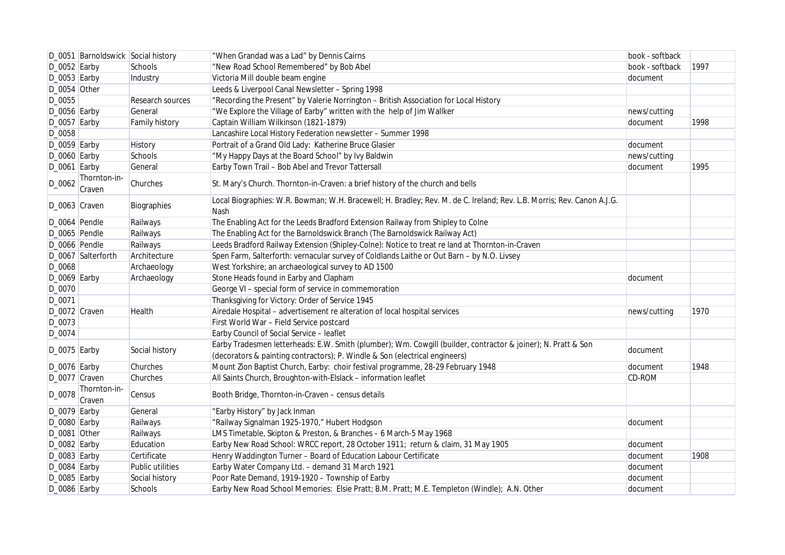|                  | D_0051 Barnoldswick Social history |                  | "When Grandad was a Lad" by Dennis Cairns                                                                                                                                                    | book - softback |      |
|------------------|------------------------------------|------------------|----------------------------------------------------------------------------------------------------------------------------------------------------------------------------------------------|-----------------|------|
| $D_0052$ Earby   |                                    | Schools          | "New Road School Remembered" by Bob Abel                                                                                                                                                     | book - softback | 1997 |
| $D_0053$ Earby   |                                    | Industry         | Victoria Mill double beam engine                                                                                                                                                             | document        |      |
| D_0054 Other     |                                    |                  | Leeds & Liverpool Canal Newsletter - Spring 1998                                                                                                                                             |                 |      |
| D_0055           |                                    | Research sources | "Recording the Present" by Valerie Norrington - British Association for Local History                                                                                                        |                 |      |
| $D_0056$ Earby   |                                    | General          | "We Explore the Village of Earby" written with the help of Jim Wallker                                                                                                                       | news/cutting    |      |
| $D_0057$ Earby   |                                    | Family history   | Captain William Wilkinson (1821-1879)                                                                                                                                                        | document        | 1998 |
| D_0058           |                                    |                  | Lancashire Local History Federation newsletter - Summer 1998                                                                                                                                 |                 |      |
| $D_0059$ Earby   |                                    | <b>History</b>   | Portrait of a Grand Old Lady: Katherine Bruce Glasier                                                                                                                                        | document        |      |
| $D_0$ 0060 Earby |                                    | Schools          | "My Happy Days at the Board School" by Ivy Baldwin                                                                                                                                           | news/cutting    |      |
| $D_0061$ Earby   |                                    | General          | Earby Town Trail - Bob Abel and Trevor Tattersall                                                                                                                                            | document        | 1995 |
| D_0062           | Thornton-in-<br>Craven             | Churches         | St. Mary's Church. Thornton-in-Craven: a brief history of the church and bells                                                                                                               |                 |      |
| D_0063 Craven    |                                    | Biographies      | Local Biographies: W.R. Bowman; W.H. Bracewell; H. Bradley; Rev. M. de C. Ireland; Rev. L.B. Morris; Rev. Canon A.J.G.<br>Nash                                                               |                 |      |
| D_0064 Pendle    |                                    | Railways         | The Enabling Act for the Leeds Bradford Extension Railway from Shipley to Colne                                                                                                              |                 |      |
| D_0065 Pendle    |                                    | Railways         | The Enabling Act for the Barnoldswick Branch (The Barnoldswick Railway Act)                                                                                                                  |                 |      |
| D_0066 Pendle    |                                    | Railways         | Leeds Bradford Railway Extension (Shipley-Colne): Notice to treat re land at Thornton-in-Craven                                                                                              |                 |      |
|                  | D_0067 Salterforth                 | Architecture     | Spen Farm, Salterforth: vernacular survey of Coldlands Laithe or Out Barn - by N.O. Livsey                                                                                                   |                 |      |
| D_0068           |                                    | Archaeology      | West Yorkshire; an archaeological survey to AD 1500                                                                                                                                          |                 |      |
| $D_0069$ Earby   |                                    | Archaeology      | Stone Heads found in Earby and Clapham                                                                                                                                                       | document        |      |
| $D_0070$         |                                    |                  | George VI - special form of service in commemoration                                                                                                                                         |                 |      |
| D_0071           |                                    |                  | Thanksgiving for Victory: Order of Service 1945                                                                                                                                              |                 |      |
| D_0072 Craven    |                                    | Health           | Airedale Hospital - advertisement re alteration of local hospital services                                                                                                                   | news/cutting    | 1970 |
| D_0073           |                                    |                  | First World War - Field Service postcard                                                                                                                                                     |                 |      |
| D_0074           |                                    |                  | Earby Council of Social Service - leaflet                                                                                                                                                    |                 |      |
| $D_0075$ Earby   |                                    | Social history   | Earby Tradesmen letterheads: E.W. Smith (plumber); Wm. Cowgill (builder, contractor & joiner); N. Pratt & Son<br>(decorators & painting contractors); P. Windle & Son (electrical engineers) | document        |      |
| D_0076 Earby     |                                    | Churches         | Mount Zion Baptist Church, Earby: choir festival programme, 28-29 February 1948                                                                                                              | document        | 1948 |
| D_0077 Craven    |                                    | Churches         | All Saints Church, Broughton-with-Elslack - information leaflet                                                                                                                              | <b>CD-ROM</b>   |      |
| D_0078           | Thornton-in-<br>Craven             | Census           | Booth Bridge, Thornton-in-Craven - census details                                                                                                                                            |                 |      |
| $D_0079$ Earby   |                                    | General          | "Earby History" by Jack Inman                                                                                                                                                                |                 |      |
| $D_0$ 0080 Earby |                                    | Railways         | "Railway Signalman 1925-1970," Hubert Hodgson                                                                                                                                                | document        |      |
| D_0081 Other     |                                    | Railways         | LMS Timetable, Skipton & Preston, & Branches - 6 March-5 May 1968                                                                                                                            |                 |      |
| D_0082 Earby     |                                    | Education        | Earby New Road School: WRCC report, 28 October 1911; return & claim, 31 May 1905                                                                                                             | document        |      |
| $D_0083$ Earby   |                                    | Certificate      | Henry Waddington Turner - Board of Education Labour Certificate                                                                                                                              | document        | 1908 |
| $D_0084$ Earby   |                                    | Public utilities | Earby Water Company Ltd. - demand 31 March 1921                                                                                                                                              | document        |      |
| $D_0085$ Earby   |                                    | Social history   | Poor Rate Demand, 1919-1920 - Township of Earby                                                                                                                                              | document        |      |
| D_0086 Earby     |                                    | Schools          | Earby New Road School Memories: Elsie Pratt; B.M. Pratt; M.E. Templeton (Windle); A.N. Other                                                                                                 | document        |      |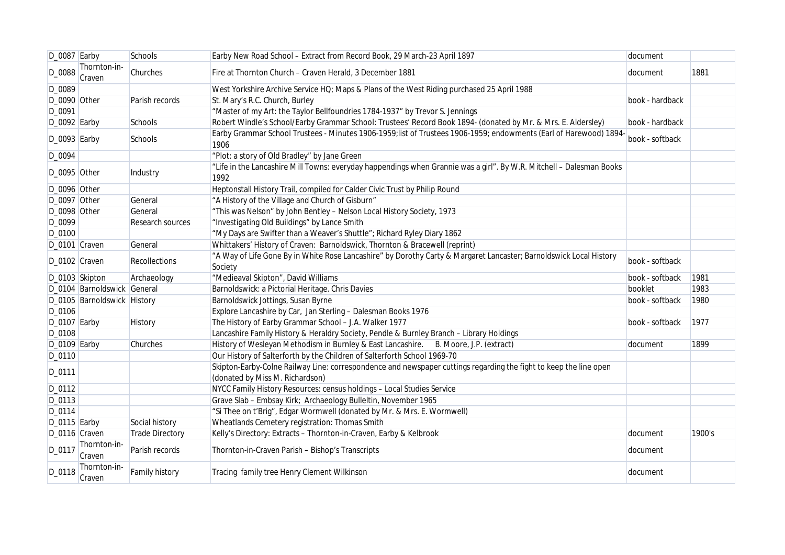| D_0087 Earby    |                             | Schools                | Earby New Road School - Extract from Record Book, 29 March-23 April 1897                                                                             | document        |        |
|-----------------|-----------------------------|------------------------|------------------------------------------------------------------------------------------------------------------------------------------------------|-----------------|--------|
| D_0088          | Thornton-in-<br>Craven      | Churches               | Fire at Thornton Church - Craven Herald, 3 December 1881                                                                                             | document        | 1881   |
| D_0089          |                             |                        | West Yorkshire Archive Service HQ; Maps & Plans of the West Riding purchased 25 April 1988                                                           |                 |        |
| D_0090 Other    |                             | Parish records         | St. Mary's R.C. Church, Burley                                                                                                                       | book - hardback |        |
| D_0091          |                             |                        | "Master of my Art: the Taylor Bellfoundries 1784-1937" by Trevor S. Jennings                                                                         |                 |        |
| D_0092 Earby    |                             | Schools                | Robert Windle's School/Earby Grammar School: Trustees' Record Book 1894- (donated by Mr. & Mrs. E. Aldersley)                                        | book - hardback |        |
| $D_0093$ Earby  |                             | Schools                | Earby Grammar School Trustees - Minutes 1906-1959; list of Trustees 1906-1959; endowments (Earl of Harewood) 1894-<br>1906                           | book - softback |        |
| D_0094          |                             |                        | "Plot: a story of Old Bradley" by Jane Green                                                                                                         |                 |        |
| D_0095 Other    |                             | Industry               | "Life in the Lancashire Mill Towns: everyday happendings when Grannie was a girl". By W.R. Mitchell - Dalesman Books<br>1992                         |                 |        |
| D_0096 Other    |                             |                        | Heptonstall History Trail, compiled for Calder Civic Trust by Philip Round                                                                           |                 |        |
| D_0097 Other    |                             | General                | "A History of the Village and Church of Gisburn"                                                                                                     |                 |        |
| D_0098 Other    |                             | General                | "This was Nelson" by John Bentley - Nelson Local History Society, 1973                                                                               |                 |        |
| D_0099          |                             | Research sources       | "Investigating Old Buildings" by Lance Smith                                                                                                         |                 |        |
| D_0100          |                             |                        | "My Days are Swifter than a Weaver's Shuttle"; Richard Ryley Diary 1862                                                                              |                 |        |
| D_0101 Craven   |                             | General                | Whittakers' History of Craven: Barnoldswick, Thornton & Bracewell (reprint)                                                                          |                 |        |
| D_0102 Craven   |                             | <b>Recollections</b>   | "A Way of Life Gone By in White Rose Lancashire" by Dorothy Carty & Margaret Lancaster; Barnoldswick Local History<br>Society                        | book - softback |        |
|                 | D_0103 Skipton              | Archaeology            | "Medieaval Skipton", David Williams                                                                                                                  | book - softback | 1981   |
|                 | D_0104 Barnoldswick General |                        | Barnoldswick: a Pictorial Heritage. Chris Davies                                                                                                     | booklet         | 1983   |
|                 | D_0105 Barnoldswick History |                        | Barnoldswick Jottings, Susan Byrne                                                                                                                   | book - softback | 1980   |
| D_0106          |                             |                        | Explore Lancashire by Car, Jan Sterling - Dalesman Books 1976                                                                                        |                 |        |
| $D_0107$ Earby  |                             | History                | The History of Earby Grammar School - J.A. Walker 1977                                                                                               | book - softback | 1977   |
| D_0108          |                             |                        | Lancashire Family History & Heraldry Society, Pendle & Burnley Branch - Library Holdings                                                             |                 |        |
| $D_0109$ Earby  |                             | Churches               | History of Wesleyan Methodism in Burnley & East Lancashire. B. Moore, J.P. (extract)                                                                 | document        | 1899   |
| D_0110          |                             |                        | Our History of Salterforth by the Children of Salterforth School 1969-70                                                                             |                 |        |
| D_0111          |                             |                        | Skipton-Earby-Colne Railway Line: correspondence and newspaper cuttings regarding the fight to keep the line open<br>(donated by Miss M. Richardson) |                 |        |
| D_0112          |                             |                        | NYCC Family History Resources: census holdings - Local Studies Service                                                                               |                 |        |
| D_0113          |                             |                        | Grave Slab - Embsay Kirk; Archaeology Bulleltin, November 1965                                                                                       |                 |        |
| $D_0114$        |                             |                        | "Si Thee on t'Brig", Edgar Wormwell (donated by Mr. & Mrs. E. Wormwell)                                                                              |                 |        |
| $D_0$ 115 Earby |                             | Social history         | Wheatlands Cemetery registration: Thomas Smith                                                                                                       |                 |        |
| D_0116 Craven   |                             | <b>Trade Directory</b> | Kelly's Directory: Extracts - Thornton-in-Craven, Earby & Kelbrook                                                                                   | document        | 1900's |
| D_0117          | Thornton-in-<br>Craven      | Parish records         | Thornton-in-Craven Parish - Bishop's Transcripts                                                                                                     | document        |        |
| D_0118          | Thornton-in-<br>Craven      | Family history         | Tracing family tree Henry Clement Wilkinson                                                                                                          | document        |        |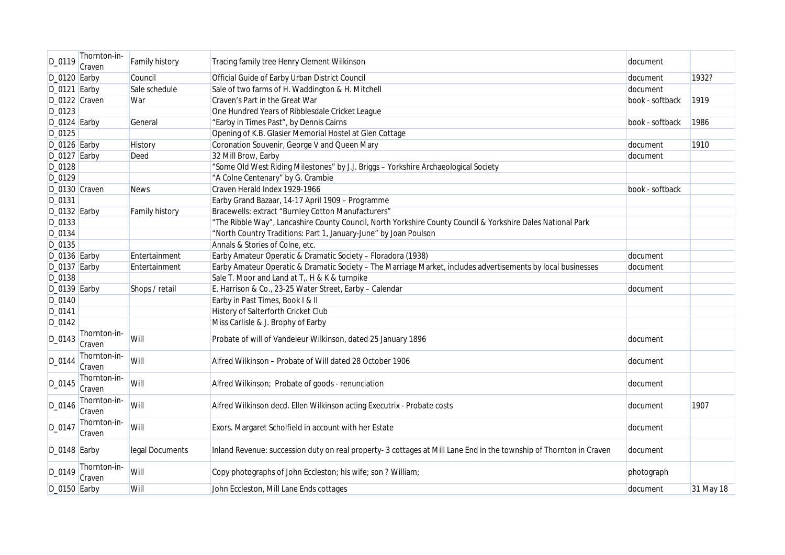| D_0119         | Thornton-in-<br>Craven | Family history        | Tracing family tree Henry Clement Wilkinson                                                                         | document        |           |
|----------------|------------------------|-----------------------|---------------------------------------------------------------------------------------------------------------------|-----------------|-----------|
| $D_0120$ Earby |                        | Council               | Official Guide of Earby Urban District Council                                                                      | document        | 1932?     |
| $D_0121$ Earby |                        | Sale schedule         | Sale of two farms of H. Waddington & H. Mitchell                                                                    | document        |           |
| D_0122 Craven  |                        | War                   | Craven's Part in the Great War                                                                                      | book - softback | 1919      |
| D_0123         |                        |                       | One Hundred Years of Ribblesdale Cricket League                                                                     |                 |           |
| D_0124 Earby   |                        | General               | "Earby in Times Past", by Dennis Cairns                                                                             | book - softback | 1986      |
| D_0125         |                        |                       | Opening of K.B. Glasier Memorial Hostel at Glen Cottage                                                             |                 |           |
| D_0126 Earby   |                        | History               | Coronation Souvenir, George V and Queen Mary                                                                        | document        | 1910      |
| D_0127 Earby   |                        | Deed                  | 32 Mill Brow, Earby                                                                                                 | document        |           |
| D_0128         |                        |                       | "Some Old West Riding Milestones" by J.J. Briggs - Yorkshire Archaeological Society                                 |                 |           |
| D_0129         |                        |                       | "A Colne Centenary" by G. Crambie                                                                                   |                 |           |
| D_0130 Craven  |                        | <b>News</b>           | Craven Herald Index 1929-1966                                                                                       | book - softback |           |
| D_0131         |                        |                       | Earby Grand Bazaar, 14-17 April 1909 - Programme                                                                    |                 |           |
| $D_0132$ Earby |                        | <b>Family history</b> | Bracewells: extract "Burnley Cotton Manufacturers"                                                                  |                 |           |
| D_0133         |                        |                       | "The Ribble Way", Lancashire County Council, North Yorkshire County Council & Yorkshire Dales National Park         |                 |           |
| D_0134         |                        |                       | "North Country Traditions: Part 1, January-June" by Joan Poulson                                                    |                 |           |
| D_0135         |                        |                       | Annals & Stories of Colne, etc.                                                                                     |                 |           |
| $D_0136$ Earby |                        | Entertainment         | Earby Amateur Operatic & Dramatic Society - Floradora (1938)                                                        | document        |           |
| $D_0137$ Earby |                        | Entertainment         | Earby Amateur Operatic & Dramatic Society - The Marriage Market, includes advertisements by local businesses        | document        |           |
| D_0138         |                        |                       | Sale T. Moor and Land at T. H & K & turnpike                                                                        |                 |           |
| $D_0139$ Earby |                        | Shops / retail        | E. Harrison & Co., 23-25 Water Street, Earby - Calendar                                                             | document        |           |
| D_0140         |                        |                       | Earby in Past Times, Book I & II                                                                                    |                 |           |
| D_0141         |                        |                       | History of Salterforth Cricket Club                                                                                 |                 |           |
| D_0142         |                        |                       | Miss Carlisle & J. Brophy of Earby                                                                                  |                 |           |
| D_0143         | Thornton-in-<br>Craven | Will                  | Probate of will of Vandeleur Wilkinson, dated 25 January 1896                                                       | document        |           |
| D_0144         | Thornton-in-<br>Craven | Will                  | Alfred Wilkinson - Probate of Will dated 28 October 1906                                                            | document        |           |
| D_0145         | Thornton-in-<br>Craven | Will                  | Alfred Wilkinson; Probate of goods - renunciation                                                                   | document        |           |
| D_0146         | Thornton-in-<br>Craven | Will                  | Alfred Wilkinson decd. Ellen Wilkinson acting Executrix - Probate costs                                             | document        | 1907      |
| D_0147         | Thornton-in-<br>Craven | Will                  | Exors. Margaret Scholfield in account with her Estate                                                               | document        |           |
| $D_0148$ Earby |                        | legal Documents       | Inland Revenue: succession duty on real property- 3 cottages at Mill Lane End in the township of Thornton in Craven | document        |           |
| D_0149         | Thornton-in-<br>Craven | Will                  | Copy photographs of John Eccleston; his wife; son ? William;                                                        | photograph      |           |
| D_0150 Earby   |                        | Will                  | John Eccleston, Mill Lane Ends cottages                                                                             | document        | 31 May 18 |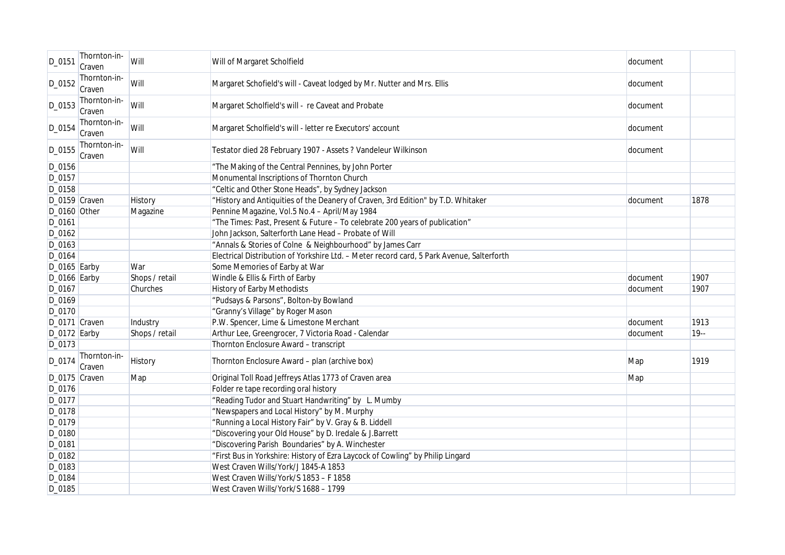| D_0151          | Thornton-in-<br>Craven | Will           | Will of Margaret Scholfield                                                               | document |        |
|-----------------|------------------------|----------------|-------------------------------------------------------------------------------------------|----------|--------|
| D_0152          | Thornton-in-<br>Craven | Will           | Margaret Schofield's will - Caveat lodged by Mr. Nutter and Mrs. Ellis                    | document |        |
| D_0153          | Thornton-in-<br>Craven | Will           | Margaret Scholfield's will - re Caveat and Probate                                        | document |        |
| D_0154          | Thornton-in-<br>Craven | Will           | Margaret Scholfield's will - letter re Executors' account                                 | document |        |
| D_0155          | Thornton-in-<br>Craven | Will           | Testator died 28 February 1907 - Assets ? Vandeleur Wilkinson                             | document |        |
| D_0156          |                        |                | "The Making of the Central Pennines, by John Porter                                       |          |        |
| D_0157          |                        |                | Monumental Inscriptions of Thornton Church                                                |          |        |
| D_0158          |                        |                | "Celtic and Other Stone Heads", by Sydney Jackson                                         |          |        |
| D_0159 Craven   |                        | History        | "History and Antiquities of the Deanery of Craven, 3rd Edition" by T.D. Whitaker          | document | 1878   |
| D_0160 Other    |                        | Magazine       | Pennine Magazine, Vol.5 No.4 - April/May 1984                                             |          |        |
| D_0161          |                        |                | "The Times: Past, Present & Future - To celebrate 200 years of publication"               |          |        |
| D_0162          |                        |                | John Jackson, Salterforth Lane Head - Probate of Will                                     |          |        |
| D_0163          |                        |                | "Annals & Stories of Colne & Neighbourhood" by James Carr                                 |          |        |
| D_0164          |                        |                | Electrical Distribution of Yorkshire Ltd. - Meter record card, 5 Park Avenue, Salterforth |          |        |
| $D_0165$ Earby  |                        | War            | Some Memories of Earby at War                                                             |          |        |
| $D_0$ 166 Earby |                        | Shops / retail | Windle & Ellis & Firth of Earby                                                           | document | 1907   |
| D_0167          |                        | Churches       | <b>History of Earby Methodists</b>                                                        | document | 1907   |
| D_0169          |                        |                | "Pudsays & Parsons", Bolton-by Bowland                                                    |          |        |
| D_0170          |                        |                | "Granny's Village" by Roger Mason                                                         |          |        |
| D_0171 Craven   |                        | Industry       | P.W. Spencer, Lime & Limestone Merchant                                                   | document | 1913   |
| D_0172 Earby    |                        | Shops / retail | Arthur Lee, Greengrocer, 7 Victoria Road - Calendar                                       | document | $19 -$ |
| D_0173          |                        |                | Thornton Enclosure Award - transcript                                                     |          |        |
| D_0174          | Thornton-in-<br>Craven | History        | Thornton Enclosure Award - plan (archive box)                                             | Map      | 1919   |
| D_0175 Craven   |                        | Map            | Original Toll Road Jeffreys Atlas 1773 of Craven area                                     | Map      |        |
| D_0176          |                        |                | Folder re tape recording oral history                                                     |          |        |
| D_0177          |                        |                | "Reading Tudor and Stuart Handwriting" by L. Mumby                                        |          |        |
| $D_0178$        |                        |                | "Newspapers and Local History" by M. Murphy                                               |          |        |
| D_0179          |                        |                | "Running a Local History Fair" by V. Gray & B. Liddell                                    |          |        |
| D_0180          |                        |                | "Discovering your Old House" by D. Iredale & J.Barrett                                    |          |        |
| D_0181          |                        |                | "Discovering Parish Boundaries" by A. Winchester                                          |          |        |
| D_0182          |                        |                | "First Bus in Yorkshire: History of Ezra Laycock of Cowling" by Philip Lingard            |          |        |
| D_0183          |                        |                | West Craven Wills/York/J 1845-A 1853                                                      |          |        |
| D_0184          |                        |                | West Craven Wills/York/S 1853 - F 1858                                                    |          |        |
| D_0185          |                        |                | West Craven Wills/York/S 1688 - 1799                                                      |          |        |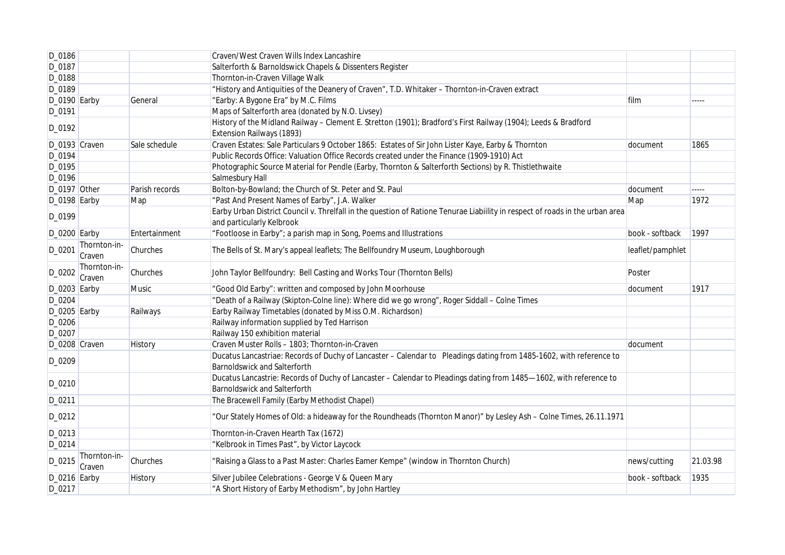| D_0186         |                        |                | Craven/West Craven Wills Index Lancashire                                                                                     |                  |          |
|----------------|------------------------|----------------|-------------------------------------------------------------------------------------------------------------------------------|------------------|----------|
| D_0187         |                        |                | Salterforth & Barnoldswick Chapels & Dissenters Register                                                                      |                  |          |
| D_0188         |                        |                | Thornton-in-Craven Village Walk                                                                                               |                  |          |
| D_0189         |                        |                | "History and Antiquities of the Deanery of Craven", T.D. Whitaker - Thornton-in-Craven extract                                |                  |          |
| D_0190 Earby   |                        | General        | "Earby: A Bygone Era" by M.C. Films                                                                                           | film             |          |
| D_0191         |                        |                | Maps of Salterforth area (donated by N.O. Livsey)                                                                             |                  |          |
| D_0192         |                        |                | History of the Midland Railway - Clement E. Stretton (1901); Bradford's First Railway (1904); Leeds & Bradford                |                  |          |
|                |                        |                | Extension Railways (1893)                                                                                                     |                  |          |
| D_0193 Craven  |                        | Sale schedule  | Craven Estates: Sale Particulars 9 October 1865: Estates of Sir John Lister Kaye, Earby & Thornton                            | document         | 1865     |
| D_0194         |                        |                | Public Records Office: Valuation Office Records created under the Finance (1909-1910) Act                                     |                  |          |
| D_0195         |                        |                | Photographic Source Material for Pendle (Earby, Thornton & Salterforth Sections) by R. Thistlethwaite                         |                  |          |
| D_0196         |                        |                | Salmesbury Hall                                                                                                               |                  |          |
| D_0197 Other   |                        | Parish records | Bolton-by-Bowland; the Church of St. Peter and St. Paul                                                                       | document         | $\cdots$ |
| $D_0198$ Earby |                        | Map            | "Past And Present Names of Earby", J.A. Walker                                                                                | Map              | 1972     |
| D_0199         |                        |                | Earby Urban District Council v. Threlfall in the question of Ratione Tenurae Liabiility in respect of roads in the urban area |                  |          |
|                |                        |                | and particularly Kelbrook                                                                                                     |                  |          |
| $D_0200$ Earby |                        | Entertainment  | "Footloose in Earby"; a parish map in Song, Poems and Illustrations                                                           | book - softback  | 1997     |
| D_0201         | Thornton-in-<br>Craven | Churches       | The Bells of St. Mary's appeal leaflets; The Bellfoundry Museum, Loughborough                                                 | leaflet/pamphlet |          |
| D_0202         | Thornton-in-<br>Craven | Churches       | John Taylor Bellfoundry: Bell Casting and Works Tour (Thornton Bells)                                                         | Poster           |          |
| D_0203 Earby   |                        | <b>Music</b>   | "Good Old Earby": written and composed by John Moorhouse                                                                      | document         | 1917     |
| D_0204         |                        |                | "Death of a Railway (Skipton-Colne line): Where did we go wrong", Roger Siddall - Colne Times                                 |                  |          |
| D_0205 Earby   |                        | Railways       | Earby Railway Timetables (donated by Miss O.M. Richardson)                                                                    |                  |          |
| D_0206         |                        |                | Railway information supplied by Ted Harrison                                                                                  |                  |          |
| D_0207         |                        |                | Railway 150 exhibition material                                                                                               |                  |          |
| D_0208 Craven  |                        | History        | Craven Muster Rolls - 1803; Thornton-in-Craven                                                                                | document         |          |
|                |                        |                | Ducatus Lancastriae: Records of Duchy of Lancaster - Calendar to Pleadings dating from 1485-1602, with reference to           |                  |          |
| D_0209         |                        |                | <b>Barnoldswick and Salterforth</b>                                                                                           |                  |          |
|                |                        |                | Ducatus Lancastrie: Records of Duchy of Lancaster - Calendar to Pleadings dating from 1485-1602, with reference to            |                  |          |
| D_0210         |                        |                | <b>Barnoldswick and Salterforth</b>                                                                                           |                  |          |
| D_0211         |                        |                | The Bracewell Family (Earby Methodist Chapel)                                                                                 |                  |          |
| D_0212         |                        |                | "Our Stately Homes of Old: a hideaway for the Roundheads (Thornton Manor)" by Lesley Ash - Colne Times, 26.11.1971            |                  |          |
| D_0213         |                        |                | Thornton-in-Craven Hearth Tax (1672)                                                                                          |                  |          |
| D_0214         |                        |                | "Kelbrook in Times Past", by Victor Laycock                                                                                   |                  |          |
| D_0215         | Thornton-in-<br>Craven | Churches       | "Raising a Glass to a Past Master: Charles Eamer Kempe" (window in Thornton Church)                                           | news/cutting     | 21.03.98 |
| $D_0216$ Earby |                        | History        | Silver Jubilee Celebrations - George V & Queen Mary                                                                           | book - softback  | 1935     |
| D_0217         |                        |                | "A Short History of Earby Methodism", by John Hartley                                                                         |                  |          |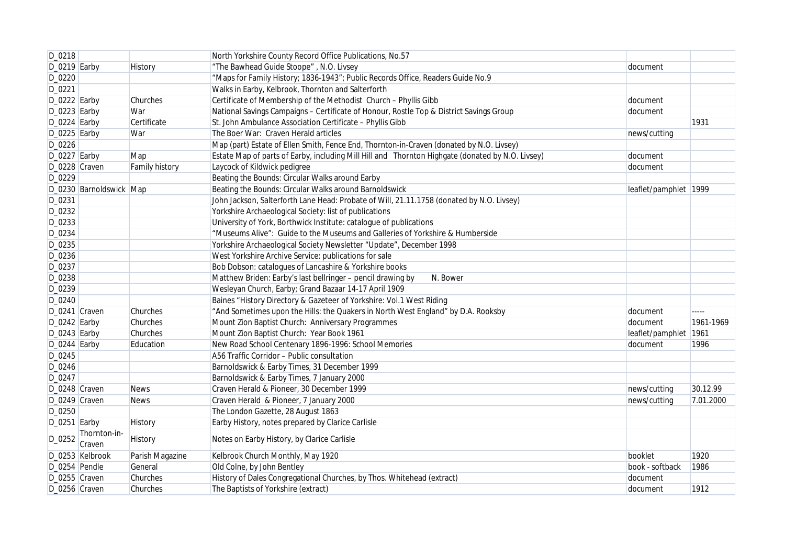| D_0218         |                           |                 | North Yorkshire County Record Office Publications, No.57                                         |                       |           |
|----------------|---------------------------|-----------------|--------------------------------------------------------------------------------------------------|-----------------------|-----------|
| $D_0219$ Earby |                           | <b>History</b>  | "The Bawhead Guide Stoope", N.O. Livsey                                                          | document              |           |
| D_0220         |                           |                 | "Maps for Family History; 1836-1943"; Public Records Office, Readers Guide No.9                  |                       |           |
| D_0221         |                           |                 | Walks in Earby, Kelbrook, Thornton and Salterforth                                               |                       |           |
| $D_0222$ Earby |                           | Churches        | Certificate of Membership of the Methodist Church - Phyllis Gibb                                 | document              |           |
| $D_0223$ Earby |                           | War             | National Savings Campaigns - Certificate of Honour, Rostle Top & District Savings Group          | document              |           |
| $D_0224$ Earby |                           | Certificate     | St. John Ambulance Association Certificate - Phyllis Gibb                                        |                       | 1931      |
| $D_0225$ Earby |                           | War             | The Boer War: Craven Herald articles                                                             | news/cutting          |           |
| D_0226         |                           |                 | Map (part) Estate of Ellen Smith, Fence End, Thornton-in-Craven (donated by N.O. Livsey)         |                       |           |
| $D_0227$ Earby |                           | Map             | Estate Map of parts of Earby, including Mill Hill and Thornton Highgate (donated by N.O. Livsey) | document              |           |
| D_0228 Craven  |                           | Family history  | Laycock of Kildwick pedigree                                                                     | document              |           |
| D_0229         |                           |                 | Beating the Bounds: Circular Walks around Earby                                                  |                       |           |
|                | D_0230 Barnoldswick   Map |                 | Beating the Bounds: Circular Walks around Barnoldswick                                           | leaflet/pamphlet 1999 |           |
| D_0231         |                           |                 | John Jackson, Salterforth Lane Head: Probate of Will, 21.11.1758 (donated by N.O. Livsey)        |                       |           |
| D_0232         |                           |                 | Yorkshire Archaeological Society: list of publications                                           |                       |           |
| D_0233         |                           |                 | University of York, Borthwick Institute: catalogue of publications                               |                       |           |
| D_0234         |                           |                 | "Museums Alive": Guide to the Museums and Galleries of Yorkshire & Humberside                    |                       |           |
| D_0235         |                           |                 | Yorkshire Archaeological Society Newsletter "Update", December 1998                              |                       |           |
| D_0236         |                           |                 | West Yorkshire Archive Service: publications for sale                                            |                       |           |
| D_0237         |                           |                 | Bob Dobson: catalogues of Lancashire & Yorkshire books                                           |                       |           |
| D_0238         |                           |                 | Matthew Briden: Earby's last bellringer - pencil drawing by<br>N. Bower                          |                       |           |
| D_0239         |                           |                 | Wesleyan Church, Earby; Grand Bazaar 14-17 April 1909                                            |                       |           |
| D_0240         |                           |                 | Baines "History Directory & Gazeteer of Yorkshire: Vol.1 West Riding                             |                       |           |
| D_0241 Craven  |                           | Churches        | "And Sometimes upon the Hills: the Quakers in North West England" by D.A. Rooksby                | document              | $---$     |
| $D_0242$ Earby |                           | Churches        | Mount Zion Baptist Church: Anniversary Programmes                                                | document              | 1961-1969 |
| $D_0243$ Earby |                           | Churches        | Mount Zion Baptist Church: Year Book 1961                                                        | leaflet/pamphlet 1961 |           |
| $D_0244$ Earby |                           | Education       | New Road School Centenary 1896-1996: School Memories                                             | document              | 1996      |
| D_0245         |                           |                 | A56 Traffic Corridor - Public consultation                                                       |                       |           |
| D_0246         |                           |                 | Barnoldswick & Earby Times, 31 December 1999                                                     |                       |           |
| D_0247         |                           |                 | Barnoldswick & Earby Times, 7 January 2000                                                       |                       |           |
| D_0248 Craven  |                           | <b>News</b>     | Craven Herald & Pioneer, 30 December 1999                                                        | news/cutting          | 30.12.99  |
| D_0249 Craven  |                           | <b>News</b>     | Craven Herald & Pioneer, 7 January 2000                                                          | news/cutting          | 7.01.2000 |
| D_0250         |                           |                 | The London Gazette, 28 August 1863                                                               |                       |           |
| $D_0251$ Earby |                           | History         | Earby History, notes prepared by Clarice Carlisle                                                |                       |           |
| D_0252         | Thornton-in-<br>Craven    | <b>History</b>  | Notes on Earby History, by Clarice Carlisle                                                      |                       |           |
|                | D_0253 Kelbrook           | Parish Magazine | Kelbrook Church Monthly, May 1920                                                                | booklet               | 1920      |
| D_0254 Pendle  |                           | General         | Old Colne, by John Bentley                                                                       | book - softback       | 1986      |
| D_0255 Craven  |                           | Churches        | History of Dales Congregational Churches, by Thos. Whitehead (extract)                           | document              |           |
| D_0256 Craven  |                           | Churches        | The Baptists of Yorkshire (extract)                                                              | document              | 1912      |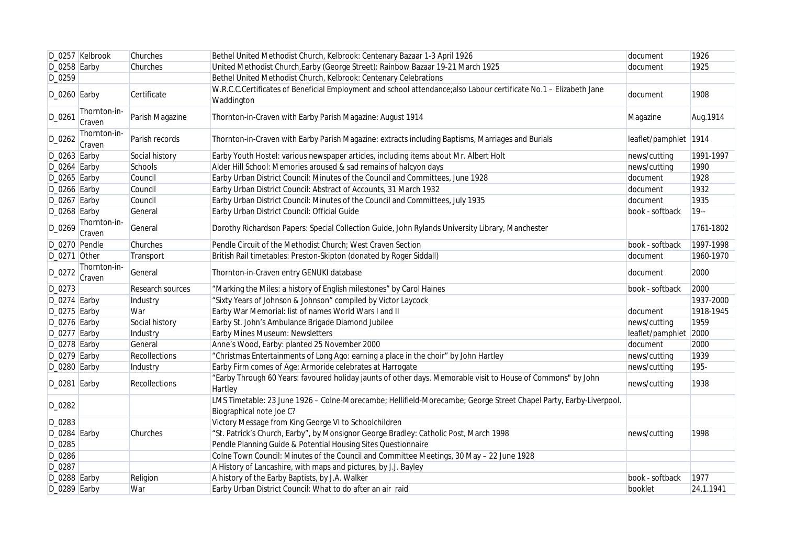|                | D_0257 Kelbrook        | Churches             | Bethel United Methodist Church, Kelbrook: Centenary Bazaar 1-3 April 1926                                                                     | document              | 1926      |
|----------------|------------------------|----------------------|-----------------------------------------------------------------------------------------------------------------------------------------------|-----------------------|-----------|
| $D_0258$ Earby |                        | Churches             | United Methodist Church, Earby (George Street): Rainbow Bazaar 19-21 March 1925                                                               | document              | 1925      |
| D_0259         |                        |                      | Bethel United Methodist Church, Kelbrook: Centenary Celebrations                                                                              |                       |           |
| $D_0260$ Earby |                        | Certificate          | W.R.C.C.Certificates of Beneficial Employment and school attendance; also Labour certificate No.1 - Elizabeth Jane<br>Waddington              | document              | 1908      |
| $D_0261$       | Thornton-in-<br>Craven | Parish Magazine      | Thornton-in-Craven with Earby Parish Magazine: August 1914                                                                                    | Magazine              | Aug. 1914 |
| D_0262         | Thornton-in-<br>Craven | Parish records       | Thornton-in-Craven with Earby Parish Magazine: extracts including Baptisms, Marriages and Burials                                             | leaflet/pamphlet 1914 |           |
| $D_0263$ Earby |                        | Social history       | Earby Youth Hostel: various newspaper articles, including items about Mr. Albert Holt                                                         | news/cutting          | 1991-1997 |
| $D_0264$ Earby |                        | Schools              | Alder Hill School: Memories aroused & sad remains of halcyon days                                                                             | news/cutting          | 1990      |
| $D_0265$ Earby |                        | Council              | Earby Urban District Council: Minutes of the Council and Committees, June 1928                                                                | document              | 1928      |
| D_0266 Earby   |                        | Council              | Earby Urban District Council: Abstract of Accounts, 31 March 1932                                                                             | document              | 1932      |
| $D_0267$ Earby |                        | Council              | Earby Urban District Council: Minutes of the Council and Committees, July 1935                                                                | document              | 1935      |
| $D_0268$ Earby |                        | General              | Earby Urban District Council: Official Guide                                                                                                  | book - softback       | $19 -$    |
| D_0269         | Thornton-in-<br>Craven | General              | Dorothy Richardson Papers: Special Collection Guide, John Rylands University Library, Manchester                                              |                       | 1761-1802 |
| D_0270 Pendle  |                        | Churches             | Pendle Circuit of the Methodist Church; West Craven Section                                                                                   | book - softback       | 1997-1998 |
| D_0271 Other   |                        | Transport            | British Rail timetables: Preston-Skipton (donated by Roger Siddall)                                                                           | document              | 1960-1970 |
| D_0272         | Thornton-in-<br>Craven | General              | Thornton-in-Craven entry GENUKI database                                                                                                      | document              | 2000      |
| $D_0273$       |                        | Research sources     | "Marking the Miles: a history of English milestones" by Carol Haines                                                                          | book - softback       | 2000      |
| D_0274 Earby   |                        | Industry             | "Sixty Years of Johnson & Johnson" compiled by Victor Laycock                                                                                 |                       | 1937-2000 |
| $D_0275$ Earby |                        | War                  | Earby War Memorial: list of names World Wars I and II                                                                                         | document              | 1918-1945 |
| D_0276 Earby   |                        | Social history       | Earby St. John's Ambulance Brigade Diamond Jubilee                                                                                            | news/cutting          | 1959      |
| D_0277 Earby   |                        | Industry             | Earby Mines Museum: Newsletters                                                                                                               | leaflet/pamphlet 2000 |           |
| D_0278 Earby   |                        | General              | Anne's Wood, Earby: planted 25 November 2000                                                                                                  | document              | 2000      |
| D_0279 Earby   |                        | Recollections        | "Christmas Entertainments of Long Ago: earning a place in the choir" by John Hartley                                                          | news/cutting          | 1939      |
| D_0280 Earby   |                        | Industry             | Earby Firm comes of Age: Armoride celebrates at Harrogate                                                                                     | news/cutting          | 195-      |
| $D_0281$ Earby |                        | <b>Recollections</b> | "Earby Through 60 Years: favoured holiday jaunts of other days. Memorable visit to House of Commons" by John<br>Hartley                       | news/cutting          | 1938      |
| D_0282         |                        |                      | LMS Timetable: 23 June 1926 - Colne-Morecambe; Hellifield-Morecambe; George Street Chapel Party, Earby-Liverpool.<br>Biographical note Joe C? |                       |           |
| D_0283         |                        |                      | Victory Message from King George VI to Schoolchildren                                                                                         |                       |           |
| D_0284 Earby   |                        | Churches             | "St. Patrick's Church, Earby", by Monsignor George Bradley: Catholic Post, March 1998                                                         | news/cutting          | 1998      |
| D_0285         |                        |                      | Pendle Planning Guide & Potential Housing Sites Questionnaire                                                                                 |                       |           |
| D_0286         |                        |                      | Colne Town Council: Minutes of the Council and Committee Meetings, 30 May - 22 June 1928                                                      |                       |           |
| D_0287         |                        |                      | A History of Lancashire, with maps and pictures, by J.J. Bayley                                                                               |                       |           |
| D_0288 Earby   |                        | Religion             | A history of the Earby Baptists, by J.A. Walker                                                                                               | book - softback       | 1977      |
| D_0289 Earby   |                        | War                  | Earby Urban District Council: What to do after an air raid                                                                                    | booklet               | 24.1.1941 |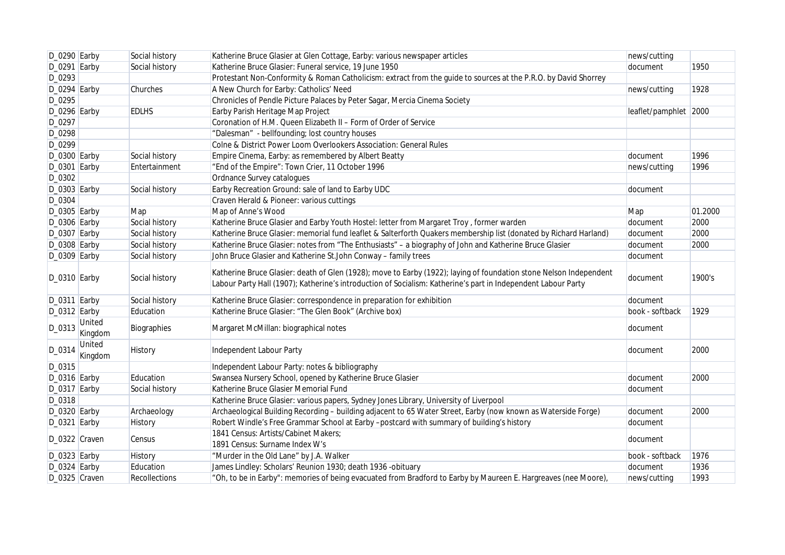| D_0290 Earby   |                   | Social history       | Katherine Bruce Glasier at Glen Cottage, Earby: various newspaper articles                                                                                                                                                          | news/cutting          |         |
|----------------|-------------------|----------------------|-------------------------------------------------------------------------------------------------------------------------------------------------------------------------------------------------------------------------------------|-----------------------|---------|
| D_0291 Earby   |                   | Social history       | Katherine Bruce Glasier: Funeral service, 19 June 1950                                                                                                                                                                              | document              | 1950    |
| D_0293         |                   |                      | Protestant Non-Conformity & Roman Catholicism: extract from the guide to sources at the P.R.O. by David Shorrey                                                                                                                     |                       |         |
| $D_0294$ Earby |                   | Churches             | A New Church for Earby: Catholics' Need                                                                                                                                                                                             | news/cutting          | 1928    |
| D_0295         |                   |                      | Chronicles of Pendle Picture Palaces by Peter Sagar, Mercia Cinema Society                                                                                                                                                          |                       |         |
| D_0296 Earby   |                   | <b>EDLHS</b>         | Earby Parish Heritage Map Project                                                                                                                                                                                                   | leaflet/pamphlet 2000 |         |
| D_0297         |                   |                      | Coronation of H.M. Queen Elizabeth II - Form of Order of Service                                                                                                                                                                    |                       |         |
| D_0298         |                   |                      | "Dalesman" - bellfounding; lost country houses                                                                                                                                                                                      |                       |         |
| D_0299         |                   |                      | Colne & District Power Loom Overlookers Association: General Rules                                                                                                                                                                  |                       |         |
| $D_0300$ Earby |                   | Social history       | Empire Cinema, Earby: as remembered by Albert Beatty                                                                                                                                                                                | document              | 1996    |
| $D_0301$ Earby |                   | Entertainment        | "End of the Empire": Town Crier, 11 October 1996                                                                                                                                                                                    | news/cutting          | 1996    |
| D_0302         |                   |                      | Ordnance Survey catalogues                                                                                                                                                                                                          |                       |         |
| D_0303 Earby   |                   | Social history       | Earby Recreation Ground: sale of land to Earby UDC                                                                                                                                                                                  | document              |         |
| D_0304         |                   |                      | Craven Herald & Pioneer: various cuttings                                                                                                                                                                                           |                       |         |
| $D_0305$ Earby |                   | Map                  | Map of Anne's Wood                                                                                                                                                                                                                  | Map                   | 01.2000 |
| $D_0306$ Earby |                   | Social history       | Katherine Bruce Glasier and Earby Youth Hostel: letter from Margaret Troy, former warden                                                                                                                                            | document              | 2000    |
| $D_0307$ Earby |                   | Social history       | Katherine Bruce Glasier: memorial fund leaflet & Salterforth Quakers membership list (donated by Richard Harland)                                                                                                                   | document              | 2000    |
| $D_0308$ Earby |                   | Social history       | Katherine Bruce Glasier: notes from "The Enthusiasts" - a biography of John and Katherine Bruce Glasier                                                                                                                             | document              | 2000    |
| $D_0309$ Earby |                   | Social history       | John Bruce Glasier and Katherine St.John Conway - family trees                                                                                                                                                                      | document              |         |
| $D_0310$ Earby |                   | Social history       | Katherine Bruce Glasier: death of Glen (1928); move to Earby (1922); laying of foundation stone Nelson Independent<br>Labour Party Hall (1907); Katherine's introduction of Socialism: Katherine's part in Independent Labour Party | document              | 1900's  |
| $D_0311$ Earby |                   | Social history       | Katherine Bruce Glasier: correspondence in preparation for exhibition                                                                                                                                                               | document              |         |
| $D_0312$ Earby |                   | Education            | Katherine Bruce Glasier: "The Glen Book" (Archive box)                                                                                                                                                                              | book - softback       | 1929    |
| D_0313         | United<br>Kingdom | Biographies          | Margaret McMillan: biographical notes                                                                                                                                                                                               | document              |         |
| D_0314         | United<br>Kingdom | History              | Independent Labour Party                                                                                                                                                                                                            | document              | 2000    |
| D_0315         |                   |                      | Independent Labour Party: notes & bibliography                                                                                                                                                                                      |                       |         |
| $D_0316$ Earby |                   | Education            | Swansea Nursery School, opened by Katherine Bruce Glasier                                                                                                                                                                           | document              | 2000    |
| $D_0317$ Earby |                   | Social history       | Katherine Bruce Glasier Memorial Fund                                                                                                                                                                                               | document              |         |
| D_0318         |                   |                      | Katherine Bruce Glasier: various papers, Sydney Jones Library, University of Liverpool                                                                                                                                              |                       |         |
| $D_0320$ Earby |                   | Archaeology          | Archaeological Building Recording - building adjacent to 65 Water Street, Earby (now known as Waterside Forge)                                                                                                                      | document              | 2000    |
| $D_0321$ Earby |                   | History              | Robert Windle's Free Grammar School at Earby -postcard with summary of building's history                                                                                                                                           | document              |         |
| D_0322 Craven  |                   | Census               | 1841 Census: Artists/Cabinet Makers;                                                                                                                                                                                                | document              |         |
|                |                   |                      | 1891 Census: Surname Index W's                                                                                                                                                                                                      |                       |         |
| $D_0323$ Earby |                   | <b>History</b>       | "Murder in the Old Lane" by J.A. Walker                                                                                                                                                                                             | book - softback       | 1976    |
| D_0324 Earby   |                   | Education            | James Lindley: Scholars' Reunion 1930; death 1936 -obituary                                                                                                                                                                         | document              | 1936    |
| D_0325 Craven  |                   | <b>Recollections</b> | "Oh, to be in Earby": memories of being evacuated from Bradford to Earby by Maureen E. Hargreaves (nee Moore),                                                                                                                      | news/cutting          | 1993    |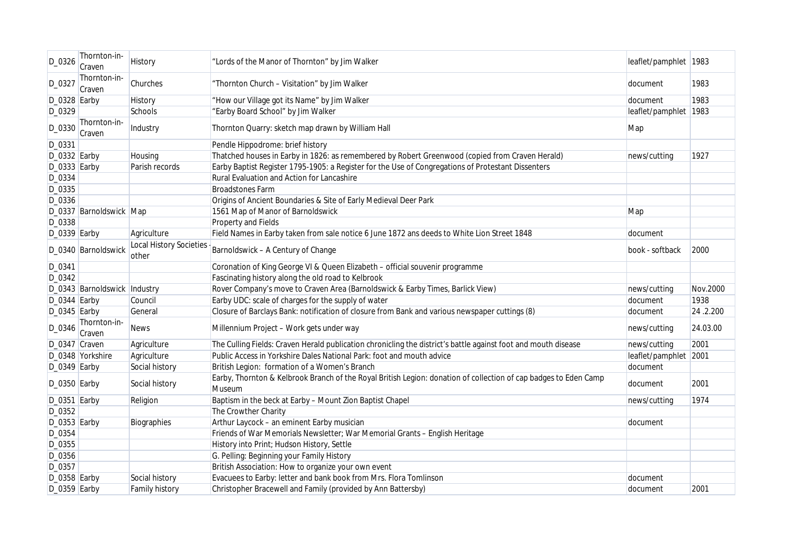| D_0326         | Thornton-in-<br>Craven       | History                                 | "Lords of the Manor of Thornton" by Jim Walker                                                                             | leaflet/pamphlet 1983 |          |
|----------------|------------------------------|-----------------------------------------|----------------------------------------------------------------------------------------------------------------------------|-----------------------|----------|
| D_0327         | Thornton-in-<br>Craven       | Churches                                | "Thornton Church - Visitation" by Jim Walker                                                                               | document              | 1983     |
| $D_0328$ Earby |                              | History                                 | "How our Village got its Name" by Jim Walker                                                                               | document              | 1983     |
| D_0329         |                              | Schools                                 | "Earby Board School" by Jim Walker                                                                                         | leaflet/pamphlet 1983 |          |
| D_0330         | Thornton-in-<br>Craven       | Industry                                | Thornton Quarry: sketch map drawn by William Hall                                                                          | Map                   |          |
| D_0331         |                              |                                         | Pendle Hippodrome: brief history                                                                                           |                       |          |
| $D_0332$ Earby |                              | Housing                                 | Thatched houses in Earby in 1826: as remembered by Robert Greenwood (copied from Craven Herald)                            | news/cutting          | 1927     |
| D_0333 Earby   |                              | Parish records                          | Earby Baptist Register 1795-1905: a Register for the Use of Congregations of Protestant Dissenters                         |                       |          |
| D_0334         |                              |                                         | Rural Evaluation and Action for Lancashire                                                                                 |                       |          |
| D_0335         |                              |                                         | <b>Broadstones Farm</b>                                                                                                    |                       |          |
| D_0336         |                              |                                         | Origins of Ancient Boundaries & Site of Early Medieval Deer Park                                                           |                       |          |
|                | D_0337 Barnoldswick Map      |                                         | 1561 Map of Manor of Barnoldswick                                                                                          | Map                   |          |
| D_0338         |                              |                                         | Property and Fields                                                                                                        |                       |          |
| $D_0339$ Earby |                              | Agriculture                             | Field Names in Earby taken from sale notice 6 June 1872 ans deeds to White Lion Street 1848                                | document              |          |
|                | D_0340 Barnoldswick          | <b>Local History Societies</b><br>other | Barnoldswick - A Century of Change                                                                                         | book - softback       | 2000     |
| D_0341         |                              |                                         | Coronation of King George VI & Queen Elizabeth - official souvenir programme                                               |                       |          |
| D_0342         |                              |                                         | Fascinating history along the old road to Kelbrook                                                                         |                       |          |
|                | D_0343 Barnoldswick Industry |                                         | Rover Company's move to Craven Area (Barnoldswick & Earby Times, Barlick View)                                             | news/cutting          | Nov.2000 |
| D_0344 Earby   |                              | Council                                 | Earby UDC: scale of charges for the supply of water                                                                        | document              | 1938     |
| $D_0345$ Earby |                              | General                                 | Closure of Barclays Bank: notification of closure from Bank and various newspaper cuttings (8)                             | document              | 24.2.200 |
| D_0346         | Thornton-in-<br>Craven       | <b>News</b>                             | Millennium Project - Work gets under way                                                                                   | news/cutting          | 24.03.00 |
| D_0347 Craven  |                              | Agriculture                             | The Culling Fields: Craven Herald publication chronicling the district's battle against foot and mouth disease             | news/cutting          | 2001     |
|                | D_0348 Yorkshire             | Agriculture                             | Public Access in Yorkshire Dales National Park: foot and mouth advice                                                      | leaflet/pamphlet 2001 |          |
| $D_0349$ Earby |                              | Social history                          | British Legion: formation of a Women's Branch                                                                              | document              |          |
| $D_0350$ Earby |                              | Social history                          | Earby, Thornton & Kelbrook Branch of the Royal British Legion: donation of collection of cap badges to Eden Camp<br>Museum | document              | 2001     |
| $D_0351$ Earby |                              | Religion                                | Baptism in the beck at Earby - Mount Zion Baptist Chapel                                                                   | news/cutting          | 1974     |
| D_0352         |                              |                                         | The Crowther Charity                                                                                                       |                       |          |
| $D_0353$ Earby |                              | Biographies                             | Arthur Laycock - an eminent Earby musician                                                                                 | document              |          |
| D_0354         |                              |                                         | Friends of War Memorials Newsletter; War Memorial Grants - English Heritage                                                |                       |          |
| D_0355         |                              |                                         | History into Print; Hudson History, Settle                                                                                 |                       |          |
| $D_0356$       |                              |                                         | G. Pelling: Beginning your Family History                                                                                  |                       |          |
| D_0357         |                              |                                         | British Association: How to organize your own event                                                                        |                       |          |
| D_0358 Earby   |                              | Social history                          | Evacuees to Earby: letter and bank book from Mrs. Flora Tomlinson                                                          | document              |          |
| D_0359 Earby   |                              | Family history                          | Christopher Bracewell and Family (provided by Ann Battersby)                                                               | document              | 2001     |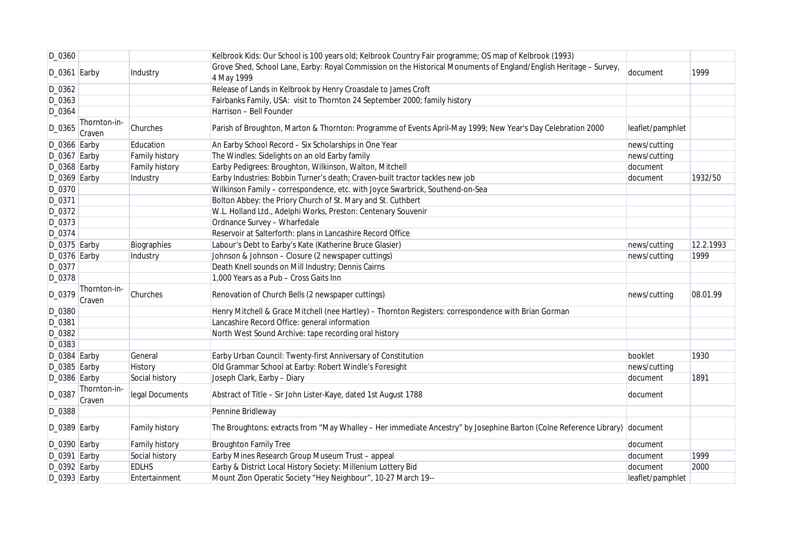| D_0360         |                        |                       | Kelbrook Kids: Our School is 100 years old; Kelbrook Country Fair programme; OS map of Kelbrook (1993)                           |                  |           |
|----------------|------------------------|-----------------------|----------------------------------------------------------------------------------------------------------------------------------|------------------|-----------|
| $D_0361$ Earby |                        | Industry              | Grove Shed, School Lane, Earby: Royal Commission on the Historical Monuments of England/English Heritage - Survey,<br>4 May 1999 | document         | 1999      |
| D_0362         |                        |                       | Release of Lands in Kelbrook by Henry Croasdale to James Croft                                                                   |                  |           |
| $D_0363$       |                        |                       | Fairbanks Family, USA: visit to Thornton 24 September 2000; family history                                                       |                  |           |
| D_0364         |                        |                       | Harrison - Bell Founder                                                                                                          |                  |           |
| D_0365         | Thornton-in-<br>Craven | Churches              | Parish of Broughton, Marton & Thornton: Programme of Events April-May 1999; New Year's Day Celebration 2000                      | leaflet/pamphlet |           |
| $D_0366$ Earby |                        | Education             | An Earby School Record - Six Scholarships in One Year                                                                            | news/cutting     |           |
| $D_0367$ Earby |                        | Family history        | The Windles: Sidelights on an old Earby family                                                                                   | news/cutting     |           |
| $D_0368$ Earby |                        | <b>Family history</b> | Earby Pedigrees: Broughton, Wilkinson, Walton, Mitchell                                                                          | document         |           |
| $D_0369$ Earby |                        | Industry              | Earby Industries: Bobbin Turner's death; Craven-built tractor tackles new job                                                    | document         | 1932/50   |
| D_0370         |                        |                       | Wilkinson Family - correspondence, etc. with Joyce Swarbrick, Southend-on-Sea                                                    |                  |           |
| D_0371         |                        |                       | Bolton Abbey: the Priory Church of St. Mary and St. Cuthbert                                                                     |                  |           |
| D_0372         |                        |                       | W.L. Holland Ltd., Adelphi Works, Preston: Centenary Souvenir                                                                    |                  |           |
| D_0373         |                        |                       | Ordnance Survey - Wharfedale                                                                                                     |                  |           |
| D_0374         |                        |                       | Reservoir at Salterforth: plans in Lancashire Record Office                                                                      |                  |           |
| D_0375 Earby   |                        | Biographies           | Labour's Debt to Earby's Kate (Katherine Bruce Glasier)                                                                          | news/cutting     | 12.2.1993 |
| $D_0376$ Earby |                        | Industry              | Johnson & Johnson - Closure (2 newspaper cuttings)                                                                               | news/cutting     | 1999      |
| D_0377         |                        |                       | Death Knell sounds on Mill Industry; Dennis Cairns                                                                               |                  |           |
| D_0378         |                        |                       | 1,000 Years as a Pub - Cross Gaits Inn                                                                                           |                  |           |
| D_0379         | Thornton-in-<br>Craven | Churches              | Renovation of Church Bells (2 newspaper cuttings)                                                                                | news/cutting     | 08.01.99  |
| D_0380         |                        |                       | Henry Mitchell & Grace Mitchell (nee Hartley) - Thornton Registers: correspondence with Brian Gorman                             |                  |           |
| D_0381         |                        |                       | Lancashire Record Office: general information                                                                                    |                  |           |
| D_0382         |                        |                       | North West Sound Archive: tape recording oral history                                                                            |                  |           |
| D_0383         |                        |                       |                                                                                                                                  |                  |           |
| $D_0384$ Earby |                        | General               | Earby Urban Council: Twenty-first Anniversary of Constitution                                                                    | booklet          | 1930      |
| $D_0385$ Earby |                        | History               | Old Grammar School at Earby: Robert Windle's Foresight                                                                           | news/cutting     |           |
| $D_0386$ Earby |                        | Social history        | Joseph Clark, Earby - Diary                                                                                                      | document         | 1891      |
| D_0387         | Thornton-in-<br>Craven | legal Documents       | Abstract of Title - Sir John Lister-Kaye, dated 1st August 1788                                                                  | document         |           |
| D_0388         |                        |                       | Pennine Bridleway                                                                                                                |                  |           |
| $D_0389$ Earby |                        | Family history        | The Broughtons: extracts from "May Whalley - Her immediate Ancestry" by Josephine Barton (Colne Reference Library) document      |                  |           |
| $D_0390$ Earby |                        | Family history        | <b>Broughton Family Tree</b>                                                                                                     | document         |           |
| $D_0391$ Earby |                        | Social history        | Earby Mines Research Group Museum Trust - appeal                                                                                 | document         | 1999      |
| D_0392 Earby   |                        | <b>EDLHS</b>          | Earby & District Local History Society: Millenium Lottery Bid                                                                    | document         | 2000      |
| $D_0393$ Earby |                        | Entertainment         | Mount Zion Operatic Society "Hey Neighbour", 10-27 March 19--                                                                    | leaflet/pamphlet |           |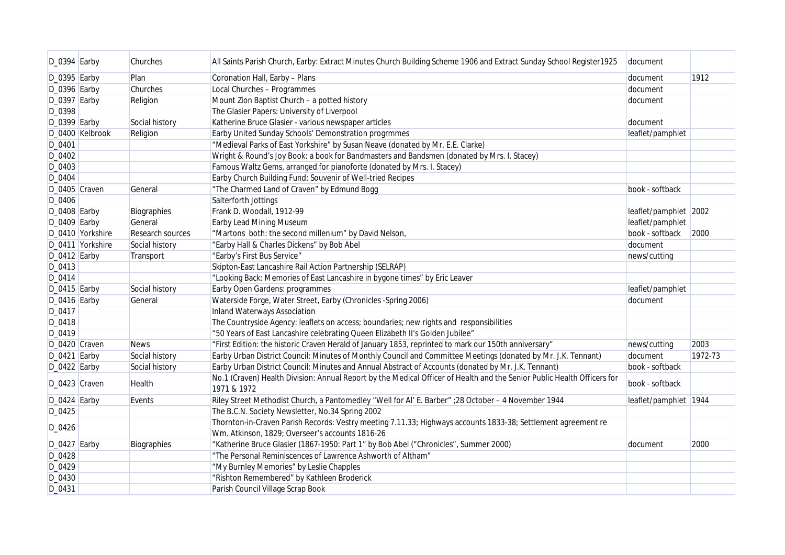| $D_0394$ Earby |                  | Churches         | All Saints Parish Church, Earby: Extract Minutes Church Building Scheme 1906 and Extract Sunday School Register1925                    | document              |         |
|----------------|------------------|------------------|----------------------------------------------------------------------------------------------------------------------------------------|-----------------------|---------|
| $D_0395$ Earby |                  | Plan             | Coronation Hall, Earby - Plans                                                                                                         | document              | 1912    |
| D_0396 Earby   |                  | Churches         | Local Churches - Programmes                                                                                                            | document              |         |
| D_0397 Earby   |                  | Religion         | Mount Zion Baptist Church - a potted history                                                                                           | document              |         |
| D_0398         |                  |                  | The Glasier Papers: University of Liverpool                                                                                            |                       |         |
| $D_0399$ Earby |                  | Social history   | Katherine Bruce Glasier - various newspaper articles                                                                                   | document              |         |
|                | D_0400 Kelbrook  | Religion         | Earby United Sunday Schools' Demonstration progrmmes                                                                                   | leaflet/pamphlet      |         |
| D_0401         |                  |                  | "Medieval Parks of East Yorkshire" by Susan Neave (donated by Mr. E.E. Clarke)                                                         |                       |         |
| D_0402         |                  |                  | Wright & Round's Joy Book: a book for Bandmasters and Bandsmen (donated by Mrs. I. Stacey)                                             |                       |         |
| D_0403         |                  |                  | Famous Waltz Gems, arranged for pianoforte (donated by Mrs. I. Stacey)                                                                 |                       |         |
| D_0404         |                  |                  | Earby Church Building Fund: Souvenir of Well-tried Recipes                                                                             |                       |         |
| D_0405 Craven  |                  | General          | "The Charmed Land of Craven" by Edmund Bogg                                                                                            | book - softback       |         |
| D_0406         |                  |                  | Salterforth Jottings                                                                                                                   |                       |         |
| D_0408 Earby   |                  | Biographies      | Frank D. Woodall, 1912-99                                                                                                              | leaflet/pamphlet 2002 |         |
| D_0409 Earby   |                  | General          | Earby Lead Mining Museum                                                                                                               | leaflet/pamphlet      |         |
|                | D_0410 Yorkshire | Research sources | "Martons both: the second millenium" by David Nelson,                                                                                  | book - softback       | 2000    |
|                | D_0411 Yorkshire | Social history   | "Earby Hall & Charles Dickens" by Bob Abel                                                                                             | document              |         |
| $D_0412$ Earby |                  | Transport        | "Earby's First Bus Service"                                                                                                            | news/cutting          |         |
| D_0413         |                  |                  | Skipton-East Lancashire Rail Action Partnership (SELRAP)                                                                               |                       |         |
| D_0414         |                  |                  | "Looking Back: Memories of East Lancashire in bygone times" by Eric Leaver                                                             |                       |         |
| $D_0415$ Earby |                  | Social history   | Earby Open Gardens: programmes                                                                                                         | leaflet/pamphlet      |         |
| D_0416 Earby   |                  | General          | Waterside Forge, Water Street, Earby (Chronicles -Spring 2006)                                                                         | document              |         |
| D_0417         |                  |                  | <b>Inland Waterways Association</b>                                                                                                    |                       |         |
| D_0418         |                  |                  | The Countryside Agency: leaflets on access; boundaries; new rights and responsibilities                                                |                       |         |
| D_0419         |                  |                  | "50 Years of East Lancashire celebrating Queen Elizabeth II's Golden Jubilee"                                                          |                       |         |
| D_0420 Craven  |                  | <b>News</b>      | "First Edition: the historic Craven Herald of January 1853, reprinted to mark our 150th anniversary"                                   | news/cutting          | 2003    |
| $D_0421$ Earby |                  | Social history   | Earby Urban District Council: Minutes of Monthly Council and Committee Meetings (donated by Mr. J.K. Tennant)                          | document              | 1972-73 |
| $D_0422$ Earby |                  | Social history   | Earby Urban District Council: Minutes and Annual Abstract of Accounts (donated by Mr. J.K. Tennant)                                    | book - softback       |         |
| D_0423 Craven  |                  | Health           | No.1 (Craven) Health Division: Annual Report by the Medical Officer of Health and the Senior Public Health Officers for<br>1971 & 1972 | book - softback       |         |
| $D_0424$ Earby |                  | Events           | Riley Street Methodist Church, a Pantomedley "Well for Al' E. Barber" ; 28 October - 4 November 1944                                   | leaflet/pamphlet 1944 |         |
| D_0425         |                  |                  | The B.C.N. Society Newsletter, No.34 Spring 2002                                                                                       |                       |         |
|                |                  |                  | Thornton-in-Craven Parish Records: Vestry meeting 7.11.33; Highways accounts 1833-38; Settlement agreement re                          |                       |         |
| D_0426         |                  |                  | Wm. Atkinson, 1829; Overseer's accounts 1816-26                                                                                        |                       |         |
| D_0427 Earby   |                  | Biographies      | "Katherine Bruce Glasier (1867-1950: Part 1" by Bob Abel ("Chronicles", Summer 2000)                                                   | document              | 2000    |
| D_0428         |                  |                  | "The Personal Reminiscences of Lawrence Ashworth of Altham"                                                                            |                       |         |
| D_0429         |                  |                  | "My Burnley Memories" by Leslie Chapples                                                                                               |                       |         |
| D_0430         |                  |                  | "Rishton Remembered" by Kathleen Broderick                                                                                             |                       |         |
| D_0431         |                  |                  | Parish Council Village Scrap Book                                                                                                      |                       |         |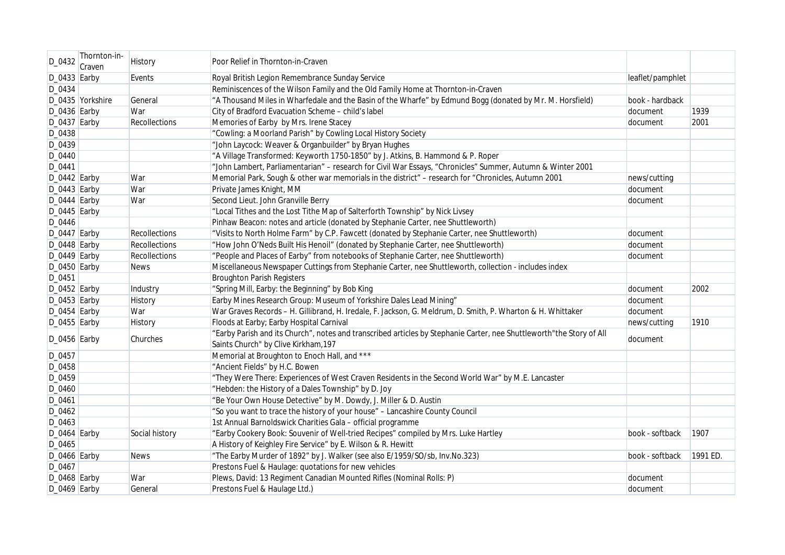| D_0432         | Thornton-in-<br>Craven | <b>History</b>       | Poor Relief in Thornton-in-Craven                                                                                                                            |                  |          |
|----------------|------------------------|----------------------|--------------------------------------------------------------------------------------------------------------------------------------------------------------|------------------|----------|
| $D_0433$ Earby |                        | Events               | Royal British Legion Remembrance Sunday Service                                                                                                              | leaflet/pamphlet |          |
| D_0434         |                        |                      | Reminiscences of the Wilson Family and the Old Family Home at Thornton-in-Craven                                                                             |                  |          |
|                | D_0435 Yorkshire       | General              | "A Thousand Miles in Wharfedale and the Basin of the Wharfe" by Edmund Bogg (donated by Mr. M. Horsfield)                                                    | book - hardback  |          |
| $D_0436$ Earby |                        | War                  | City of Bradford Evacuation Scheme - child's label                                                                                                           | document         | 1939     |
| $D_0437$ Earby |                        | Recollections        | Memories of Earby by Mrs. Irene Stacey                                                                                                                       | document         | 2001     |
| D_0438         |                        |                      | "Cowling: a Moorland Parish" by Cowling Local History Society                                                                                                |                  |          |
| D_0439         |                        |                      | "John Laycock: Weaver & Organbuilder" by Bryan Hughes                                                                                                        |                  |          |
| D_0440         |                        |                      | "A Village Transformed: Keyworth 1750-1850" by J. Atkins, B. Hammond & P. Roper                                                                              |                  |          |
| D_0441         |                        |                      | "John Lambert, Parliamentarian" - research for Civil War Essays, "Chronicles" Summer, Autumn & Winter 2001                                                   |                  |          |
| $D_0442$ Earby |                        | War                  | Memorial Park, Sough & other war memorials in the district" - research for "Chronicles, Autumn 2001                                                          | news/cutting     |          |
| $D_0443$ Earby |                        | War                  | Private James Knight, MM                                                                                                                                     | document         |          |
| $D_0444$ Earby |                        | War                  | Second Lieut. John Granville Berry                                                                                                                           | document         |          |
| $D_0445$ Earby |                        |                      | "Local Tithes and the Lost Tithe Map of Salterforth Township" by Nick Livsey                                                                                 |                  |          |
| D_0446         |                        |                      | Pinhaw Beacon: notes and article (donated by Stephanie Carter, nee Shuttleworth)                                                                             |                  |          |
| $D_0447$ Earby |                        | Recollections        | "Visits to North Holme Farm" by C.P. Fawcett (donated by Stephanie Carter, nee Shuttleworth)                                                                 | document         |          |
| $D_0448$ Earby |                        | <b>Recollections</b> | "How John O'Neds Built His Henoil" (donated by Stephanie Carter, nee Shuttleworth)                                                                           | document         |          |
| $D_0449$ Earby |                        | Recollections        | "People and Places of Earby" from notebooks of Stephanie Carter, nee Shuttleworth)                                                                           | document         |          |
| $D_0450$ Earby |                        | <b>News</b>          | Miscellaneous Newspaper Cuttings from Stephanie Carter, nee Shuttleworth, collection - includes index                                                        |                  |          |
| D_0451         |                        |                      | <b>Broughton Parish Registers</b>                                                                                                                            |                  |          |
| $D_0452$ Earby |                        | Industry             | "Spring Mill, Earby: the Beginning" by Bob King                                                                                                              | document         | 2002     |
| $D_0453$ Earby |                        | History              | Earby Mines Research Group: Museum of Yorkshire Dales Lead Mining"                                                                                           | document         |          |
| $D_0454$ Earby |                        | War                  | War Graves Records - H. Gillibrand, H. Iredale, F. Jackson, G. Meldrum, D. Smith, P. Wharton & H. Whittaker                                                  | document         |          |
| $D_0455$ Earby |                        | History              | Floods at Earby; Earby Hospital Carnival                                                                                                                     | news/cutting     | 1910     |
| $D_0456$ Earby |                        | Churches             | "Earby Parish and its Church", notes and transcribed articles by Stephanie Carter, nee Shuttleworth"the Story of All<br>Saints Church" by Clive Kirkham, 197 | document         |          |
| D_0457         |                        |                      | Memorial at Broughton to Enoch Hall, and ***                                                                                                                 |                  |          |
| D_0458         |                        |                      | "Ancient Fields" by H.C. Bowen                                                                                                                               |                  |          |
| D_0459         |                        |                      | "They Were There: Experiences of West Craven Residents in the Second World War" by M.E. Lancaster                                                            |                  |          |
| D_0460         |                        |                      | "Hebden: the History of a Dales Township" by D. Joy                                                                                                          |                  |          |
| D_0461         |                        |                      | "Be Your Own House Detective" by M. Dowdy, J. Miller & D. Austin                                                                                             |                  |          |
| $D_0462$       |                        |                      | "So you want to trace the history of your house" - Lancashire County Council                                                                                 |                  |          |
| $D_0463$       |                        |                      | 1st Annual Barnoldswick Charities Gala - official programme                                                                                                  |                  |          |
| $D_0464$ Earby |                        | Social history       | "Earby Cookery Book: Souvenir of Well-tried Recipes" compiled by Mrs. Luke Hartley                                                                           | book - softback  | 1907     |
| D_0465         |                        |                      | A History of Keighley Fire Service" by E. Wilson & R. Hewitt                                                                                                 |                  |          |
| $D_0466$ Earby |                        | <b>News</b>          | "The Earby Murder of 1892" by J. Walker (see also E/1959/SO/sb, Inv.No.323)                                                                                  | book - softback  | 1991 ED. |
| D_0467         |                        |                      | Prestons Fuel & Haulage: quotations for new vehicles                                                                                                         |                  |          |
| $D_0468$ Earby |                        | War                  | Plews, David: 13 Regiment Canadian Mounted Rifles (Nominal Rolls: P)                                                                                         | document         |          |
| $D_0469$ Earby |                        | General              | Prestons Fuel & Haulage Ltd.)                                                                                                                                | document         |          |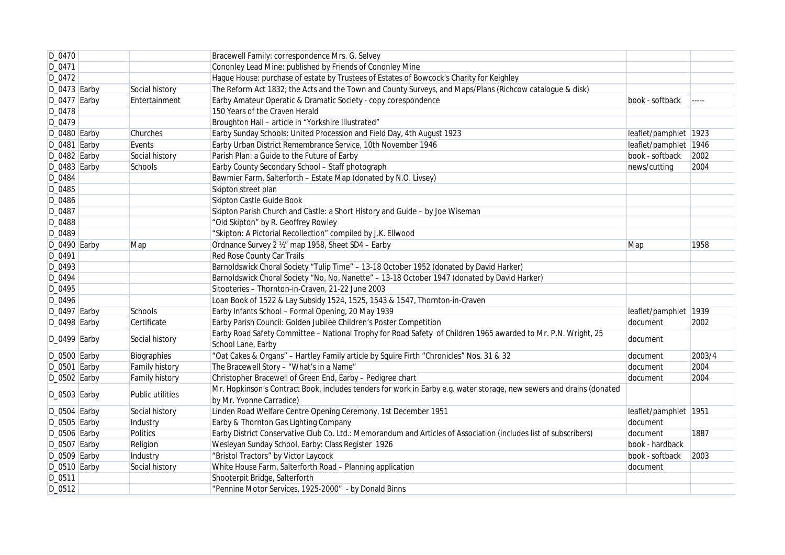| D_0470         |                  | Bracewell Family: correspondence Mrs. G. Selvey                                                                                                  |                       |        |
|----------------|------------------|--------------------------------------------------------------------------------------------------------------------------------------------------|-----------------------|--------|
| D_0471         |                  | Cononley Lead Mine: published by Friends of Cononley Mine                                                                                        |                       |        |
| D_0472         |                  | Hague House: purchase of estate by Trustees of Estates of Bowcock's Charity for Keighley                                                         |                       |        |
| $D_0473$ Earby | Social history   | The Reform Act 1832; the Acts and the Town and County Surveys, and Maps/Plans (Richcow catalogue & disk)                                         |                       |        |
| $D_0477$ Earby | Entertainment    | Earby Amateur Operatic & Dramatic Society - copy corespondence                                                                                   | book - softback       | -----  |
| D_0478         |                  | 150 Years of the Craven Herald                                                                                                                   |                       |        |
| D_0479         |                  | Broughton Hall - article in "Yorkshire Illustrated"                                                                                              |                       |        |
| D_0480 Earby   | Churches         | Earby Sunday Schools: United Procession and Field Day, 4th August 1923                                                                           | leaflet/pamphlet 1923 |        |
| $D_0481$ Earby | Events           | Earby Urban District Remembrance Service, 10th November 1946                                                                                     | leaflet/pamphlet 1946 |        |
| $D_0482$ Earby | Social history   | Parish Plan: a Guide to the Future of Earby                                                                                                      | book - softback       | 2002   |
| $D_0483$ Earby | Schools          | Earby County Secondary School - Staff photograph                                                                                                 | news/cutting          | 2004   |
| D_0484         |                  | Bawmier Farm, Salterforth - Estate Map (donated by N.O. Livsey)                                                                                  |                       |        |
| D_0485         |                  | Skipton street plan                                                                                                                              |                       |        |
| D_0486         |                  | Skipton Castle Guide Book                                                                                                                        |                       |        |
| D_0487         |                  | Skipton Parish Church and Castle: a Short History and Guide - by Joe Wiseman                                                                     |                       |        |
| D_0488         |                  | "Old Skipton" by R. Geoffrey Rowley                                                                                                              |                       |        |
| D_0489         |                  | "Skipton: A Pictorial Recollection" compiled by J.K. Ellwood                                                                                     |                       |        |
| D_0490 Earby   | Map              | Ordnance Survey 2 1/2" map 1958, Sheet SD4 - Earby                                                                                               | Map                   | 1958   |
| D_0491         |                  | Red Rose County Car Trails                                                                                                                       |                       |        |
| D_0493         |                  | Barnoldswick Choral Society "Tulip Time" - 13-18 October 1952 (donated by David Harker)                                                          |                       |        |
| D_0494         |                  | Barnoldswick Choral Society "No, No, Nanette" - 13-18 October 1947 (donated by David Harker)                                                     |                       |        |
| D_0495         |                  | Sitooteries - Thornton-in-Craven, 21-22 June 2003                                                                                                |                       |        |
| D_0496         |                  | Loan Book of 1522 & Lay Subsidy 1524, 1525, 1543 & 1547, Thornton-in-Craven                                                                      |                       |        |
| $D_0497$ Earby | Schools          | Earby Infants School - Formal Opening, 20 May 1939                                                                                               | leaflet/pamphlet 1939 |        |
| $D_0498$ Earby | Certificate      | Earby Parish Council: Golden Jubilee Children's Poster Competition                                                                               | document              | 2002   |
| $D_0499$ Earby | Social history   | Earby Road Safety Committee - National Trophy for Road Safety of Children 1965 awarded to Mr. P.N. Wright, 25<br>School Lane, Earby              | document              |        |
| $D_0500$ Earby | Biographies      | "Oat Cakes & Organs" - Hartley Family article by Squire Firth "Chronicles" Nos. 31 & 32                                                          | document              | 2003/4 |
| $D_0501$ Earby | Family history   | The Bracewell Story - "What's in a Name"                                                                                                         | document              | 2004   |
| $D_0502$ Earby | Family history   | Christopher Bracewell of Green End, Earby - Pedigree chart                                                                                       | document              | 2004   |
| $D_0503$ Earby | Public utilities | Mr. Hopkinson's Contract Book, includes tenders for work in Earby e.g. water storage, new sewers and drains (donated<br>by Mr. Yvonne Carradice) |                       |        |
| $D_0504$ Earby | Social history   | Linden Road Welfare Centre Opening Ceremony, 1st December 1951                                                                                   | leaflet/pamphlet 1951 |        |
| $D_0505$ Earby | Industry         | Earby & Thornton Gas Lighting Company                                                                                                            | document              |        |
| D_0506 Earby   | <b>Politics</b>  | Earby District Conservative Club Co. Ltd.: Memorandum and Articles of Association (includes list of subscribers)                                 | document              | 1887   |
| $D_0507$ Earby | Religion         | Wesleyan Sunday School, Earby: Class Register 1926                                                                                               | book - hardback       |        |
| $D_0509$ Earby | Industry         | "Bristol Tractors" by Victor Laycock                                                                                                             | book - softback       | 2003   |
| D_0510 Earby   | Social history   | White House Farm, Salterforth Road - Planning application                                                                                        | document              |        |
| D_0511         |                  | Shooterpit Bridge, Salterforth                                                                                                                   |                       |        |
| D_0512         |                  | "Pennine Motor Services, 1925-2000" - by Donald Binns                                                                                            |                       |        |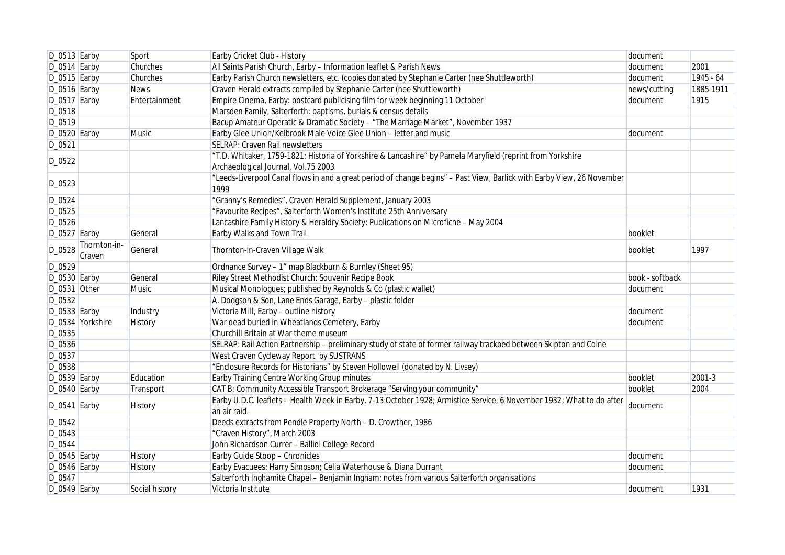| $D_0513$ Earby |                        | Sport          | Earby Cricket Club - History                                                                                                   | document        |           |
|----------------|------------------------|----------------|--------------------------------------------------------------------------------------------------------------------------------|-----------------|-----------|
| $D_0514$ Earby |                        | Churches       | All Saints Parish Church, Earby - Information leaflet & Parish News                                                            | document        | 2001      |
| $D_0515$ Earby |                        | Churches       | Earby Parish Church newsletters, etc. (copies donated by Stephanie Carter (nee Shuttleworth)                                   | document        | 1945 - 64 |
| $D_0516$ Earby |                        | <b>News</b>    | Craven Herald extracts compiled by Stephanie Carter (nee Shuttleworth)                                                         | news/cutting    | 1885-1911 |
| $D_0517$ Earby |                        | Entertainment  | Empire Cinema, Earby: postcard publicising film for week beginning 11 October                                                  | document        | 1915      |
| D_0518         |                        |                | Marsden Family, Salterforth: baptisms, burials & census details                                                                |                 |           |
| D_0519         |                        |                | Bacup Amateur Operatic & Dramatic Society - "The Marriage Market", November 1937                                               |                 |           |
| D_0520 Earby   |                        | Music          | Earby Glee Union/Kelbrook Male Voice Glee Union - letter and music                                                             | document        |           |
| D_0521         |                        |                | SELRAP: Craven Rail newsletters                                                                                                |                 |           |
|                |                        |                | "T.D. Whitaker, 1759-1821: Historia of Yorkshire & Lancashire" by Pamela Maryfield (reprint from Yorkshire                     |                 |           |
| D_0522         |                        |                | Archaeological Journal, Vol.75 2003                                                                                            |                 |           |
| D_0523         |                        |                | "Leeds-Liverpool Canal flows in and a great period of change begins" - Past View, Barlick with Earby View, 26 November<br>1999 |                 |           |
| D_0524         |                        |                | "Granny's Remedies", Craven Herald Supplement, January 2003                                                                    |                 |           |
| D_0525         |                        |                | "Favourite Recipes", Salterforth Women's Institute 25th Anniversary                                                            |                 |           |
| D_0526         |                        |                | Lancashire Family History & Heraldry Society: Publications on Microfiche - May 2004                                            |                 |           |
| $D_0527$ Earby |                        | General        | Earby Walks and Town Trail                                                                                                     | booklet         |           |
| D_0528         | Thornton-in-<br>Craven | General        | Thornton-in-Craven Village Walk                                                                                                | booklet         | 1997      |
| D_0529         |                        |                | Ordnance Survey - 1" map Blackburn & Burnley (Sheet 95)                                                                        |                 |           |
| $D_0530$ Earby |                        | General        | Riley Street Methodist Church: Souvenir Recipe Book                                                                            | book - softback |           |
| $D_0531$ Other |                        | Music          | Musical Monologues; published by Reynolds & Co (plastic wallet)                                                                | document        |           |
| D_0532         |                        |                | A. Dodgson & Son, Lane Ends Garage, Earby - plastic folder                                                                     |                 |           |
| $D_0533$ Earby |                        | Industry       | Victoria Mill, Earby - outline history                                                                                         | document        |           |
|                | D_0534 Yorkshire       | History        | War dead buried in Wheatlands Cemetery, Earby                                                                                  | document        |           |
| D_0535         |                        |                | Churchill Britain at War theme museum                                                                                          |                 |           |
| D_0536         |                        |                | SELRAP: Rail Action Partnership - preliminary study of state of former railway trackbed between Skipton and Colne              |                 |           |
| D_0537         |                        |                | West Craven Cycleway Report by SUSTRANS                                                                                        |                 |           |
| D_0538         |                        |                | "Enclosure Records for Historians" by Steven Hollowell (donated by N. Livsey)                                                  |                 |           |
| $D_0539$ Earby |                        | Education      | Earby Training Centre Working Group minutes                                                                                    | booklet         | 2001-3    |
| $D_0540$ Earby |                        | Transport      | CAT B: Community Accessible Transport Brokerage "Serving your community"                                                       | booklet         | 2004      |
| $D_0541$ Earby |                        |                | Earby U.D.C. leaflets - Health Week in Earby, 7-13 October 1928; Armistice Service, 6 November 1932; What to do after          | document        |           |
|                |                        | <b>History</b> | an air raid.                                                                                                                   |                 |           |
| D_0542         |                        |                | Deeds extracts from Pendle Property North - D. Crowther, 1986                                                                  |                 |           |
| $D_0543$       |                        |                | "Craven History", March 2003                                                                                                   |                 |           |
| D_0544         |                        |                | John Richardson Currer - Balliol College Record                                                                                |                 |           |
| $D_0545$ Earby |                        | History        | Earby Guide Stoop - Chronicles                                                                                                 | document        |           |
| D_0546 Earby   |                        | History        | Earby Evacuees: Harry Simpson; Celia Waterhouse & Diana Durrant                                                                | document        |           |
| D_0547         |                        |                | Salterforth Inghamite Chapel - Benjamin Ingham; notes from various Salterforth organisations                                   |                 |           |
| $D_0549$ Earby |                        | Social history | Victoria Institute                                                                                                             | document        | 1931      |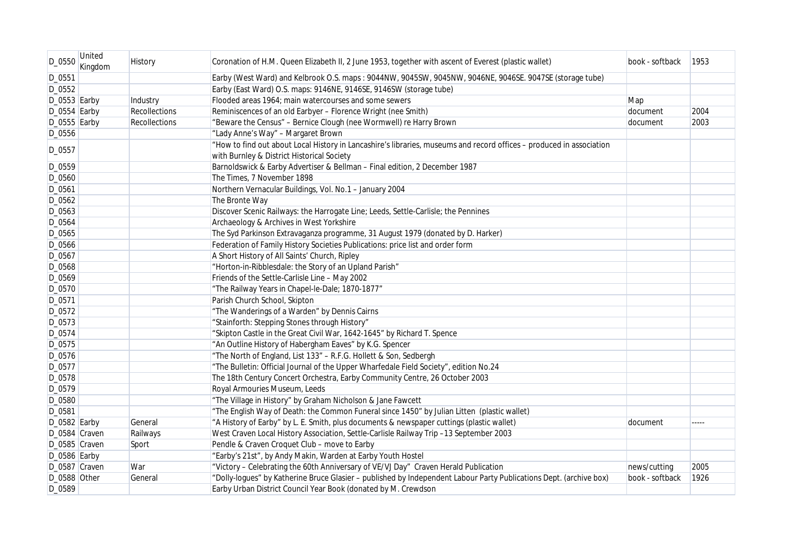| D_0550         | United<br>Kingdom | History       | Coronation of H.M. Queen Elizabeth II, 2 June 1953, together with ascent of Everest (plastic wallet)                                                               | book - softback | 1953 |
|----------------|-------------------|---------------|--------------------------------------------------------------------------------------------------------------------------------------------------------------------|-----------------|------|
| D_0551         |                   |               | Earby (West Ward) and Kelbrook O.S. maps: 9044NW, 9045SW, 9045NW, 9046NE, 9046SE. 9047SE (storage tube)                                                            |                 |      |
| D_0552         |                   |               | Earby (East Ward) O.S. maps: 9146NE, 9146SE, 9146SW (storage tube)                                                                                                 |                 |      |
| $D_0553$ Earby |                   | Industry      | Flooded areas 1964; main watercourses and some sewers                                                                                                              | Map             |      |
| $D_0554$ Earby |                   | Recollections | Reminiscences of an old Earbyer - Florence Wright (nee Smith)                                                                                                      | document        | 2004 |
| $D_0555$ Earby |                   | Recollections | "Beware the Census" - Bernice Clough (nee Wormwell) re Harry Brown                                                                                                 | document        | 2003 |
| D_0556         |                   |               | "Lady Anne's Way" - Margaret Brown                                                                                                                                 |                 |      |
| D_0557         |                   |               | "How to find out about Local History in Lancashire's libraries, museums and record offices - produced in association<br>with Burnley & District Historical Society |                 |      |
| D_0559         |                   |               | Barnoldswick & Earby Advertiser & Bellman - Final edition, 2 December 1987                                                                                         |                 |      |
| D_0560         |                   |               | The Times, 7 November 1898                                                                                                                                         |                 |      |
| D_0561         |                   |               | Northern Vernacular Buildings, Vol. No.1 - January 2004                                                                                                            |                 |      |
| D_0562         |                   |               | The Bronte Way                                                                                                                                                     |                 |      |
| D_0563         |                   |               | Discover Scenic Railways: the Harrogate Line; Leeds, Settle-Carlisle; the Pennines                                                                                 |                 |      |
| D_0564         |                   |               | Archaeology & Archives in West Yorkshire                                                                                                                           |                 |      |
| D_0565         |                   |               | The Syd Parkinson Extravaganza programme, 31 August 1979 (donated by D. Harker)                                                                                    |                 |      |
| D_0566         |                   |               | Federation of Family History Societies Publications: price list and order form                                                                                     |                 |      |
| D_0567         |                   |               | A Short History of All Saints' Church, Ripley                                                                                                                      |                 |      |
| D_0568         |                   |               | "Horton-in-Ribblesdale: the Story of an Upland Parish"                                                                                                             |                 |      |
| D_0569         |                   |               | Friends of the Settle-Carlisle Line - May 2002                                                                                                                     |                 |      |
| D_0570         |                   |               | "The Railway Years in Chapel-le-Dale; 1870-1877"                                                                                                                   |                 |      |
| D_0571         |                   |               | Parish Church School, Skipton                                                                                                                                      |                 |      |
| $D_0572$       |                   |               | "The Wanderings of a Warden" by Dennis Cairns                                                                                                                      |                 |      |
| D_0573         |                   |               | "Stainforth: Stepping Stones through History"                                                                                                                      |                 |      |
| D_0574         |                   |               | "Skipton Castle in the Great Civil War, 1642-1645" by Richard T. Spence                                                                                            |                 |      |
| D_0575         |                   |               | "An Outline History of Habergham Eaves" by K.G. Spencer                                                                                                            |                 |      |
| D_0576         |                   |               | "The North of England, List 133" - R.F.G. Hollett & Son, Sedbergh                                                                                                  |                 |      |
| D_0577         |                   |               | "The Bulletin: Official Journal of the Upper Wharfedale Field Society", edition No.24                                                                              |                 |      |
| D_0578         |                   |               | The 18th Century Concert Orchestra, Earby Community Centre, 26 October 2003                                                                                        |                 |      |
| D_0579         |                   |               | Royal Armouries Museum, Leeds                                                                                                                                      |                 |      |
| D_0580         |                   |               | "The Village in History" by Graham Nicholson & Jane Fawcett                                                                                                        |                 |      |
| D_0581         |                   |               | "The English Way of Death: the Common Funeral since 1450" by Julian Litten (plastic wallet)                                                                        |                 |      |
| $D_0582$ Earby |                   | General       | "A History of Earby" by L. E. Smith, plus documents & newspaper cuttings (plastic wallet)                                                                          | document        |      |
| D_0584 Craven  |                   | Railways      | West Craven Local History Association, Settle-Carlisle Railway Trip -13 September 2003                                                                             |                 |      |
| D_0585 Craven  |                   | Sport         | Pendle & Craven Croquet Club - move to Earby                                                                                                                       |                 |      |
| $D_0586$ Earby |                   |               | "Earby's 21st", by Andy Makin, Warden at Earby Youth Hostel                                                                                                        |                 |      |
| D_0587 Craven  |                   | War           | "Victory - Celebrating the 60th Anniversary of VE/VJ Day" Craven Herald Publication                                                                                | news/cutting    | 2005 |
| D_0588 Other   |                   | General       | "Dolly-logues" by Katherine Bruce Glasier - published by Independent Labour Party Publications Dept. (archive box)                                                 | book - softback | 1926 |
| D_0589         |                   |               | Earby Urban District Council Year Book (donated by M. Crewdson                                                                                                     |                 |      |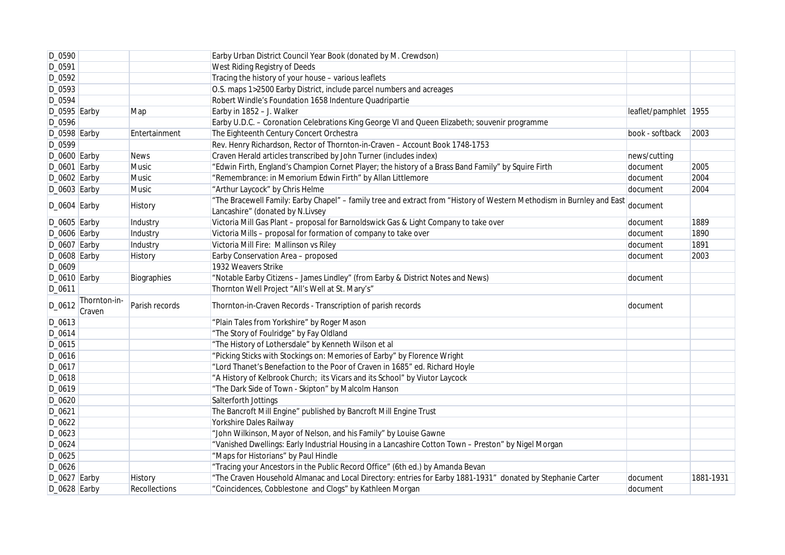| D_0590          |                        |                      | Earby Urban District Council Year Book (donated by M. Crewdson)                                                                                           |                       |           |
|-----------------|------------------------|----------------------|-----------------------------------------------------------------------------------------------------------------------------------------------------------|-----------------------|-----------|
| D_0591          |                        |                      | West Riding Registry of Deeds                                                                                                                             |                       |           |
| D_0592          |                        |                      | Tracing the history of your house - various leaflets                                                                                                      |                       |           |
| $D_0593$        |                        |                      | O.S. maps 1>2500 Earby District, include parcel numbers and acreages                                                                                      |                       |           |
| D_0594          |                        |                      | Robert Windle's Foundation 1658 Indenture Quadripartie                                                                                                    |                       |           |
| D_0595 Earby    |                        | Map                  | Earby in 1852 - J. Walker                                                                                                                                 | leaflet/pamphlet 1955 |           |
| D_0596          |                        |                      | Earby U.D.C. - Coronation Celebrations King George VI and Queen Elizabeth; souvenir programme                                                             |                       |           |
| $D_0598$ Earby  |                        | Entertainment        | The Eighteenth Century Concert Orchestra                                                                                                                  | book - softback       | 2003      |
| D_0599          |                        |                      | Rev. Henry Richardson, Rector of Thornton-in-Craven - Account Book 1748-1753                                                                              |                       |           |
| D_0600 Earby    |                        | <b>News</b>          | Craven Herald articles transcribed by John Turner (includes index)                                                                                        | news/cutting          |           |
| $D_0601$ Earby  |                        | Music                | "Edwin Firth, England's Champion Cornet Player; the history of a Brass Band Family" by Squire Firth                                                       | document              | 2005      |
| $D_0602$ Earby  |                        | Music                | "Remembrance: in Memorium Edwin Firth" by Allan Littlemore                                                                                                | document              | 2004      |
| $D_0603$ Earby  |                        | Music                | "Arthur Laycock" by Chris Helme                                                                                                                           | document              | 2004      |
| $D_0604$ Earby  |                        | History              | "The Bracewell Family: Earby Chapel" – family tree and extract from "History of Western Methodism in Burnley and East<br>Lancashire" (donated by N.Livsey | document              |           |
| $D_0$ 605 Earby |                        | Industry             | Victoria Mill Gas Plant - proposal for Barnoldswick Gas & Light Company to take over                                                                      | document              | 1889      |
| $D_0606$ Earby  |                        | Industry             | Victoria Mills - proposal for formation of company to take over                                                                                           | document              | 1890      |
| $D_0607$ Earby  |                        | Industry             | Victoria Mill Fire: Mallinson vs Riley                                                                                                                    | document              | 1891      |
| $D_0608$ Earby  |                        | <b>History</b>       | Earby Conservation Area - proposed                                                                                                                        | document              | 2003      |
| D_0609          |                        |                      | 1932 Weavers Strike                                                                                                                                       |                       |           |
| $D_0$ 610 Earby |                        | Biographies          | "Notable Earby Citizens - James Lindley" (from Earby & District Notes and News)                                                                           | document              |           |
| D_0611          |                        |                      | Thornton Well Project "All's Well at St. Mary's"                                                                                                          |                       |           |
| D_0612          | Thornton-in-<br>Craven | Parish records       | Thornton-in-Craven Records - Transcription of parish records                                                                                              | document              |           |
| D_0613          |                        |                      | "Plain Tales from Yorkshire" by Roger Mason                                                                                                               |                       |           |
| D_0614          |                        |                      | "The Story of Foulridge" by Fay Oldland                                                                                                                   |                       |           |
| D_0615          |                        |                      | "The History of Lothersdale" by Kenneth Wilson et al                                                                                                      |                       |           |
| D_0616          |                        |                      | "Picking Sticks with Stockings on: Memories of Earby" by Florence Wright                                                                                  |                       |           |
| D_0617          |                        |                      | "Lord Thanet's Benefaction to the Poor of Craven in 1685" ed. Richard Hoyle                                                                               |                       |           |
| D_0618          |                        |                      | "A History of Kelbrook Church; its Vicars and its School" by Viutor Laycock                                                                               |                       |           |
| D_0619          |                        |                      | "The Dark Side of Town - Skipton" by Malcolm Hanson                                                                                                       |                       |           |
| D_0620          |                        |                      | Salterforth Jottings                                                                                                                                      |                       |           |
| D_0621          |                        |                      | The Bancroft Mill Engine" published by Bancroft Mill Engine Trust                                                                                         |                       |           |
| D_0622          |                        |                      | Yorkshire Dales Railway                                                                                                                                   |                       |           |
| D_0623          |                        |                      | "John Wilkinson, Mayor of Nelson, and his Family" by Louise Gawne                                                                                         |                       |           |
| D_0624          |                        |                      | "Vanished Dwellings: Early Industrial Housing in a Lancashire Cotton Town - Preston" by Nigel Morgan                                                      |                       |           |
| D_0625          |                        |                      | "Maps for Historians" by Paul Hindle                                                                                                                      |                       |           |
| $D_0626$        |                        |                      | "Tracing your Ancestors in the Public Record Office" (6th ed.) by Amanda Bevan                                                                            |                       |           |
| D_0627 Earby    |                        | <b>History</b>       | "The Craven Household Almanac and Local Directory: entries for Earby 1881-1931" donated by Stephanie Carter                                               | document              | 1881-1931 |
| $D_0628$ Earby  |                        | <b>Recollections</b> | "Coincidences, Cobblestone and Clogs" by Kathleen Morgan                                                                                                  | document              |           |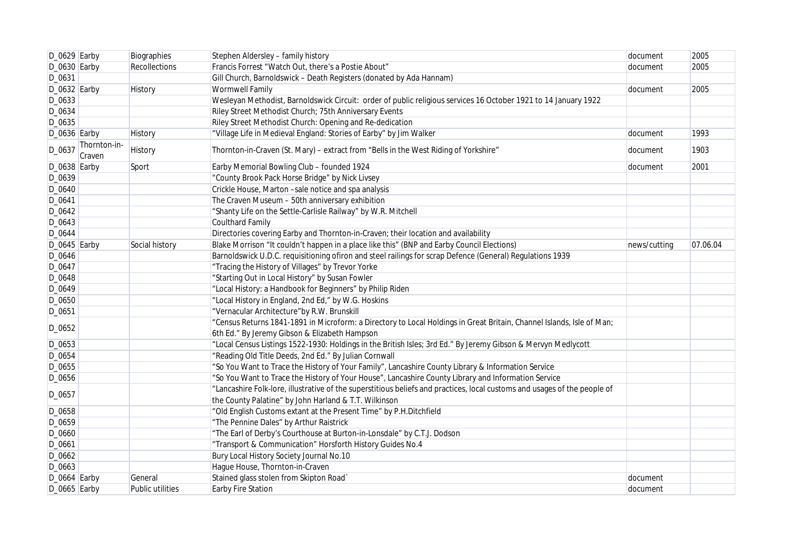| $D_0629$ Earby |                        | Biographies             | Stephen Aldersley - family history                                                                                        | document     | 2005     |
|----------------|------------------------|-------------------------|---------------------------------------------------------------------------------------------------------------------------|--------------|----------|
| $D_0630$ Earby |                        | Recollections           | Francis Forrest "Watch Out, there's a Postie About"                                                                       | document     | 2005     |
| D_0631         |                        |                         | Gill Church, Barnoldswick - Death Registers (donated by Ada Hannam)                                                       |              |          |
| $D_0632$ Earby |                        | History                 | <b>Wormwell Family</b>                                                                                                    | document     | 2005     |
| D_0633         |                        |                         | Wesleyan Methodist, Barnoldswick Circuit: order of public religious services 16 October 1921 to 14 January 1922           |              |          |
| D_0634         |                        |                         | Riley Street Methodist Church; 75th Anniversary Events                                                                    |              |          |
| D_0635         |                        |                         | Riley Street Methodist Church: Opening and Re-dedication                                                                  |              |          |
| $D_0636$ Earby |                        | <b>History</b>          | "Village Life in Medieval England: Stories of Earby" by Jim Walker                                                        | document     | 1993     |
| D_0637         | Thornton-in-<br>Craven | History                 | Thornton-in-Craven (St. Mary) – extract from "Bells in the West Riding of Yorkshire"                                      | document     | 1903     |
| $D_0638$ Earby |                        | Sport                   | Earby Memorial Bowling Club - founded 1924                                                                                | document     | 2001     |
| D_0639         |                        |                         | "County Brook Pack Horse Bridge" by Nick Livsey                                                                           |              |          |
| D_0640         |                        |                         | Crickle House, Marton -sale notice and spa analysis                                                                       |              |          |
| D_0641         |                        |                         | The Craven Museum - 50th anniversary exhibition                                                                           |              |          |
| D_0642         |                        |                         | "Shanty Life on the Settle-Carlisle Railway" by W.R. Mitchell                                                             |              |          |
| D_0643         |                        |                         | <b>Coulthard Family</b>                                                                                                   |              |          |
| D_0644         |                        |                         | Directories covering Earby and Thornton-in-Craven; their location and availability                                        |              |          |
| $D_0645$ Earby |                        | Social history          | Blake Morrison "It couldn't happen in a place like this" (BNP and Earby Council Elections)                                | news/cutting | 07.06.04 |
| D_0646         |                        |                         | Barnoldswick U.D.C. requisitioning ofiron and steel railings for scrap Defence (General) Regulations 1939                 |              |          |
| D_0647         |                        |                         | "Tracing the History of Villages" by Trevor Yorke                                                                         |              |          |
| D_0648         |                        |                         | "Starting Out in Local History" by Susan Fowler                                                                           |              |          |
| D_0649         |                        |                         | "Local History: a Handbook for Beginners" by Philip Riden                                                                 |              |          |
| D_0650         |                        |                         | "Local History in England, 2nd Ed," by W.G. Hoskins                                                                       |              |          |
| D_0651         |                        |                         | "Vernacular Architecture"by R.W. Brunskill                                                                                |              |          |
| D_0652         |                        |                         | "Census Returns 1841-1891 in Microform: a Directory to Local Holdings in Great Britain, Channel Islands, Isle of Man;     |              |          |
|                |                        |                         | 6th Ed." By Jeremy Gibson & Elizabeth Hampson                                                                             |              |          |
| D_0653         |                        |                         | "Local Census Listings 1522-1930: Holdings in the British Isles; 3rd Ed." By Jeremy Gibson & Mervyn Medlycott             |              |          |
| D_0654         |                        |                         | "Reading Old Title Deeds, 2nd Ed." By Julian Cornwall                                                                     |              |          |
| D_0655         |                        |                         | "So You Want to Trace the History of Your Family", Lancashire County Library & Information Service                        |              |          |
| D_0656         |                        |                         | "So You Want to Trace the History of Your House", Lancashire County Library and Information Service                       |              |          |
| D_0657         |                        |                         | "Lancashire Folk-lore, illustrative of the superstitious beliefs and practices, local customs and usages of the people of |              |          |
|                |                        |                         | the County Palatine" by John Harland & T.T. Wilkinson                                                                     |              |          |
| D_0658         |                        |                         | "Old English Customs extant at the Present Time" by P.H.Ditchfield                                                        |              |          |
| D_0659         |                        |                         | "The Pennine Dales" by Arthur Raistrick                                                                                   |              |          |
| D_0660         |                        |                         | "The Earl of Derby's Courthouse at Burton-in-Lonsdale" by C.T.J. Dodson                                                   |              |          |
| D_0661         |                        |                         | "Transport & Communication" Horsforth History Guides No.4                                                                 |              |          |
| D_0662         |                        |                         | Bury Local History Society Journal No.10                                                                                  |              |          |
| D_0663         |                        |                         | Hague House, Thornton-in-Craven                                                                                           |              |          |
| $D_0664$ Earby |                        | General                 | Stained glass stolen from Skipton Road`                                                                                   | document     |          |
| $D_0665$ Earby |                        | <b>Public utilities</b> | Earby Fire Station                                                                                                        | document     |          |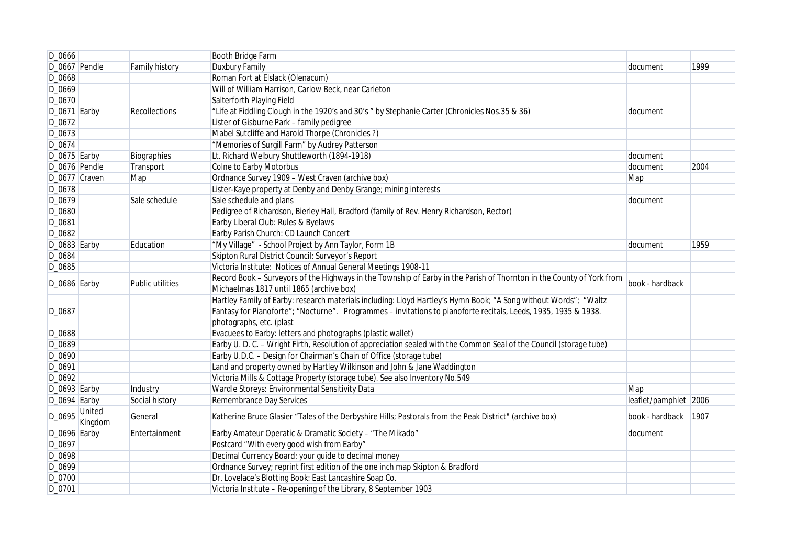| D_0666          |                   |                  | Booth Bridge Farm                                                                                                     |                       |      |
|-----------------|-------------------|------------------|-----------------------------------------------------------------------------------------------------------------------|-----------------------|------|
| D_0667 Pendle   |                   | Family history   | Duxbury Family                                                                                                        | document              | 1999 |
| D_0668          |                   |                  | Roman Fort at Elslack (Olenacum)                                                                                      |                       |      |
| D_0669          |                   |                  | Will of William Harrison, Carlow Beck, near Carleton                                                                  |                       |      |
| D_0670          |                   |                  | Salterforth Playing Field                                                                                             |                       |      |
| $D_0671$ Earby  |                   | Recollections    | "Life at Fiddling Clough in the 1920's and 30's " by Stephanie Carter (Chronicles Nos.35 & 36)                        | document              |      |
| D_0672          |                   |                  | Lister of Gisburne Park - family pedigree                                                                             |                       |      |
| D_0673          |                   |                  | Mabel Sutcliffe and Harold Thorpe (Chronicles?)                                                                       |                       |      |
| D_0674          |                   |                  | "Memories of Surgill Farm" by Audrey Patterson                                                                        |                       |      |
| $D_0$ 675 Earby |                   | Biographies      | Lt. Richard Welbury Shuttleworth (1894-1918)                                                                          | document              |      |
| D_0676 Pendle   |                   | Transport        | Colne to Earby Motorbus                                                                                               | document              | 2004 |
| D_0677 Craven   |                   | Map              | Ordnance Survey 1909 - West Craven (archive box)                                                                      | Map                   |      |
| D_0678          |                   |                  | Lister-Kaye property at Denby and Denby Grange; mining interests                                                      |                       |      |
| D_0679          |                   | Sale schedule    | Sale schedule and plans                                                                                               | document              |      |
| D_0680          |                   |                  | Pedigree of Richardson, Bierley Hall, Bradford (family of Rev. Henry Richardson, Rector)                              |                       |      |
| D_0681          |                   |                  | Earby Liberal Club: Rules & Byelaws                                                                                   |                       |      |
| D_0682          |                   |                  | Earby Parish Church: CD Launch Concert                                                                                |                       |      |
| $D_0683$ Earby  |                   | Education        | "My Village" - School Project by Ann Taylor, Form 1B                                                                  | document              | 1959 |
| D_0684          |                   |                  | Skipton Rural District Council: Surveyor's Report                                                                     |                       |      |
| D_0685          |                   |                  | Victoria Institute: Notices of Annual General Meetings 1908-11                                                        |                       |      |
| $D_0$ 686 Earby |                   | Public utilities | Record Book - Surveyors of the Highways in the Township of Earby in the Parish of Thornton in the County of York from | book - hardback       |      |
|                 |                   |                  | Michaelmas 1817 until 1865 (archive box)                                                                              |                       |      |
|                 |                   |                  | Hartley Family of Earby: research materials including: Lloyd Hartley's Hymn Book; "A Song without Words"; "Waltz      |                       |      |
| D_0687          |                   |                  | Fantasy for Pianoforte"; "Nocturne". Programmes - invitations to pianoforte recitals, Leeds, 1935, 1935 & 1938.       |                       |      |
|                 |                   |                  | photographs, etc. (plast                                                                                              |                       |      |
| D_0688          |                   |                  | Evacuees to Earby: letters and photographs (plastic wallet)                                                           |                       |      |
| D_0689          |                   |                  | Earby U.D.C. - Wright Firth, Resolution of appreciation sealed with the Common Seal of the Council (storage tube)     |                       |      |
| D_0690          |                   |                  | Earby U.D.C. - Design for Chairman's Chain of Office (storage tube)                                                   |                       |      |
| D_0691          |                   |                  | Land and property owned by Hartley Wilkinson and John & Jane Waddington                                               |                       |      |
| D_0692          |                   |                  | Victoria Mills & Cottage Property (storage tube). See also Inventory No.549                                           |                       |      |
| $D_0693$ Earby  |                   | Industry         | Wardle Storeys: Environmental Sensitivity Data                                                                        | Map                   |      |
| $D_0694$ Earby  |                   | Social history   | Remembrance Day Services                                                                                              | leaflet/pamphlet 2006 |      |
| D_0695          | United<br>Kingdom | General          | Katherine Bruce Glasier "Tales of the Derbyshire Hills; Pastorals from the Peak District" (archive box)               | book - hardback       | 1907 |
| D_0696 Earby    |                   | Entertainment    | Earby Amateur Operatic & Dramatic Society - "The Mikado"                                                              | document              |      |
| D_0697          |                   |                  | Postcard "With every good wish from Earby"                                                                            |                       |      |
| D_0698          |                   |                  | Decimal Currency Board: your guide to decimal money                                                                   |                       |      |
| D_0699          |                   |                  | Ordnance Survey; reprint first edition of the one inch map Skipton & Bradford                                         |                       |      |
| D_0700          |                   |                  | Dr. Lovelace's Blotting Book: East Lancashire Soap Co.                                                                |                       |      |
| D_0701          |                   |                  | Victoria Institute - Re-opening of the Library, 8 September 1903                                                      |                       |      |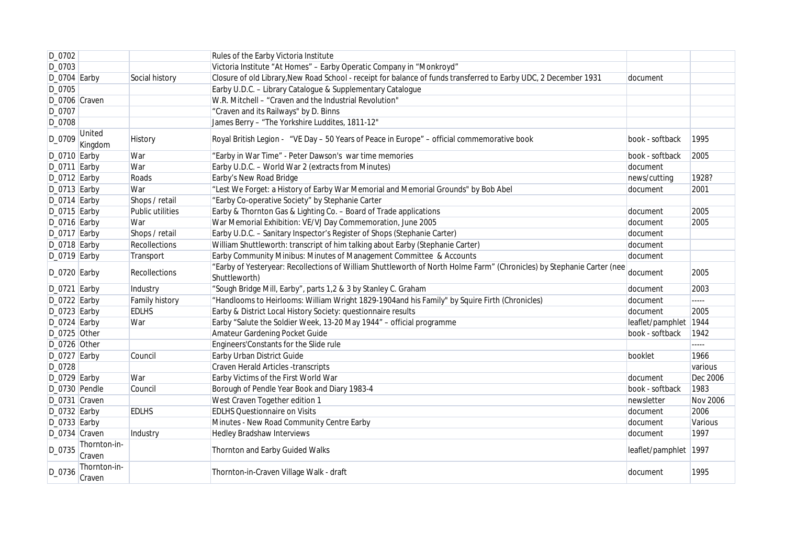| D_0702          |                          |                  | Rules of the Earby Victoria Institute                                                                                                   |                       |                 |
|-----------------|--------------------------|------------------|-----------------------------------------------------------------------------------------------------------------------------------------|-----------------------|-----------------|
| D_0703          |                          |                  | Victoria Institute "At Homes" - Earby Operatic Company in "Monkroyd"                                                                    |                       |                 |
| $D_0$ 704 Earby |                          | Social history   | Closure of old Library, New Road School - receipt for balance of funds transferred to Earby UDC, 2 December 1931                        | document              |                 |
| D_0705          |                          |                  | Earby U.D.C. - Library Catalogue & Supplementary Catalogue                                                                              |                       |                 |
| D_0706 Craven   |                          |                  | W.R. Mitchell - "Craven and the Industrial Revolution"                                                                                  |                       |                 |
| D_0707          |                          |                  | "Craven and its Railways" by D. Binns                                                                                                   |                       |                 |
| D_0708          |                          |                  | James Berry - "The Yorkshire Luddites, 1811-12"                                                                                         |                       |                 |
| D_0709          | <b>United</b><br>Kingdom | History          | Royal British Legion - "VE Day - 50 Years of Peace in Europe" - official commemorative book                                             | book - softback       | 1995            |
| D_0710 Earby    |                          | War              | "Earby in War Time" - Peter Dawson's war time memories                                                                                  | book - softback       | 2005            |
| $D_0$ 711 Earby |                          | War              | Earby U.D.C. - World War 2 (extracts from Minutes)                                                                                      | document              |                 |
| $D_0712$ Earby  |                          | Roads            | Earby's New Road Bridge                                                                                                                 | news/cutting          | 1928?           |
| $D_0713$ Earby  |                          | War              | "Lest We Forget: a History of Earby War Memorial and Memorial Grounds" by Bob Abel                                                      | document              | 2001            |
| $D_0$ 714 Earby |                          | Shops / retail   | "Earby Co-operative Society" by Stephanie Carter                                                                                        |                       |                 |
| $D_0$ 715 Earby |                          | Public utilities | Earby & Thornton Gas & Lighting Co. - Board of Trade applications                                                                       | document              | 2005            |
| $D_0$ 716 Earby |                          | War              | War Memorial Exhibition: VE/VJ Day Commemoration, June 2005                                                                             | document              | 2005            |
| $D_0$ 717 Earby |                          | Shops / retail   | Earby U.D.C. - Sanitary Inspector's Register of Shops (Stephanie Carter)                                                                | document              |                 |
| D_0718 Earby    |                          | Recollections    | William Shuttleworth: transcript of him talking about Earby (Stephanie Carter)                                                          | document              |                 |
| $D_0$ 719 Earby |                          | Transport        | Earby Community Minibus: Minutes of Management Committee & Accounts                                                                     | document              |                 |
| $D_0$ 720 Earby |                          | Recollections    | "Earby of Yesteryear: Recollections of William Shuttleworth of North Holme Farm" (Chronicles) by Stephanie Carter (nee<br>Shuttleworth) | document              | 2005            |
| $D_0721$ Earby  |                          | Industry         | "Sough Bridge Mill, Earby", parts 1,2 & 3 by Stanley C. Graham                                                                          | document              | 2003            |
| $D_0722$ Earby  |                          | Family history   | "Handlooms to Heirlooms: William Wright 1829-1904and his Family" by Squire Firth (Chronicles)                                           | document              | -----           |
| $D_0723$ Earby  |                          | <b>EDLHS</b>     | Earby & District Local History Society: questionnaire results                                                                           | document              | 2005            |
| $D_0$ 724 Earby |                          | War              | Earby "Salute the Soldier Week, 13-20 May 1944" - official programme                                                                    | leaflet/pamphlet 1944 |                 |
| D_0725 Other    |                          |                  | Amateur Gardening Pocket Guide                                                                                                          | book - softback       | 1942            |
| D_0726 Other    |                          |                  | Engineers' Constants for the Slide rule                                                                                                 |                       | -----           |
| $D_0727$ Earby  |                          | Council          | Earby Urban District Guide                                                                                                              | booklet               | 1966            |
| D_0728          |                          |                  | <b>Craven Herald Articles -transcripts</b>                                                                                              |                       | various         |
| $D_0729$ Earby  |                          | War              | Earby Victims of the First World War                                                                                                    | document              | Dec 2006        |
| D_0730 Pendle   |                          | Council          | Borough of Pendle Year Book and Diary 1983-4                                                                                            | book - softback       | 1983            |
| D_0731 Craven   |                          |                  | West Craven Together edition 1                                                                                                          | newsletter            | <b>Nov 2006</b> |
| $D_0732$ Earby  |                          | <b>EDLHS</b>     | <b>EDLHS Questionnaire on Visits</b>                                                                                                    | document              | 2006            |
| $D_0733$ Earby  |                          |                  | Minutes - New Road Community Centre Earby                                                                                               | document              | Various         |
| D_0734 Craven   |                          | Industry         | <b>Hedley Bradshaw Interviews</b>                                                                                                       | document              | 1997            |
| D_0735          | Thornton-in-<br>Craven   |                  | Thornton and Earby Guided Walks                                                                                                         | leaflet/pamphlet 1997 |                 |
| D_0736          | Thornton-in-<br>Craven   |                  | Thornton-in-Craven Village Walk - draft                                                                                                 | document              | 1995            |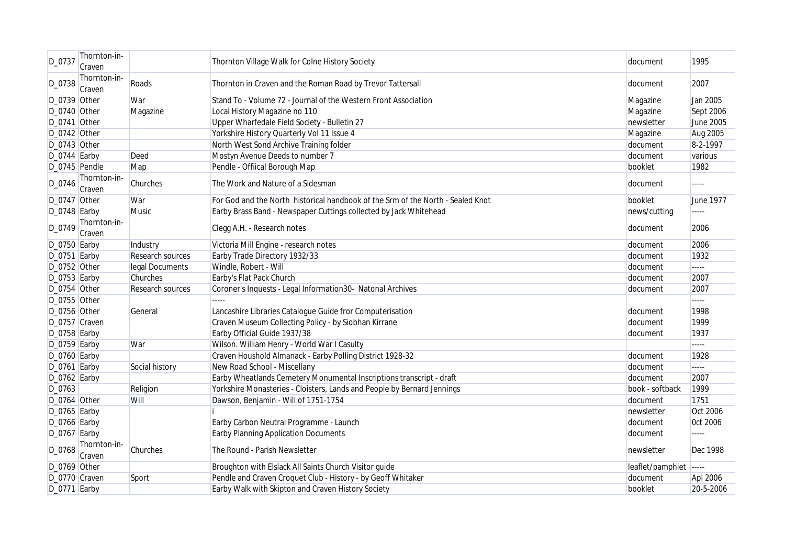| D_0737          | Thornton-in-<br>Craven |                  | Thornton Village Walk for Colne History Society                                 | document         | 1995                     |
|-----------------|------------------------|------------------|---------------------------------------------------------------------------------|------------------|--------------------------|
| D_0738          | Thornton-in-<br>Craven | Roads            | Thornton in Craven and the Roman Road by Trevor Tattersall                      | document         | 2007                     |
| D_0739 Other    |                        | War              | Stand To - Volume 72 - Journal of the Western Front Association                 | Magazine         | Jan 2005                 |
| D_0740 Other    |                        | Magazine         | Local History Magazine no 110                                                   | Magazine         | Sept 2006                |
| D_0741 Other    |                        |                  | Upper Wharfedale Field Society - Bulletin 27                                    | newsletter       | June 2005                |
| D_0742 Other    |                        |                  | Yorkshire History Quarterly Vol 11 Issue 4                                      | Magazine         | Aug 2005                 |
| D_0743 Other    |                        |                  | North West Sond Archive Training folder                                         | document         | 8-2-1997                 |
| D_0744 Earby    |                        | Deed             | Mostyn Avenue Deeds to number 7                                                 | document         | various                  |
| D_0745 Pendle   |                        | Map              | Pendle - Offiical Borough Map                                                   | booklet          | 1982                     |
| D_0746          | Thornton-in-<br>Craven | Churches         | The Work and Nature of a Sidesman                                               | document         | $---$                    |
| D_0747 Other    |                        | War              | For God and the North historical handbook of the Srm of the North - Sealed Knot | booklet          | June 1977                |
| $D_0748$ Earby  |                        | <b>Music</b>     | Earby Brass Band - Newspaper Cuttings collected by Jack Whitehead               | news/cutting     | -----                    |
| D_0749          | Thornton-in-           |                  |                                                                                 |                  | 2006                     |
|                 | Craven                 |                  | Clegg A.H. - Research notes                                                     | document         |                          |
| D_0750 Earby    |                        | Industry         | Victoria Mill Engine - research notes                                           | document         | 2006                     |
| $D_0$ 751 Earby |                        | Research sources | Earby Trade Directory 1932/33                                                   | document         | 1932                     |
| D_0752 Other    |                        | legal Documents  | Windle, Robert - Will                                                           | document         | $\overline{\phantom{a}}$ |
| $D_0$ 753 Earby |                        | Churches         | Earby's Flat Pack Church                                                        | document         | 2007                     |
| D_0754 Other    |                        | Research sources | Coroner's Inquests - Legal Information30- Natonal Archives                      | document         | 2007                     |
| D_0755 Other    |                        |                  | 112222                                                                          |                  | $\overline{a}$           |
| D_0756 Other    |                        | General          | Lancashire Libraries Catalogue Guide fror Computerisation                       | document         | 1998                     |
| D_0757 Craven   |                        |                  | Craven Museum Collecting Policy - by Siobhan Kirrane                            | document         | 1999                     |
| D_0758 Earby    |                        |                  | Earby Official Guide 1937/38                                                    | document         | 1937                     |
| $D_0759$ Earby  |                        | War              | Wilson. William Henry - World War I Casulty                                     |                  | <b>ELECT</b>             |
| D_0760 Earby    |                        |                  | Craven Houshold Almanack - Earby Polling District 1928-32                       | document         | 1928                     |
| $D_0761$ Earby  |                        | Social history   | New Road School - Miscellany                                                    | document         | -----                    |
| $D_0762$ Earby  |                        |                  | Earby Wheatlands Cemetery Monumental Inscriptions transcript - draft            | document         | 2007                     |
| D_0763          |                        | Religion         | Yorkshire Monasteries - Cloisters, Lands and People by Bernard Jennings         | book - softback  | 1999                     |
| D_0764 Other    |                        | Will             | Dawson, Benjamin - Will of 1751-1754                                            | document         | 1751                     |
| D_0765 Earby    |                        |                  |                                                                                 | newsletter       | Oct 2006                 |
| D_0766 Earby    |                        |                  | Earby Carbon Neutral Programme - Launch                                         | document         | <b>Oct 2006</b>          |
| $D_0767$ Earby  |                        |                  | <b>Earby Planning Application Documents</b>                                     | document         | $\frac{1}{2}$            |
| D_0768          | Thornton-in-<br>Craven | Churches         | The Round - Parish Newsletter                                                   | newsletter       | Dec 1998                 |
| D_0769 Other    |                        |                  | Broughton with Elslack All Saints Church Visitor guide                          | leaflet/pamphlet | -----                    |
| D_0770 Craven   |                        | Sport            | Pendle and Craven Croquet Club - History - by Geoff Whitaker                    | document         | Apl 2006                 |
| D_0771 Earby    |                        |                  | Earby Walk with Skipton and Craven History Society                              | booklet          | 20-5-2006                |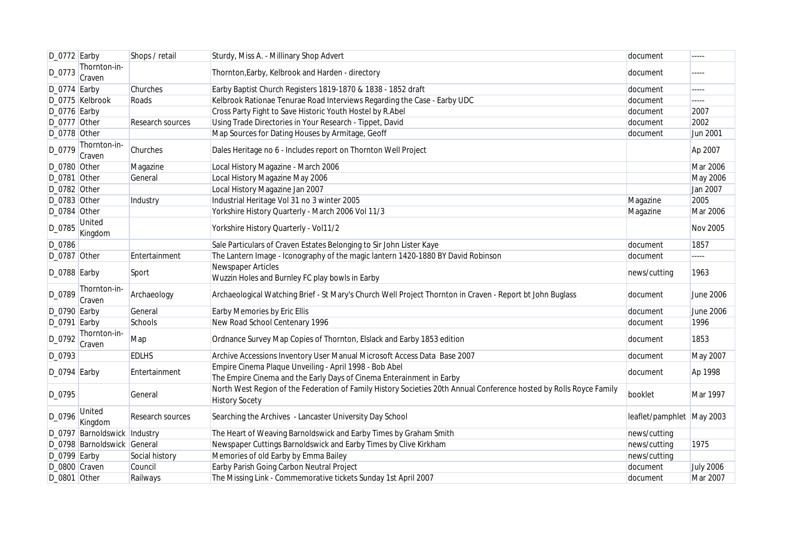| D_0772 Earby    |                              | Shops / retail   | Sturdy, Miss A. - Millinary Shop Advert                                                                                                      | document                  | -----            |
|-----------------|------------------------------|------------------|----------------------------------------------------------------------------------------------------------------------------------------------|---------------------------|------------------|
| D_0773          | Thornton-in-<br>Craven       |                  | Thornton, Earby, Kelbrook and Harden - directory                                                                                             | document                  | .                |
| $D_0774$ Earby  |                              | Churches         | Earby Baptist Church Registers 1819-1870 & 1838 - 1852 draft                                                                                 | document                  | $\cdots$         |
|                 | D_0775 Kelbrook              | Roads            | Kelbrook Rationae Tenurae Road Interviews Regarding the Case - Earby UDC                                                                     | document                  | $\cdots \cdots$  |
| D_0776 Earby    |                              |                  | Cross Party Fight to Save Historic Youth Hostel by R.Abel                                                                                    | document                  | 2007             |
| D_0777 Other    |                              | Research sources | Using Trade Directories in Your Research - Tippet, David                                                                                     | document                  | 2002             |
| D_0778 Other    |                              |                  | Map Sources for Dating Houses by Armitage, Geoff                                                                                             | document                  | Jun 2001         |
| D_0779          | Thornton-in-<br>Craven       | Churches         | Dales Heritage no 6 - Includes report on Thornton Well Project                                                                               |                           | Ap 2007          |
| D_0780 Other    |                              | Magazine         | Local History Magazine - March 2006                                                                                                          |                           | <b>Mar 2006</b>  |
| D_0781 Other    |                              | General          | Local History Magazine May 2006                                                                                                              |                           | May 2006         |
| D_0782 Other    |                              |                  | Local History Magazine Jan 2007                                                                                                              |                           | Jan 2007         |
| D_0783 Other    |                              | Industry         | Industrial Heritage Vol 31 no 3 winter 2005                                                                                                  | Magazine                  | 2005             |
| D_0784 Other    |                              |                  | Yorkshire History Quarterly - March 2006 Vol 11/3                                                                                            | Magazine                  | Mar 2006         |
| D_0785          | United<br>Kingdom            |                  | Yorkshire History Quarterly - Vol11/2                                                                                                        |                           | <b>Nov 2005</b>  |
| D_0786          |                              |                  | Sale Particulars of Craven Estates Belonging to Sir John Lister Kaye                                                                         | document                  | 1857             |
| D_0787 Other    |                              | Entertainment    | The Lantern Image - Iconography of the magic lantern 1420-1880 BY David Robinson                                                             | document                  | -----            |
| D_0788 Earby    |                              | Sport            | Newspaper Articles<br>Wuzzin Holes and Burnley FC play bowls in Earby                                                                        | news/cutting              | 1963             |
| D_0789          | Thornton-in-<br>Craven       | Archaeology      | Archaeological Watching Brief - St Mary's Church Well Project Thornton in Craven - Report bt John Buglass                                    | document                  | <b>June 2006</b> |
| $D_0790$ Earby  |                              | General          | Earby Memories by Eric Ellis                                                                                                                 | document                  | June 2006        |
| $D_0$ 791 Earby |                              | Schools          | New Road School Centenary 1996                                                                                                               | document                  | 1996             |
| D 0792          | Thornton-in-<br>Craven       | Map              | Ordnance Survey Map Copies of Thornton, Elslack and Earby 1853 edition                                                                       | document                  | 1853             |
| D_0793          |                              | <b>EDLHS</b>     | Archive Accessions Inventory User Manual Microsoft Access Data Base 2007                                                                     | document                  | May 2007         |
| $D_0$ 794 Earby |                              | Entertainment    | Empire Cinema Plaque Unveiling - April 1998 - Bob Abel<br>The Empire Cinema and the Early Days of Cinema Enterainment in Earby               | document                  | Ap 1998          |
| D_0795          |                              | General          | North West Region of the Federation of Family History Societies 20th Annual Conference hosted by Rolls Royce Family<br><b>History Socety</b> | booklet                   | Mar 1997         |
| D_0796          | United<br>Kingdom            | Research sources | Searching the Archives - Lancaster University Day School                                                                                     | leaflet/pamphlet May 2003 |                  |
|                 | D_0797 Barnoldswick Industry |                  | The Heart of Weaving Barnoldswick and Earby Times by Graham Smith                                                                            | news/cutting              |                  |
|                 | D_0798 Barnoldswick General  |                  | Newspaper Cuttings Barnoldswick and Earby Times by Clive Kirkham                                                                             | news/cutting              | 1975             |
| $D_0799$ Earby  |                              | Social history   | Memories of old Earby by Emma Bailey                                                                                                         | news/cutting              |                  |
| D_0800 Craven   |                              | Council          | Earby Parish Going Carbon Neutral Project                                                                                                    | document                  | <b>July 2006</b> |
| D_0801 Other    |                              | Railways         | The Missing Link - Commemorative tickets Sunday 1st April 2007                                                                               | document                  | Mar 2007         |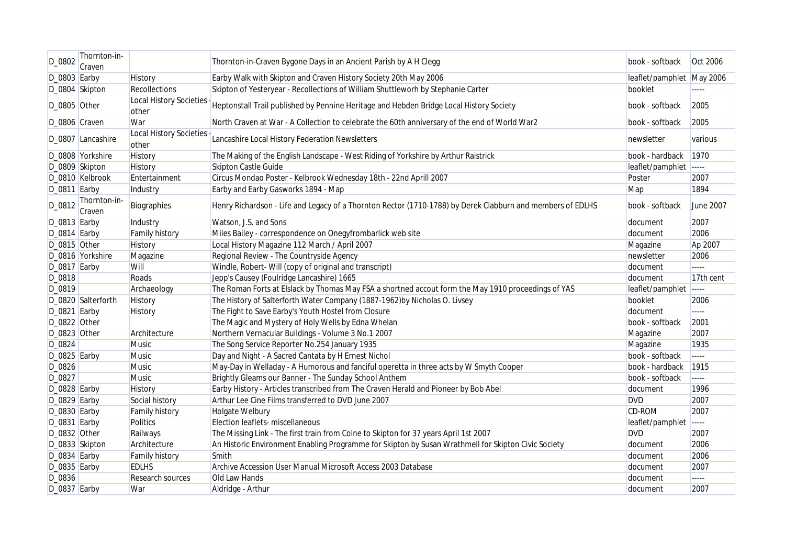| D_0802         | Thornton-in-<br>Craven |                                         | Thornton-in-Craven Bygone Days in an Ancient Parish by A H Clegg                                           | book - softback           | Oct 2006       |
|----------------|------------------------|-----------------------------------------|------------------------------------------------------------------------------------------------------------|---------------------------|----------------|
| $D_0803$ Earby |                        | <b>History</b>                          | Earby Walk with Skipton and Craven History Society 20th May 2006                                           | leaflet/pamphlet May 2006 |                |
|                | D_0804 Skipton         | Recollections                           | Skipton of Yesteryear - Recollections of William Shuttleworh by Stephanie Carter                           | booklet                   | .              |
| D_0805 Other   |                        | <b>Local History Societies</b><br>other | Heptonstall Trail published by Pennine Heritage and Hebden Bridge Local History Society                    | book - softback           | 2005           |
| D_0806 Craven  |                        | War                                     | North Craven at War - A Collection to celebrate the 60th anniversary of the end of World War2              | book - softback           | 2005           |
|                | D_0807 Lancashire      | <b>Local History Societies</b><br>other | Lancashire Local History Federation Newsletters                                                            | newsletter                | various        |
|                | D_0808 Yorkshire       | History                                 | The Making of the English Landscape - West Riding of Yorkshire by Arthur Raistrick                         | book - hardback           | 1970           |
|                | D_0809 Skipton         | <b>History</b>                          | Skipton Castle Guide                                                                                       | leaflet/pamphlet          | -----          |
|                | D_0810 Kelbrook        | Entertainment                           | Circus Mondao Poster - Kelbrook Wednesday 18th - 22nd Aprill 2007                                          | Poster                    | 2007           |
| D_0811 Earby   |                        | Industry                                | Earby and Earby Gasworks 1894 - Map                                                                        | Map                       | 1894           |
| D_0812         | Thornton-in-<br>Craven | Biographies                             | Henry Richardson - Life and Legacy of a Thornton Rector (1710-1788) by Derek Clabburn and members of EDLHS | book - softback           | June 2007      |
| D_0813 Earby   |                        | Industry                                | Watson, J.S. and Sons                                                                                      | document                  | 2007           |
| D_0814 Earby   |                        | Family history                          | Miles Bailey - correspondence on Onegyfrombarlick web site                                                 | document                  | 2006           |
| D_0815 Other   |                        | <b>History</b>                          | Local History Magazine 112 March / April 2007                                                              | Magazine                  | Ap 2007        |
|                | D_0816 Yorkshire       | Magazine                                | Regional Review - The Countryside Agency                                                                   | newsletter                | 2006           |
| D_0817 Earby   |                        | Will                                    | Windle, Robert- Will (copy of original and transcript)                                                     | document                  | $\frac{1}{2}$  |
| D_0818         |                        | Roads                                   | Jepp's Causey (Foulridge Lancashire) 1665                                                                  | document                  | 17th cent      |
| D_0819         |                        | Archaeology                             | The Roman Forts at Elslack by Thomas May FSA a shortned accout form the May 1910 proceedings of YAS        | leaflet/pamphlet          | -----          |
|                | D_0820 Salterforth     | History                                 | The History of Salterforth Water Company (1887-1962)by Nicholas O. Livsey                                  | booklet                   | 2006           |
| D_0821 Earby   |                        | History                                 | The Fight to Save Earby's Youth Hostel from Closure                                                        | document                  | $\overline{a}$ |
| D_0822 Other   |                        |                                         | The Magic and Mystery of Holy Wells by Edna Whelan                                                         | book - softback           | 2001           |
| D_0823 Other   |                        | Architecture                            | Northern Vernacular Buildings - Volume 3 No.1 2007                                                         | Magazine                  | 2007           |
| D_0824         |                        | <b>Music</b>                            | The Song Service Reporter No.254 January 1935                                                              | Magazine                  | 1935           |
| D_0825 Earby   |                        | <b>Music</b>                            | Day and Night - A Sacred Cantata by H Ernest Nichol                                                        | book - softback           | -----          |
| D_0826         |                        | <b>Music</b>                            | May-Day in Welladay - A Humorous and fanciful operetta in three acts by W Smyth Cooper                     | book - hardback           | 1915           |
| D_0827         |                        | <b>Music</b>                            | Brightly Gleams our Banner - The Sunday School Anthem                                                      | book - softback           | -----          |
| D_0828 Earby   |                        | History                                 | Earby History - Articles transcribed from The Craven Herald and Pioneer by Bob Abel                        | document                  | 1996           |
| D_0829 Earby   |                        | Social history                          | Arthur Lee Cine Films transferred to DVD June 2007                                                         | <b>DVD</b>                | 2007           |
| D_0830 Earby   |                        | <b>Family history</b>                   | Holgate Welbury                                                                                            | CD-ROM                    | 2007           |
| D_0831 Earby   |                        | <b>Politics</b>                         | Election leaflets- miscellaneous                                                                           | leaflet/pamphlet -----    |                |
| D_0832 Other   |                        | Railways                                | The Missing Link - The first train from Colne to Skipton for 37 years April 1st 2007                       | <b>DVD</b>                | 2007           |
|                | D_0833 Skipton         | Architecture                            | An Historic Environment Enabling Programme for Skipton by Susan Wrathmell for Skipton Civic Society        | document                  | 2006           |
| $D_0834$ Earby |                        | <b>Family history</b>                   | Smith                                                                                                      | document                  | 2006           |
| D_0835 Earby   |                        | <b>EDLHS</b>                            | Archive Accession User Manual Microsoft Access 2003 Database                                               | document                  | 2007           |
| D_0836         |                        | Research sources                        | Old Law Hands                                                                                              | document                  | -----          |
| $D_0837$ Earby |                        | War                                     | Aldridge - Arthur                                                                                          | document                  | 2007           |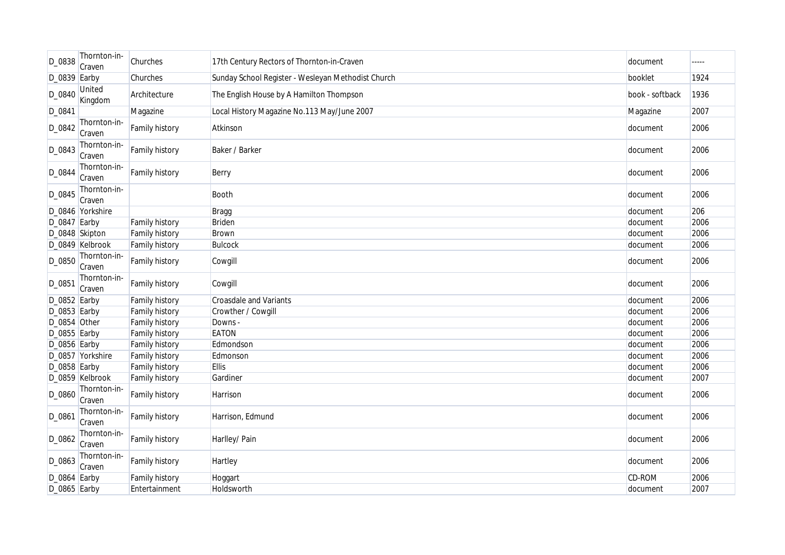| D_0838         | Thornton-in-<br>Craven | Churches              | 17th Century Rectors of Thornton-in-Craven         | document        | ----- |
|----------------|------------------------|-----------------------|----------------------------------------------------|-----------------|-------|
| $D_0839$ Earby |                        | Churches              | Sunday School Register - Wesleyan Methodist Church | booklet         | 1924  |
| D_0840         | United<br>Kingdom      | Architecture          | The English House by A Hamilton Thompson           | book - softback | 1936  |
| D_0841         |                        | Magazine              | Local History Magazine No.113 May/June 2007        | Magazine        | 2007  |
| D_0842         | Thornton-in-<br>Craven | Family history        | Atkinson                                           | document        | 2006  |
| D_0843         | Thornton-in-<br>Craven | Family history        | Baker / Barker                                     | document        | 2006  |
| D_0844         | Thornton-in-<br>Craven | Family history        | Berry                                              | document        | 2006  |
| D_0845         | Thornton-in-<br>Craven |                       | Booth                                              | document        | 2006  |
|                | D_0846 Yorkshire       |                       | <b>Bragg</b>                                       | document        | 206   |
| D_0847 Earby   |                        | Family history        | Briden                                             | document        | 2006  |
| D_0848 Skipton |                        | Family history        | Brown                                              | document        | 2006  |
|                | D_0849 Kelbrook        | Family history        | <b>Bulcock</b>                                     | document        | 2006  |
| D_0850         | Thornton-in-<br>Craven | Family history        | Cowgill                                            | document        | 2006  |
| D_0851         | Thornton-in-<br>Craven | Family history        | Cowgill                                            | document        | 2006  |
| D_0852 Earby   |                        | <b>Family history</b> | <b>Croasdale and Variants</b>                      | document        | 2006  |
| $D_0853$ Earby |                        | <b>Family history</b> | Crowther / Cowgill                                 | document        | 2006  |
| D_0854 Other   |                        | Family history        | Downs -                                            | document        | 2006  |
| D_0855 Earby   |                        | Family history        | <b>EATON</b>                                       | document        | 2006  |
| D_0856 Earby   |                        | Family history        | Edmondson                                          | document        | 2006  |
|                | D_0857 Yorkshire       | Family history        | Edmonson                                           | document        | 2006  |
| D_0858 Earby   |                        | Family history        | <b>Ellis</b>                                       | document        | 2006  |
|                | D_0859 Kelbrook        | <b>Family history</b> | Gardiner                                           | document        | 2007  |
| D_0860         | Thornton-in-<br>Craven | Family history        | Harrison                                           | document        | 2006  |
| D_0861         | Thornton-in-<br>Craven | Family history        | Harrison, Edmund                                   | document        | 2006  |
| D_0862         | Thornton-in-<br>Craven | Family history        | Harlley/ Pain                                      | document        | 2006  |
| D_0863         | Thornton-in-<br>Craven | <b>Family history</b> | Hartley                                            | document        | 2006  |
| D_0864 Earby   |                        | <b>Family history</b> | Hoggart                                            | CD-ROM          | 2006  |
| D_0865 Earby   |                        | Entertainment         | Holdsworth                                         | document        | 2007  |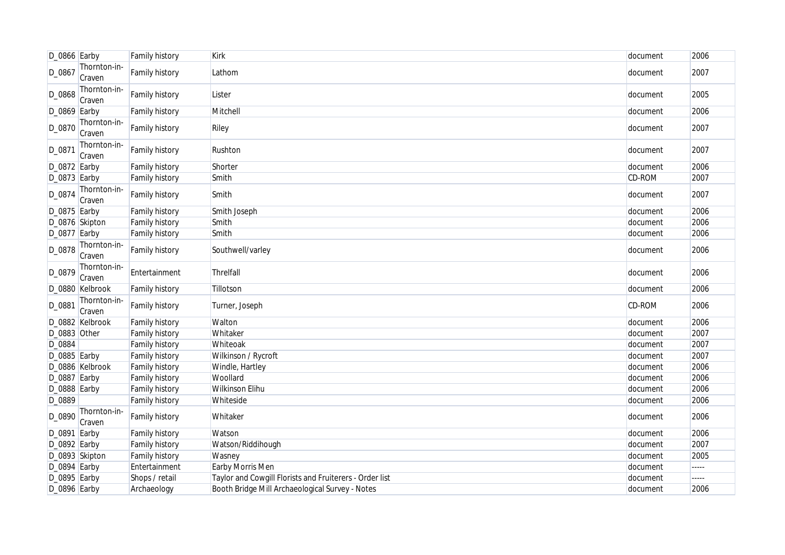| D_0866 Earby   |                        | <b>Family history</b> | <b>Kirk</b>                                             | document | 2006  |
|----------------|------------------------|-----------------------|---------------------------------------------------------|----------|-------|
| D_0867         | Thornton-in-<br>Craven | Family history        | Lathom                                                  | document | 2007  |
| D_0868         | Thornton-in-<br>Craven | Family history        | Lister                                                  | document | 2005  |
| $D_0869$ Earby |                        | Family history        | Mitchell                                                | document | 2006  |
| D_0870         | Thornton-in-<br>Craven | Family history        | Riley                                                   | document | 2007  |
| D_0871         | Thornton-in-<br>Craven | Family history        | Rushton                                                 | document | 2007  |
| D_0872 Earby   |                        | Family history        | Shorter                                                 | document | 2006  |
| D_0873 Earby   |                        | Family history        | Smith                                                   | CD-ROM   | 2007  |
| D_0874         | Thornton-in-<br>Craven | Family history        | Smith                                                   | document | 2007  |
| $D_0875$ Earby |                        | Family history        | Smith Joseph                                            | document | 2006  |
| D_0876 Skipton |                        | Family history        | Smith                                                   | document | 2006  |
| D_0877 Earby   |                        | Family history        | Smith                                                   | document | 2006  |
| D_0878         | Thornton-in-<br>Craven | Family history        | Southwell/varley                                        | document | 2006  |
| D_0879         | Thornton-in-<br>Craven | Entertainment         | Threlfall                                               | document | 2006  |
|                | D_0880 Kelbrook        | Family history        | Tillotson                                               | document | 2006  |
| D_0881         | Thornton-in-<br>Craven | Family history        | Turner, Joseph                                          | CD-ROM   | 2006  |
|                | D_0882 Kelbrook        | Family history        | Walton                                                  | document | 2006  |
| D_0883 Other   |                        | <b>Family history</b> | Whitaker                                                | document | 2007  |
| D_0884         |                        | Family history        | Whiteoak                                                | document | 2007  |
| D_0885 Earby   |                        | Family history        | Wilkinson / Rycroft                                     | document | 2007  |
|                | D_0886 Kelbrook        | Family history        | Windle, Hartley                                         | document | 2006  |
| D_0887 Earby   |                        | Family history        | Woollard                                                | document | 2006  |
| D_0888 Earby   |                        | Family history        | <b>Wilkinson Elihu</b>                                  | document | 2006  |
| D_0889         |                        | Family history        | Whiteside                                               | document | 2006  |
| D_0890         | Thornton-in-<br>Craven | Family history        | Whitaker                                                | document | 2006  |
| D_0891 Earby   |                        | <b>Family history</b> | Watson                                                  | document | 2006  |
| $D_0892$ Earby |                        | Family history        | Watson/Riddihough                                       | document | 2007  |
| D_0893 Skipton |                        | Family history        | Wasney                                                  | document | 2005  |
| D_0894 Earby   |                        | Entertainment         | Earby Morris Men                                        | document | ----- |
| D_0895 Earby   |                        | Shops / retail        | Taylor and Cowgill Florists and Fruiterers - Order list | document | ----- |
| D_0896 Earby   |                        | Archaeology           | Booth Bridge Mill Archaeological Survey - Notes         | document | 2006  |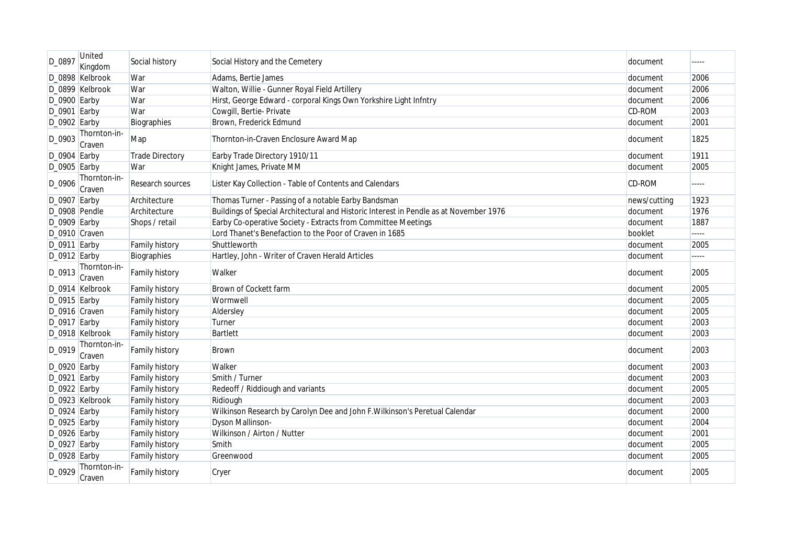| D_0897          | United<br>Kingdom      | Social history         | Social History and the Cemetery                                                        | document      | ----- |
|-----------------|------------------------|------------------------|----------------------------------------------------------------------------------------|---------------|-------|
|                 | D_0898 Kelbrook        | War                    | Adams, Bertie James                                                                    | document      | 2006  |
|                 | D_0899 Kelbrook        | War                    | Walton, Willie - Gunner Royal Field Artillery                                          | document      | 2006  |
| D_0900 Earby    |                        | War                    | Hirst, George Edward - corporal Kings Own Yorkshire Light Infntry                      | document      | 2006  |
| D_0901 Earby    |                        | War                    | Cowgill, Bertie-Private                                                                | <b>CD-ROM</b> | 2003  |
| $D_0902$ Earby  |                        | Biographies            | Brown, Frederick Edmund                                                                | document      | 2001  |
| D_0903          | Thornton-in-<br>Craven | Map                    | Thornton-in-Craven Enclosure Award Map                                                 | document      | 1825  |
| $D_0904$ Earby  |                        | <b>Trade Directory</b> | Earby Trade Directory 1910/11                                                          | document      | 1911  |
| D_0905 Earby    |                        | War                    | Knight James, Private MM                                                               | document      | 2005  |
| D_0906          | Thornton-in-<br>Craven | Research sources       | Lister Kay Collection - Table of Contents and Calendars                                | CD-ROM        | ----- |
| $D_0907$ Earby  |                        | Architecture           | Thomas Turner - Passing of a notable Earby Bandsman                                    | news/cutting  | 1923  |
| D_0908 Pendle   |                        | Architecture           | Buildings of Special Architectural and Historic Interest in Pendle as at November 1976 | document      | 1976  |
| $D_0909$ Earby  |                        | Shops / retail         | Earby Co-operative Society - Extracts from Committee Meetings                          | document      | 1887  |
| D_0910 Craven   |                        |                        | Lord Thanet's Benefaction to the Poor of Craven in 1685                                | booklet       | ----- |
| $D_0$ 911 Earby |                        | Family history         | Shuttleworth                                                                           | document      | 2005  |
| $D_0912$ Earby  |                        | Biographies            | Hartley, John - Writer of Craven Herald Articles                                       | document      | ----- |
| D_0913          | Thornton-in-<br>Craven | <b>Family history</b>  | Walker                                                                                 | document      | 2005  |
|                 | D 0914 Kelbrook        | <b>Family history</b>  | Brown of Cockett farm                                                                  | document      | 2005  |
| $D_0$ 915 Earby |                        | Family history         | Wormwell                                                                               | document      | 2005  |
| D_0916 Craven   |                        | Family history         | Aldersley                                                                              | document      | 2005  |
| $D_0$ 917 Earby |                        | Family history         | Turner                                                                                 | document      | 2003  |
|                 | D_0918 Kelbrook        | Family history         | Bartlett                                                                               | document      | 2003  |
| D 0919          | Thornton-in-<br>Craven | <b>Family history</b>  | <b>Brown</b>                                                                           | document      | 2003  |
| $D_0920$ Earby  |                        | <b>Family history</b>  | Walker                                                                                 | document      | 2003  |
| D_0921          | Earby                  | Family history         | Smith / Turner                                                                         | document      | 2003  |
| $D_0922$ Earby  |                        | Family history         | Redeoff / Riddiough and variants                                                       | document      | 2005  |
|                 | D_0923 Kelbrook        | Family history         | Ridiough                                                                               | document      | 2003  |
| $D_0924$ Earby  |                        | Family history         | Wilkinson Research by Carolyn Dee and John F. Wilkinson's Peretual Calendar            | document      | 2000  |
| $D_0$ 925 Earby |                        | Family history         | <b>Dyson Mallinson-</b>                                                                | document      | 2004  |
| $D_0926$ Earby  |                        | Family history         | Wilkinson / Airton / Nutter                                                            | document      | 2001  |
| $D_0927$ Earby  |                        | Family history         | Smith                                                                                  | document      | 2005  |
| $D_0928$ Earby  |                        | Family history         | Greenwood                                                                              | document      | 2005  |
| D_0929          | Thornton-in-<br>Craven | <b>Family history</b>  | Cryer                                                                                  | document      | 2005  |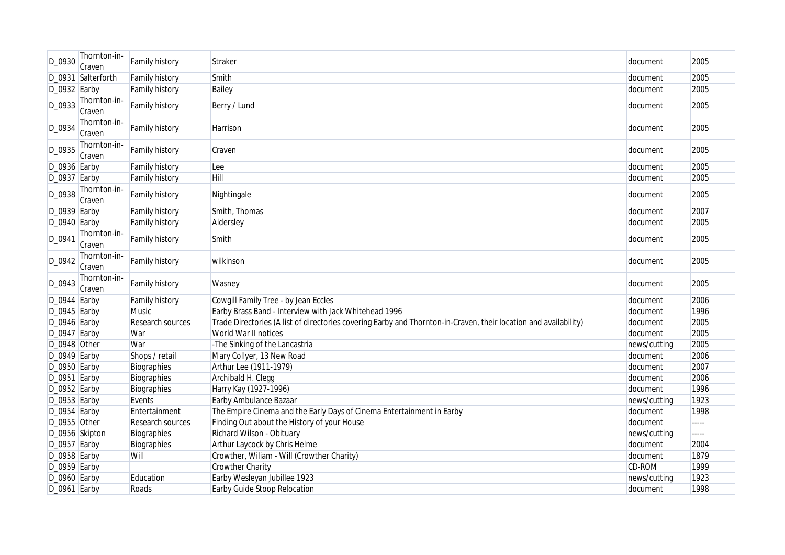| D 0930          | Thornton-in-<br>Craven | Family history        | Straker                                                                                                          | document     | 2005  |
|-----------------|------------------------|-----------------------|------------------------------------------------------------------------------------------------------------------|--------------|-------|
|                 | D_0931 Salterforth     | <b>Family history</b> | Smith                                                                                                            | document     | 2005  |
| D_0932 Earby    |                        | Family history        | Bailey                                                                                                           | document     | 2005  |
| D_0933          | Thornton-in-<br>Craven | Family history        | Berry / Lund                                                                                                     | document     | 2005  |
| D_0934          | Thornton-in-<br>Craven | Family history        | Harrison                                                                                                         | document     | 2005  |
| D_0935          | Thornton-in-<br>Craven | Family history        | Craven                                                                                                           | document     | 2005  |
| $D_0936$ Earby  |                        | Family history        | Lee                                                                                                              | document     | 2005  |
| D_0937 Earby    |                        | Family history        | Hill                                                                                                             | document     | 2005  |
| D_0938          | Thornton-in-<br>Craven | Family history        | Nightingale                                                                                                      | document     | 2005  |
| D_0939 Earby    |                        | Family history        | Smith, Thomas                                                                                                    | document     | 2007  |
| D_0940 Earby    |                        | Family history        | Aldersley                                                                                                        | document     | 2005  |
| D_0941          | Thornton-in-<br>Craven | Family history        | Smith                                                                                                            | document     | 2005  |
| D_0942          | Thornton-in-<br>Craven | Family history        | wilkinson                                                                                                        | document     | 2005  |
| D_0943          | Thornton-in-<br>Craven | Family history        | Wasney                                                                                                           | document     | 2005  |
| D_0944 Earby    |                        | Family history        | Cowgill Family Tree - by Jean Eccles                                                                             | document     | 2006  |
| $D_0$ 945 Earby |                        | <b>Music</b>          | Earby Brass Band - Interview with Jack Whitehead 1996                                                            | document     | 1996  |
| D_0946 Earby    |                        | Research sources      | Trade Directories (A list of directories covering Earby and Thornton-in-Craven, their location and availability) | document     | 2005  |
| D_0947 Earby    |                        | War                   | World War II notices                                                                                             | document     | 2005  |
| D_0948 Other    |                        | War                   | -The Sinking of the Lancastria                                                                                   | news/cutting | 2005  |
| D_0949 Earby    |                        | Shops / retail        | Mary Collyer, 13 New Road                                                                                        | document     | 2006  |
| D_0950 Earby    |                        | Biographies           | Arthur Lee (1911-1979)                                                                                           | document     | 2007  |
| D_0951 Earby    |                        | Biographies           | Archibald H. Clegg                                                                                               | document     | 2006  |
| D_0952 Earby    |                        | Biographies           | Harry Kay (1927-1996)                                                                                            | document     | 1996  |
| D_0953 Earby    |                        | Events                | Earby Ambulance Bazaar                                                                                           | news/cutting | 1923  |
| $D_0954$ Earby  |                        | Entertainment         | The Empire Cinema and the Early Days of Cinema Entertainment in Earby                                            | document     | 1998  |
| D_0955 Other    |                        | Research sources      | Finding Out about the History of your House                                                                      | document     | ----- |
|                 | D_0956 Skipton         | Biographies           | Richard Wilson - Obituary                                                                                        | news/cutting | ----- |
| D_0957 Earby    |                        | Biographies           | Arthur Laycock by Chris Helme                                                                                    | document     | 2004  |
| $D_0$ 958 Earby |                        | Will                  | Crowther, Wiliam - Will (Crowther Charity)                                                                       | document     | 1879  |
| D_0959 Earby    |                        |                       | Crowther Charity                                                                                                 | CD-ROM       | 1999  |
| D_0960 Earby    |                        | Education             | Earby Wesleyan Jubillee 1923                                                                                     | news/cutting | 1923  |
| $D_0$ 961 Earby |                        | Roads                 | Earby Guide Stoop Relocation                                                                                     | document     | 1998  |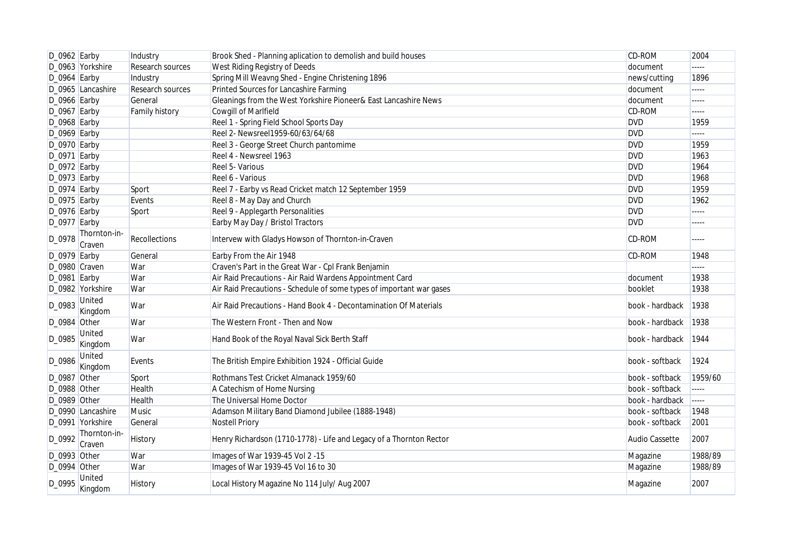| $D_0962$ Earby  |                        | Industry              | Brook Shed - Planning aplication to demolish and build houses        | <b>CD-ROM</b>   | 2004    |
|-----------------|------------------------|-----------------------|----------------------------------------------------------------------|-----------------|---------|
|                 | D_0963 Yorkshire       | Research sources      | West Riding Registry of Deeds                                        | document        | -----   |
| $D_0$ 964 Earby |                        | Industry              | Spring Mill Weavng Shed - Engine Christening 1896                    | news/cutting    | 1896    |
|                 | D_0965 Lancashire      | Research sources      | Printed Sources for Lancashire Farming                               | document        | -----   |
| $D_0$ 966 Earby |                        | General               | Gleanings from the West Yorkshire Pioneer& East Lancashire News      | document        | -----   |
| $D_0$ 967 Earby |                        | <b>Family history</b> | <b>Cowgill of Marlfield</b>                                          | CD-ROM          | -----   |
| $D_0$ 968 Earby |                        |                       | Reel 1 - Spring Field School Sports Day                              | <b>DVD</b>      | 1959    |
| $D_0969$ Earby  |                        |                       | Reel 2- Newsreel1959-60/63/64/68                                     | <b>DVD</b>      | -----   |
| $D_0$ 970 Earby |                        |                       | Reel 3 - George Street Church pantomime                              | <b>DVD</b>      | 1959    |
| $D_0971$ Earby  |                        |                       | Reel 4 - Newsreel 1963                                               | <b>DVD</b>      | 1963    |
| $D_0972$ Earby  |                        |                       | Reel 5- Various                                                      | <b>DVD</b>      | 1964    |
| $D_0973$ Earby  |                        |                       | Reel 6 - Various                                                     | <b>DVD</b>      | 1968    |
| $D_0974$ Earby  |                        | Sport                 | Reel 7 - Earby vs Read Cricket match 12 September 1959               | <b>DVD</b>      | 1959    |
| $D_0$ 975 Earby |                        | Events                | Reel 8 - May Day and Church                                          | <b>DVD</b>      | 1962    |
| D_0976 Earby    |                        | Sport                 | Reel 9 - Applegarth Personalities                                    | <b>DVD</b>      | -----   |
| $D_0977$ Earby  |                        |                       | Earby May Day / Bristol Tractors                                     | <b>DVD</b>      | -----   |
| D_0978          | Thornton-in-<br>Craven | Recollections         | Intervew with Gladys Howson of Thornton-in-Craven                    | CD-ROM          | -----   |
| $D_0979$ Earby  |                        | General               | Earby From the Air 1948                                              | CD-ROM          | 1948    |
| D_0980 Craven   |                        | War                   | Craven's Part in the Great War - Cpl Frank Benjamin                  |                 | -----   |
| $D_0$ 981 Earby |                        | War                   | Air Raid Precautions - Air Raid Wardens Appointment Card             | document        | 1938    |
|                 | D_0982 Yorkshire       | War                   | Air Raid Precautions - Schedule of some types of important war gases | booklet         | 1938    |
| D_0983          | United<br>Kingdom      | War                   | Air Raid Precautions - Hand Book 4 - Decontamination Of Materials    | book - hardback | 1938    |
| $D_0984$ Other  |                        | War                   | The Western Front - Then and Now                                     | book - hardback | 1938    |
| D_0985          | United<br>Kingdom      | War                   | Hand Book of the Royal Naval Sick Berth Staff                        | book - hardback | 1944    |
| D_0986          | United<br>Kingdom      | Events                | The British Empire Exhibition 1924 - Official Guide                  | book - softback | 1924    |
| D_0987 Other    |                        | Sport                 | Rothmans Test Cricket Almanack 1959/60                               | book - softback | 1959/60 |
| D_0988 Other    |                        | Health                | A Catechism of Home Nursing                                          | book - softback | -----   |
| D_0989 Other    |                        | Health                | The Universal Home Doctor                                            | book - hardback | -----   |
|                 | D_0990 Lancashire      | Music                 | Adamson Military Band Diamond Jubilee (1888-1948)                    | book - softback | 1948    |
|                 | D_0991 Yorkshire       | General               | <b>Nostell Priory</b>                                                | book - softback | 2001    |
| D_0992          | Thornton-in-<br>Craven | History               | Henry Richardson (1710-1778) - Life and Legacy of a Thornton Rector  | Audio Cassette  | 2007    |
| D_0993 Other    |                        | War                   | Images of War 1939-45 Vol 2 -15                                      | Magazine        | 1988/89 |
| $D_0$ 994 Other |                        | War                   | Images of War 1939-45 Vol 16 to 30                                   | Magazine        | 1988/89 |
| D_0995          | United<br>Kingdom      | <b>History</b>        | Local History Magazine No 114 July/ Aug 2007                         | Magazine        | 2007    |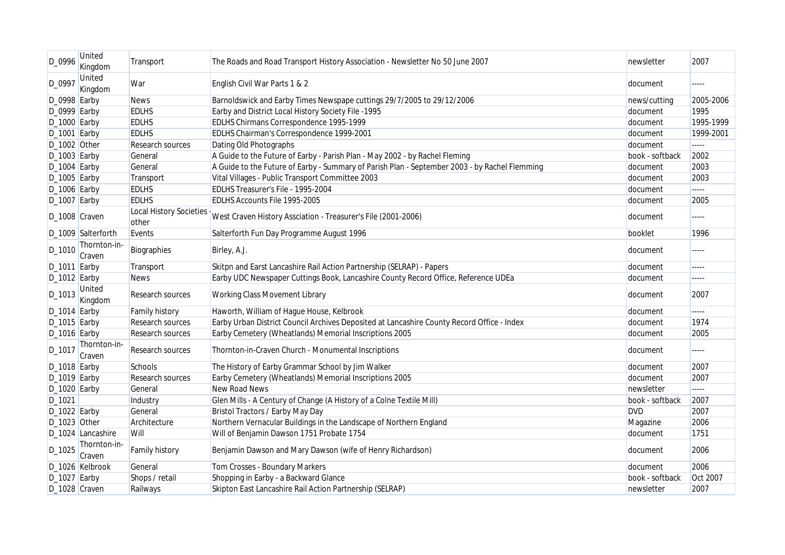| D_0996          | United<br>Kingdom      | Transport                        | The Roads and Road Transport History Association - Newsletter No 50 June 2007                 | newsletter      | 2007      |
|-----------------|------------------------|----------------------------------|-----------------------------------------------------------------------------------------------|-----------------|-----------|
| D_0997          | United<br>Kingdom      | War                              | English Civil War Parts 1 & 2                                                                 | document        | -----     |
| $D_0$ 998 Earby |                        | <b>News</b>                      | Barnoldswick and Earby Times Newspape cuttings 29/7/2005 to 29/12/2006                        | news/cutting    | 2005-2006 |
| D_0999 Earby    |                        | <b>EDLHS</b>                     | Earby and District Local History Society File -1995                                           | document        | 1995      |
| $D_1000$ Earby  |                        | <b>EDLHS</b>                     | EDLHS Chirmans Correspondence 1995-1999                                                       | document        | 1995-1999 |
| $D_1001$ Earby  |                        | <b>EDLHS</b>                     | EDLHS Chairman's Correspondence 1999-2001                                                     | document        | 1999-2001 |
| $D_1002$ Other  |                        | <b>Research sources</b>          | Dating Old Photographs                                                                        | document        | -----     |
| $D_1003$ Earby  |                        | General                          | A Guide to the Future of Earby - Parish Plan - May 2002 - by Rachel Fleming                   | book - softback | 2002      |
| $D_1004$ Earby  |                        | General                          | A Guide to the Future of Earby - Summary of Parish Plan - September 2003 - by Rachel Flemming | document        | 2003      |
| $D_1005$ Earby  |                        | Transport                        | Vital Villages - Public Transport Committee 2003                                              | document        | 2003      |
| $D_1006$ Earby  |                        | <b>EDLHS</b>                     | EDLHS Treasurer's File - 1995-2004                                                            | document        | -----     |
| $D_1007$ Earby  |                        | <b>EDLHS</b>                     | EDLHS Accounts File 1995-2005                                                                 | document        | 2005      |
| D_1008 Craven   |                        | Local History Societies<br>other | West Craven History Assciation - Treasurer's File (2001-2006)                                 | document        | -----     |
|                 | D_1009 Salterforth     | Events                           | Salterforth Fun Day Programme August 1996                                                     | booklet         | 1996      |
| D_1010          | Thornton-in-<br>Craven | Biographies                      | Birley, A.J.                                                                                  | document        | -----     |
| $D_1011$ Earby  |                        | Transport                        | Skitpn and Earst Lancashire Rail Action Partnership (SELRAP) - Papers                         | document        | -----     |
| $D_1012$ Earby  |                        | <b>News</b>                      | Earby UDC Newspaper Cuttings Book, Lancashire County Record Office, Reference UDEa            | document        | -----     |
| D_1013          | United<br>Kingdom      | Research sources                 | Working Class Movement Library                                                                | document        | 2007      |
| $D_1014$ Earby  |                        | <b>Family history</b>            | Haworth, William of Hague House, Kelbrook                                                     | document        | -----     |
| D_1015 Earby    |                        | Research sources                 | Earby Urban District Council Archives Deposited at Lancashire County Record Office - Index    | document        | 1974      |
| $D_1016$ Earby  |                        | Research sources                 | Earby Cemetery (Wheatlands) Memorial Inscriptions 2005                                        | document        | 2005      |
| D_1017          | Thornton-in-<br>Craven | Research sources                 | Thornton-in-Craven Church - Monumental Inscriptions                                           | document        | -----     |
| $D_1018$ Earby  |                        | Schools                          | The History of Earby Grammar School by Jim Walker                                             | document        | 2007      |
| $D_1019$ Earby  |                        | Research sources                 | Earby Cemetery (Wheatlands) Memorial Inscriptions 2005                                        | document        | 2007      |
| $D_1020$ Earby  |                        | General                          | New Road News                                                                                 | newsletter      | -----     |
| D_1021          |                        | Industry                         | Glen Mills - A Century of Change (A History of a Colne Textile Mill)                          | book - softback | 2007      |
| $D_1022$ Earby  |                        | General                          | Bristol Tractors / Earby May Day                                                              | <b>DVD</b>      | 2007      |
| $D_1023$ Other  |                        | Architecture                     | Northern Vernacular Buildings in the Landscape of Northern England                            | Magazine        | 2006      |
|                 | D_1024 Lancashire      | Will                             | Will of Benjamin Dawson 1751 Probate 1754                                                     | document        | 1751      |
| D_1025          | Thornton-in-<br>Craven | Family history                   | Benjamin Dawson and Mary Dawson (wife of Henry Richardson)                                    | document        | 2006      |
|                 | D_1026 Kelbrook        | General                          | Tom Crosses - Boundary Markers                                                                | document        | 2006      |
| D_1027 Earby    |                        | Shops / retail                   | Shopping in Earby - a Backward Glance                                                         | book - softback | Oct 2007  |
| D_1028 Craven   |                        | Railways                         | Skipton East Lancashire Rail Action Partnership (SELRAP)                                      | newsletter      | 2007      |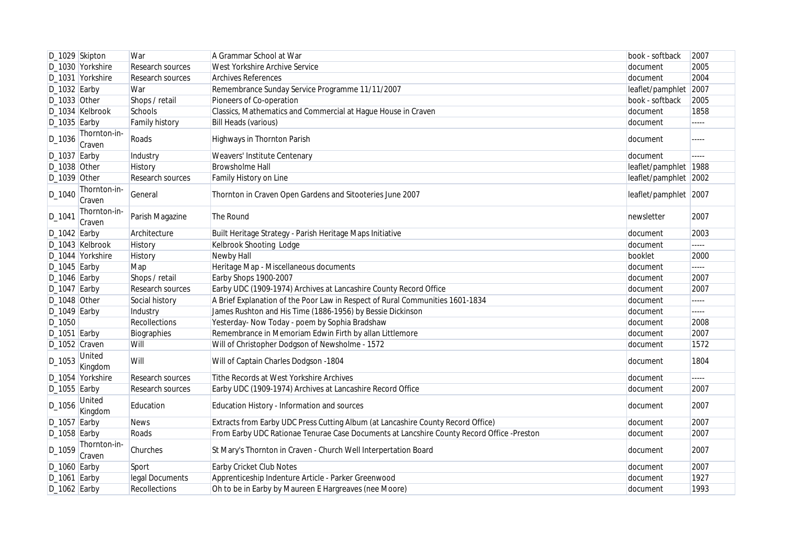| D_1029 Skipton |                        | War              | A Grammar School at War                                                                   | book - softback       | 2007                  |
|----------------|------------------------|------------------|-------------------------------------------------------------------------------------------|-----------------------|-----------------------|
|                | D_1030 Yorkshire       | Research sources | West Yorkshire Archive Service                                                            | document              | 2005                  |
|                | D_1031 Yorkshire       | Research sources | <b>Archives References</b>                                                                | document              | 2004                  |
| $D_1032$ Earby |                        | War              | Remembrance Sunday Service Programme 11/11/2007                                           | leaflet/pamphlet 2007 |                       |
| D_1033 Other   |                        | Shops / retail   | Pioneers of Co-operation                                                                  | book - softback       | 2005                  |
|                | D_1034 Kelbrook        | Schools          | Classics, Mathematics and Commercial at Hague House in Craven                             | document              | 1858                  |
| $D_1035$ Earby |                        | Family history   | <b>Bill Heads (various)</b>                                                               | document              | $---$                 |
| D_1036         | Thornton-in-<br>Craven | Roads            | Highways in Thornton Parish                                                               | document              | -----                 |
| $D_1037$ Earby |                        | Industry         | Weavers' Institute Centenary                                                              | document              | <b><i><u></u></i></b> |
| D_1038 Other   |                        | History          | Browsholme Hall                                                                           | leaflet/pamphlet 1988 |                       |
| $D_1039$ Other |                        | Research sources | Family History on Line                                                                    | leaflet/pamphlet 2002 |                       |
| D_1040         | Thornton-in-<br>Craven | General          | Thornton in Craven Open Gardens and Sitooteries June 2007                                 | leaflet/pamphlet 2007 |                       |
| D_1041         | Thornton-in-<br>Craven | Parish Magazine  | The Round                                                                                 | newsletter            | 2007                  |
| $D_1042$ Earby |                        | Architecture     | Built Heritage Strategy - Parish Heritage Maps Initiative                                 | document              | 2003                  |
|                | D_1043 Kelbrook        | History          | Kelbrook Shooting Lodge                                                                   | document              |                       |
|                | D_1044 Yorkshire       | History          | Newby Hall                                                                                | booklet               | 2000                  |
| $D_1045$ Earby |                        | Map              | Heritage Map - Miscellaneous documents                                                    | document              | $\frac{1}{2}$         |
| $D_1046$ Earby |                        | Shops / retail   | Earby Shops 1900-2007                                                                     | document              | 2007                  |
| $D_1047$ Earby |                        | Research sources | Earby UDC (1909-1974) Archives at Lancashire County Record Office                         | document              | 2007                  |
| $D_1048$ Other |                        | Social history   | A Brief Explanation of the Poor Law in Respect of Rural Communities 1601-1834             | document              | -----                 |
| D_1049 Earby   |                        | Industry         | James Rushton and His Time (1886-1956) by Bessie Dickinson                                | document              | $\cdots \cdots$       |
| $D_1050$       |                        | Recollections    | Yesterday- Now Today - poem by Sophia Bradshaw                                            | document              | 2008                  |
| D_1051 Earby   |                        | Biographies      | Remembrance in Memoriam Edwin Firth by allan Littlemore                                   | document              | 2007                  |
| D_1052 Craven  |                        | Will             | Will of Christopher Dodgson of Newsholme - 1572                                           | document              | 1572                  |
| D_1053         | United<br>Kingdom      | Will             | Will of Captain Charles Dodgson -1804                                                     | document              | 1804                  |
|                | D_1054 Yorkshire       | Research sources | Tithe Records at West Yorkshire Archives                                                  | document              |                       |
| $D_1055$ Earby |                        | Research sources | Earby UDC (1909-1974) Archives at Lancashire Record Office                                | document              | 2007                  |
| D_1056         | United<br>Kingdom      | Education        | Education History - Information and sources                                               | document              | 2007                  |
| $D_1057$ Earby |                        | <b>News</b>      | Extracts from Earby UDC Press Cutting Album (at Lancashire County Record Office)          | document              | 2007                  |
| $D_1058$ Earby |                        | Roads            | From Earby UDC Rationae Tenurae Case Documents at Lancshire County Record Office -Preston | document              | 2007                  |
| D_1059         | Thornton-in-<br>Craven | Churches         | St Mary's Thornton in Craven - Church Well Interpertation Board                           | document              | 2007                  |
| D_1060 Earby   |                        | Sport            | <b>Earby Cricket Club Notes</b>                                                           | document              | 2007                  |
| $D_1061$ Earby |                        | legal Documents  | Apprenticeship Indenture Article - Parker Greenwood                                       | document              | 1927                  |
| $D_1062$ Earby |                        | Recollections    | Oh to be in Earby by Maureen E Hargreaves (nee Moore)                                     | document              | 1993                  |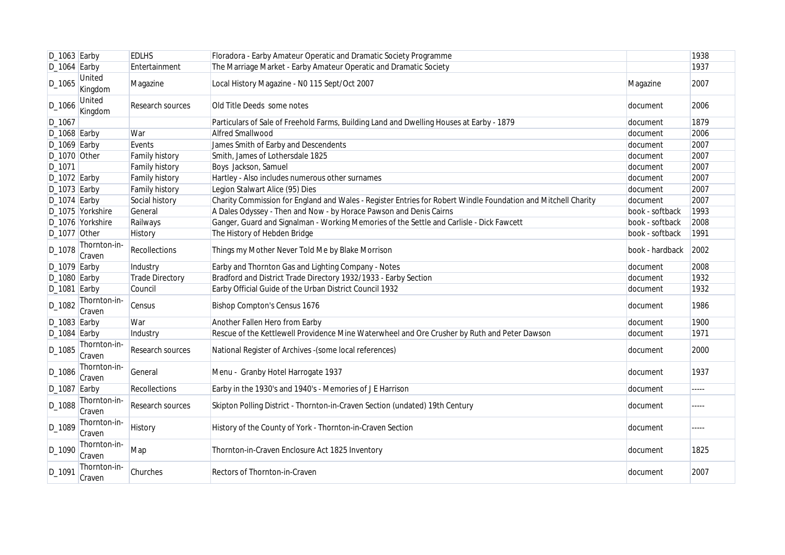| $D_1063$ Earby |                          | <b>EDLHS</b>          | Floradora - Earby Amateur Operatic and Dramatic Society Programme                                             |                 | 1938   |
|----------------|--------------------------|-----------------------|---------------------------------------------------------------------------------------------------------------|-----------------|--------|
| $D_1064$ Earby |                          | Entertainment         | The Marriage Market - Earby Amateur Operatic and Dramatic Society                                             |                 | 1937   |
| D_1065         | United<br>Kingdom        | Magazine              | Local History Magazine - N0 115 Sept/Oct 2007                                                                 | Magazine        | 2007   |
| D_1066         | <b>United</b><br>Kingdom | Research sources      | Old Title Deeds some notes                                                                                    | document        | 2006   |
| D_1067         |                          |                       | Particulars of Sale of Freehold Farms, Building Land and Dwelling Houses at Earby - 1879                      | document        | 1879   |
| $D_1068$ Earby |                          | War                   | <b>Alfred Smallwood</b>                                                                                       | document        | 2006   |
| $D_1069$ Earby |                          | Events                | James Smith of Earby and Descendents                                                                          | document        | 2007   |
| $D_1070$ Other |                          | <b>Family history</b> | Smith, James of Lothersdale 1825                                                                              | document        | 2007   |
| D_1071         |                          | Family history        | Boys Jackson, Samuel                                                                                          | document        | 2007   |
| $D_1072$ Earby |                          | Family history        | Hartley - Also includes numerous other surnames                                                               | document        | 2007   |
| $D_1073$ Earby |                          | <b>Family history</b> | Legion Stalwart Alice (95) Dies                                                                               | document        | 2007   |
| $D_1074$ Earby |                          | Social history        | Charity Commission for England and Wales - Register Entries for Robert Windle Foundation and Mitchell Charity | document        | 2007   |
|                | D_1075 Yorkshire         | General               | A Dales Odyssey - Then and Now - by Horace Pawson and Denis Cairns                                            | book - softback | 1993   |
|                | D_1076 Yorkshire         | Railways              | Ganger, Guard and Signalman - Working Memories of the Settle and Carlisle - Dick Fawcett                      | book - softback | 2008   |
| D_1077 Other   |                          | History               | The History of Hebden Bridge                                                                                  | book - softback | 1991   |
| D_1078         | Thornton-in-<br>Craven   | <b>Recollections</b>  | Things my Mother Never Told Me by Blake Morrison                                                              | book - hardback | 2002   |
| $D_1079$ Earby |                          | Industry              | Earby and Thornton Gas and Lighting Company - Notes                                                           | document        | 2008   |
| $D_1080$ Earby |                          | Trade Directory       | Bradford and District Trade Directory 1932/1933 - Earby Section                                               | document        | 1932   |
| $D_1081$ Earby |                          | Council               | Earby Official Guide of the Urban District Council 1932                                                       | document        | 1932   |
| D_1082         | Thornton-in-<br>Craven   | Census                | <b>Bishop Compton's Census 1676</b>                                                                           | document        | 1986   |
| $D_1083$ Earby |                          | War                   | Another Fallen Hero from Earby                                                                                | document        | 1900   |
| $D_1084$ Earby |                          | Industry              | Rescue of the Kettlewell Providence Mine Waterwheel and Ore Crusher by Ruth and Peter Dawson                  | document        | 1971   |
| D_1085         | Thornton-in-<br>Craven   | Research sources      | National Register of Archives - (some local references)                                                       | document        | 2000   |
| $D_1086$       | Thornton-in-<br>Craven   | General               | Menu - Granby Hotel Harrogate 1937                                                                            | document        | 1937   |
| $D_1087$ Earby |                          | Recollections         | Earby in the 1930's and 1940's - Memories of J E Harrison                                                     | document        | 112222 |
| D_1088         | Thornton-in-<br>Craven   | Research sources      | Skipton Polling District - Thornton-in-Craven Section (undated) 19th Century                                  | document        | -----  |
| D_1089         | Thornton-in-<br>Craven   | History               | History of the County of York - Thornton-in-Craven Section                                                    | document        |        |
| D_1090         | Thornton-in-<br>Craven   | Map                   | Thornton-in-Craven Enclosure Act 1825 Inventory                                                               | document        | 1825   |
| D_1091         | Thornton-in-<br>Craven   | Churches              | Rectors of Thornton-in-Craven                                                                                 | document        | 2007   |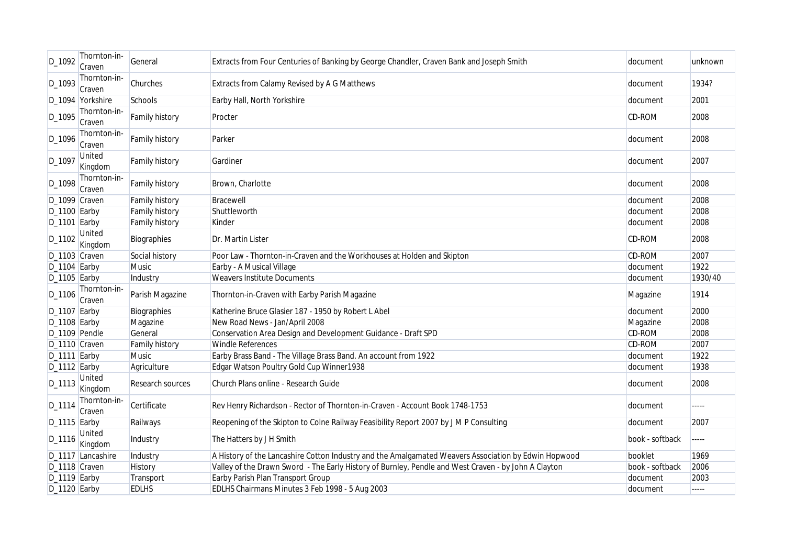| D_1092          | Thornton-in-<br>Craven   | General               | Extracts from Four Centuries of Banking by George Chandler, Craven Bank and Joseph Smith             | document        | unknown |
|-----------------|--------------------------|-----------------------|------------------------------------------------------------------------------------------------------|-----------------|---------|
| D_1093          | Thornton-in-<br>Craven   | Churches              | Extracts from Calamy Revised by A G Matthews                                                         | document        | 1934?   |
|                 | D_1094 Yorkshire         | Schools               | Earby Hall, North Yorkshire                                                                          | document        | 2001    |
| D_1095          | Thornton-in-<br>Craven   | Family history        | Procter                                                                                              | CD-ROM          | 2008    |
| D_1096          | Thornton-in-<br>Craven   | <b>Family history</b> | Parker                                                                                               | document        | 2008    |
| $D_1097$        | United<br>Kingdom        | <b>Family history</b> | Gardiner                                                                                             | document        | 2007    |
| D_1098          | Thornton-in-<br>Craven   | <b>Family history</b> | Brown, Charlotte                                                                                     | document        | 2008    |
| D_1099 Craven   |                          | <b>Family history</b> | Bracewell                                                                                            | document        | 2008    |
| $D_1100$ Earby  |                          | <b>Family history</b> | Shuttleworth                                                                                         | document        | 2008    |
| $D_1101$ Earby  |                          | Family history        | Kinder                                                                                               | document        | 2008    |
| D_1102          | United<br>Kingdom        | Biographies           | Dr. Martin Lister                                                                                    | CD-ROM          | 2008    |
| D_1103 Craven   |                          | Social history        | Poor Law - Thornton-in-Craven and the Workhouses at Holden and Skipton                               | CD-ROM          | 2007    |
| $D_1104$ Earby  |                          | Music                 | Earby - A Musical Village                                                                            | document        | 1922    |
| $D_1105$ Earby  |                          | Industry              | <b>Weavers Institute Documents</b>                                                                   | document        | 1930/40 |
| D_1106          | Thornton-in-<br>Craven   | Parish Magazine       | Thornton-in-Craven with Earby Parish Magazine                                                        | Magazine        | 1914    |
| $D_1107$ Earby  |                          | Biographies           | Katherine Bruce Glasier 187 - 1950 by Robert L Abel                                                  | document        | 2000    |
| $D_1108$ Earby  |                          | Magazine              | New Road News - Jan/April 2008                                                                       | Magazine        | 2008    |
| D_1109 Pendle   |                          | General               | Conservation Area Design and Development Guidance - Draft SPD                                        | <b>CD-ROM</b>   | 2008    |
| D_1110 Craven   |                          | Family history        | <b>Windle References</b>                                                                             | <b>CD-ROM</b>   | 2007    |
| $D_1111$ Earby  |                          | <b>Music</b>          | Earby Brass Band - The Village Brass Band. An account from 1922                                      | document        | 1922    |
| $D_1112$ Earby  |                          | Agriculture           | Edgar Watson Poultry Gold Cup Winner1938                                                             | document        | 1938    |
| D_1113          | United<br>Kingdom        | Research sources      | Church Plans online - Research Guide                                                                 | document        | 2008    |
| D_1114          | Thornton-in-<br>Craven   | Certificate           | Rev Henry Richardson - Rector of Thornton-in-Craven - Account Book 1748-1753                         | document        | -----   |
| $D_1115$ Earby  |                          | Railways              | Reopening of the Skipton to Colne Railway Feasibility Report 2007 by J M P Consulting                | document        | 2007    |
| D_1116          | <b>United</b><br>Kingdom | Industry              | The Hatters by J H Smith                                                                             | book - softback | -----   |
|                 | D_1117 Lancashire        | Industry              | A History of the Lancashire Cotton Industry and the Amalgamated Weavers Association by Edwin Hopwood | booklet         | 1969    |
| D_1118 Craven   |                          | History               | Valley of the Drawn Sword - The Early History of Burnley, Pendle and West Craven - by John A Clayton | book - softback | 2006    |
| $D_1$ 119 Earby |                          | Transport             | Earby Parish Plan Transport Group                                                                    | document        | 2003    |
| $D_1120$ Earby  |                          | <b>EDLHS</b>          | EDLHS Chairmans Minutes 3 Feb 1998 - 5 Aug 2003                                                      | document        | -----   |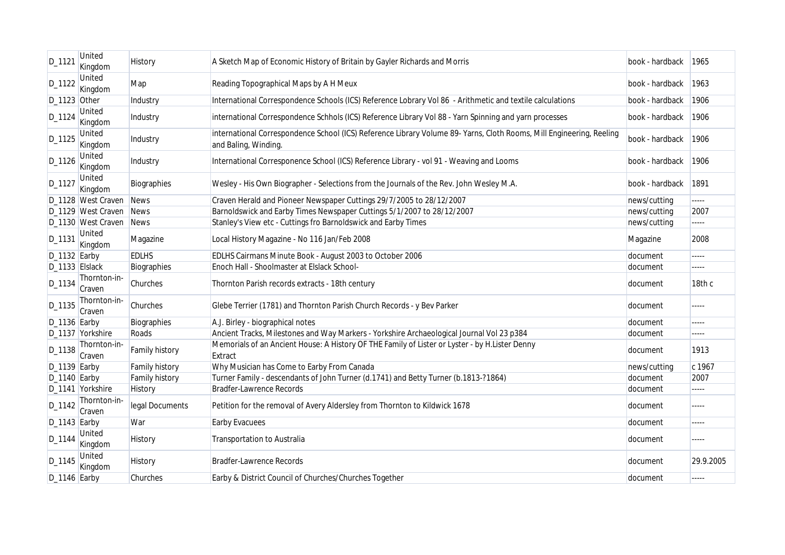| D_1121          | <b>United</b><br>Kingdom | History               | A Sketch Map of Economic History of Britain by Gayler Richards and Morris                                                                    | book - hardback | 1965      |
|-----------------|--------------------------|-----------------------|----------------------------------------------------------------------------------------------------------------------------------------------|-----------------|-----------|
| D_1122          | United<br>Kingdom        | Map                   | Reading Topographical Maps by A H Meux                                                                                                       | book - hardback | 1963      |
| $D_1123$ Other  |                          | Industry              | International Correspondence Schools (ICS) Reference Lobrary Vol 86 - Arithmetic and textile calculations                                    | book - hardback | 1906      |
| D_1124          | United<br>Kingdom        | Industry              | international Correspondence Schhols (ICS) Reference Library Vol 88 - Yarn Spinning and yarn processes                                       | book - hardback | 1906      |
| D_1125          | <b>United</b><br>Kingdom | Industry              | international Correspondence School (ICS) Reference Library Volume 89- Yarns, Cloth Rooms, Mill Engineering, Reeling<br>and Baling, Winding. | book - hardback | 1906      |
| $D_1126$        | United<br>Kingdom        | Industry              | International Corresponence School (ICS) Reference Library - vol 91 - Weaving and Looms                                                      | book - hardback | 1906      |
| D_1127          | United<br>Kingdom        | Biographies           | Wesley - His Own Biographer - Selections from the Journals of the Rev. John Wesley M.A.                                                      | book - hardback | 1891      |
|                 | D_1128 West Craven       | <b>News</b>           | Craven Herald and Pioneer Newspaper Cuttings 29/7/2005 to 28/12/2007                                                                         | news/cutting    | -----     |
|                 | D_1129 West Craven       | <b>News</b>           | Barnoldswick and Earby Times Newspaper Cuttings 5/1/2007 to 28/12/2007                                                                       | news/cutting    | 2007      |
|                 | D_1130 West Craven       | <b>News</b>           | Stanley's View etc - Cuttings fro Barnoldswick and Earby Times                                                                               | news/cutting    | -----     |
| D_1131          | United<br>Kingdom        | Magazine              | Local History Magazine - No 116 Jan/Feb 2008                                                                                                 | Magazine        | 2008      |
| $D_1132$ Earby  |                          | <b>EDLHS</b>          | EDLHS Cairmans Minute Book - August 2003 to October 2006                                                                                     | document        | -----     |
| D_1133 Elslack  |                          | Biographies           | Enoch Hall - Shoolmaster at Elslack School-                                                                                                  | document        | -----     |
| D_1134          | Thornton-in-<br>Craven   | Churches              | Thornton Parish records extracts - 18th century                                                                                              | document        | 18th c    |
| D_1135          | Thornton-in-<br>Craven   | Churches              | Glebe Terrier (1781) and Thornton Parish Church Records - y Bev Parker                                                                       | document        | -----     |
| $D_1$ 136 Earby |                          | Biographies           | A.J. Birley - biographical notes                                                                                                             | document        | -----     |
|                 | D_1137 Yorkshire         | Roads                 | Ancient Tracks, Milestones and Way Markers - Yorkshire Archaeological Journal Vol 23 p384                                                    | document        | -----     |
| D_1138          | Thornton-in-<br>Craven   | Family history        | Memorials of an Ancient House: A History OF THE Family of Lister or Lyster - by H.Lister Denny<br>Extract                                    | document        | 1913      |
| $D_1139$ Earby  |                          | <b>Family history</b> | Why Musician has Come to Earby From Canada                                                                                                   | news/cutting    | c 1967    |
| $D_1140$ Earby  |                          | Family history        | Turner Family - descendants of John Turner (d.1741) and Betty Turner (b.1813-?1864)                                                          | document        | 2007      |
|                 | D_1141 Yorkshire         | History               | <b>Bradfer-Lawrence Records</b>                                                                                                              | document        | -----     |
| $D_1142$        | Thornton-in-<br>Craven   | legal Documents       | Petition for the removal of Avery Aldersley from Thornton to Kildwick 1678                                                                   | document        | -----     |
| $D_1143$ Earby  |                          | War                   | <b>Earby Evacuees</b>                                                                                                                        | document        | -----     |
| D_1144          | United<br>Kingdom        | <b>History</b>        | Transportation to Australia                                                                                                                  | document        | -----     |
| D_1145          | United<br>Kingdom        | History               | <b>Bradfer-Lawrence Records</b>                                                                                                              | document        | 29.9.2005 |
| D_1146 Earby    |                          | Churches              | Earby & District Council of Churches/Churches Together                                                                                       | document        | -----     |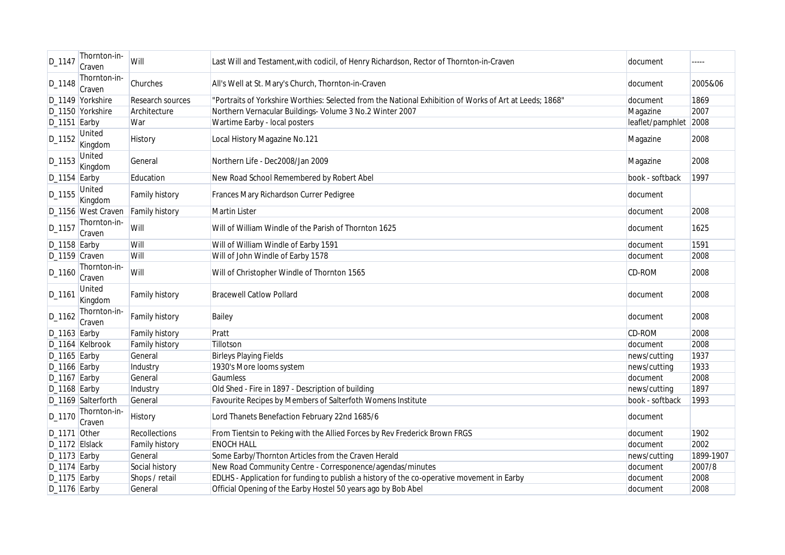| D_1147         | Thornton-in-<br>Craven | Will                  | Last Will and Testament, with codicil, of Henry Richardson, Rector of Thornton-in-Craven                | document              | -----     |
|----------------|------------------------|-----------------------|---------------------------------------------------------------------------------------------------------|-----------------------|-----------|
| D_1148         | Thornton-in-<br>Craven | Churches              | All's Well at St. Mary's Church, Thornton-in-Craven                                                     | document              | 2005&06   |
|                | D_1149 Yorkshire       | Research sources      | "Portraits of Yorkshire Worthies: Selected from the National Exhibition of Works of Art at Leeds; 1868" | document              | 1869      |
|                | D_1150 Yorkshire       | Architecture          | Northern Vernacular Buildings- Volume 3 No.2 Winter 2007                                                | Magazine              | 2007      |
| $D_1151$ Earby |                        | War                   | Wartime Earby - local posters                                                                           | leaflet/pamphlet 2008 |           |
| D_1152         | United<br>Kingdom      | History               | Local History Magazine No.121                                                                           | Magazine              | 2008      |
| D_1153         | United<br>Kingdom      | General               | Northern Life - Dec2008/Jan 2009                                                                        | Magazine              | 2008      |
| $D_1154$ Earby |                        | Education             | New Road School Remembered by Robert Abel                                                               | book - softback       | 1997      |
| D_1155         | United<br>Kingdom      | Family history        | Frances Mary Richardson Currer Pedigree                                                                 | document              |           |
|                | D_1156 West Craven     | <b>Family history</b> | <b>Martin Lister</b>                                                                                    | document              | 2008      |
| D_1157         | Thornton-in-<br>Craven | Will                  | Will of William Windle of the Parish of Thornton 1625                                                   | document              | 1625      |
| $D_1158$ Earby |                        | Will                  | Will of William Windle of Earby 1591                                                                    | document              | 1591      |
| D_1159 Craven  |                        | Will                  | Will of John Windle of Earby 1578                                                                       | document              | 2008      |
| D_1160         | Thornton-in-<br>Craven | Will                  | Will of Christopher Windle of Thornton 1565                                                             | <b>CD-ROM</b>         | 2008      |
| $D_1161$       | United<br>Kingdom      | Family history        | <b>Bracewell Catlow Pollard</b>                                                                         | document              | 2008      |
| $D_1162$       | Thornton-in-<br>Craven | Family history        | Bailey                                                                                                  | document              | 2008      |
| D_1163 Earby   |                        | <b>Family history</b> | Pratt                                                                                                   | CD-ROM                | 2008      |
|                | D_1164 Kelbrook        | <b>Family history</b> | Tillotson                                                                                               | document              | 2008      |
| $D_1165$ Earby |                        | General               | <b>Birleys Playing Fields</b>                                                                           | news/cutting          | 1937      |
| $D_1166$ Earby |                        | Industry              | 1930's More looms system                                                                                | news/cutting          | 1933      |
| $D_1167$ Earby |                        | General               | <b>Gaumless</b>                                                                                         | document              | 2008      |
| $D_1168$ Earby |                        | Industry              | Old Shed - Fire in 1897 - Description of building                                                       | news/cutting          | 1897      |
|                | D_1169 Salterforth     | General               | Favourite Recipes by Members of Salterfoth Womens Institute                                             | book - softback       | 1993      |
| D_1170         | Thornton-in-<br>Craven | History               | Lord Thanets Benefaction February 22nd 1685/6                                                           | document              |           |
| $D_1171$ Other |                        | Recollections         | From Tientsin to Peking with the Allied Forces by Rev Frederick Brown FRGS                              | document              | 1902      |
| D_1172 Elslack |                        | Family history        | <b>ENOCH HALL</b>                                                                                       | document              | 2002      |
| $D_1173$ Earby |                        | General               | Some Earby/Thornton Articles from the Craven Herald                                                     | news/cutting          | 1899-1907 |
| $D_1174$ Earby |                        | Social history        | New Road Community Centre - Corresponence/agendas/minutes                                               | document              | 2007/8    |
| $D_1175$ Earby |                        | Shops / retail        | EDLHS - Application for funding to publish a history of the co-operative movement in Earby              | document              | 2008      |
| $D_1176$ Earby |                        | General               | Official Opening of the Earby Hostel 50 years ago by Bob Abel                                           | document              | 2008      |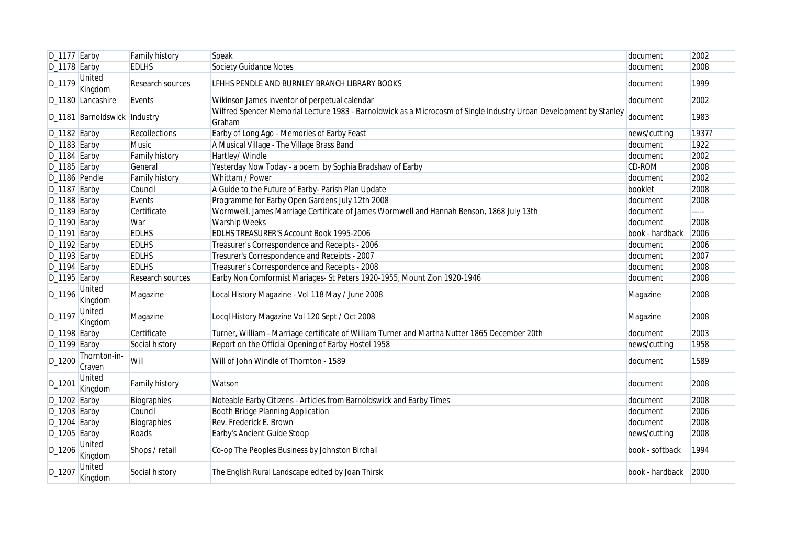| $D_1177$ Earby |                              | Family history   | Speak                                                                                                                        | document        | 2002  |
|----------------|------------------------------|------------------|------------------------------------------------------------------------------------------------------------------------------|-----------------|-------|
| D_1178 Earby   |                              | <b>EDLHS</b>     | <b>Society Guidance Notes</b>                                                                                                | document        | 2008  |
| D_1179         | <b>United</b><br>Kingdom     | Research sources | LFHHS PENDLE AND BURNLEY BRANCH LIBRARY BOOKS                                                                                | document        | 1999  |
|                | D_1180 Lancashire            | Events           | Wikinson James inventor of perpetual calendar                                                                                | document        | 2002  |
|                | D_1181 Barnoldswick Industry |                  | Wilfred Spencer Memorial Lecture 1983 - Barnoldwick as a Microcosm of Single Industry Urban Development by Stanley<br>Graham | document        | 1983  |
| D_1182 Earby   |                              | Recollections    | Earby of Long Ago - Memories of Earby Feast                                                                                  | news/cutting    | 1937? |
| $D_1183$ Earby |                              | Music            | A Musical Village - The Village Brass Band                                                                                   | document        | 1922  |
| D_1184 Earby   |                              | Family history   | Hartley/ Windle                                                                                                              | document        | 2002  |
| $D_1185$ Earby |                              | General          | Yesterday Now Today - a poem by Sophia Bradshaw of Earby                                                                     | CD-ROM          | 2008  |
| D_1186 Pendle  |                              | Family history   | Whittam / Power                                                                                                              | document        | 2002  |
| D_1187 Earby   |                              | Council          | A Guide to the Future of Earby- Parish Plan Update                                                                           | booklet         | 2008  |
| D_1188 Earby   |                              | Events           | Programme for Earby Open Gardens July 12th 2008                                                                              | document        | 2008  |
| D_1189 Earby   |                              | Certificate      | Wormwell, James Marriage Certificate of James Wormwell and Hannah Benson, 1868 July 13th                                     | document        | ----- |
| $D_1190$ Earby |                              | War              | Warship Weeks                                                                                                                | document        | 2008  |
| D_1191 Earby   |                              | <b>EDLHS</b>     | EDLHS TREASURER'S Account Book 1995-2006                                                                                     | book - hardback | 2006  |
| $D_1192$ Earby |                              | <b>EDLHS</b>     | Treasurer's Correspondence and Receipts - 2006                                                                               | document        | 2006  |
| D_1193 Earby   |                              | <b>EDLHS</b>     | Tresurer's Correspondence and Receipts - 2007                                                                                | document        | 2007  |
| $D_1194$ Earby |                              | <b>EDLHS</b>     | Treasurer's Correspondence and Receipts - 2008                                                                               | document        | 2008  |
| D_1195 Earby   |                              | Research sources | Earby Non Comformist Mariages- St Peters 1920-1955, Mount Zion 1920-1946                                                     | document        | 2008  |
| D_1196         | United<br>Kingdom            | Magazine         | Local History Magazine - Vol 118 May / June 2008                                                                             | Magazine        | 2008  |
| D_1197         | <b>United</b><br>Kingdom     | Magazine         | Locql History Magazine Vol 120 Sept / Oct 2008                                                                               | Magazine        | 2008  |
| $D_1198$ Earby |                              | Certificate      | Turner, William - Marriage certificate of William Turner and Martha Nutter 1865 December 20th                                | document        | 2003  |
| $D_1199$ Earby |                              | Social history   | Report on the Official Opening of Earby Hostel 1958                                                                          | news/cutting    | 1958  |
| D_1200         | Thornton-in-<br>Craven       | Will             | Will of John Windle of Thornton - 1589                                                                                       | document        | 1589  |
| D_1201         | United<br>Kingdom            | Family history   | Watson                                                                                                                       | document        | 2008  |
| D_1202 Earby   |                              | Biographies      | Noteable Earby Citizens - Articles from Barnoldswick and Earby Times                                                         | document        | 2008  |
| D_1203 Earby   |                              | Council          | Booth Bridge Planning Application                                                                                            | document        | 2006  |
| $D_1204$ Earby |                              | Biographies      | Rev. Frederick E. Brown                                                                                                      | document        | 2008  |
| $D_1205$ Earby |                              | Roads            | Earby's Ancient Guide Stoop                                                                                                  | news/cutting    | 2008  |
| $D_1206$       | United<br>Kingdom            | Shops / retail   | Co-op The Peoples Business by Johnston Birchall                                                                              | book - softback | 1994  |
| D_1207         | <b>United</b><br>Kingdom     | Social history   | The English Rural Landscape edited by Joan Thirsk                                                                            | book - hardback | 2000  |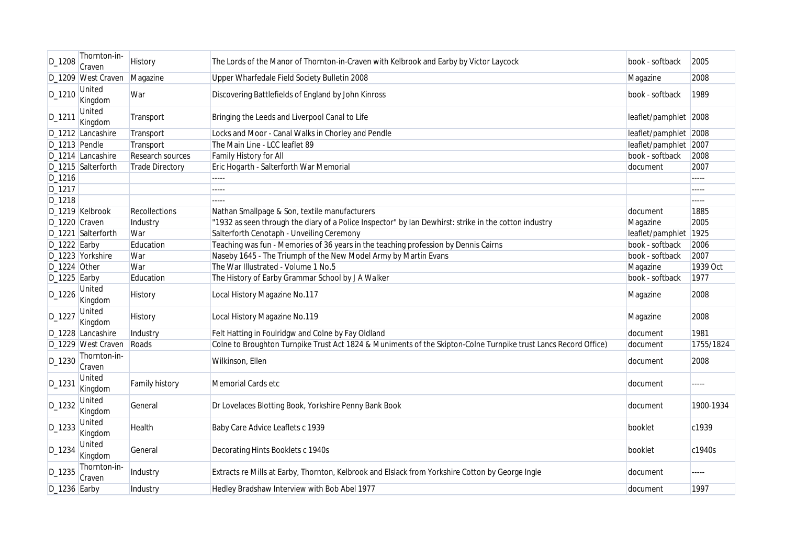| D_1208          | Thornton-in-<br>Craven   | History                | The Lords of the Manor of Thornton-in-Craven with Kelbrook and Earby by Victor Laycock                          | book - softback       | 2005      |
|-----------------|--------------------------|------------------------|-----------------------------------------------------------------------------------------------------------------|-----------------------|-----------|
|                 | D_1209 West Craven       | Magazine               | Upper Wharfedale Field Society Bulletin 2008                                                                    | Magazine              | 2008      |
| $D_1210$        | United<br>Kingdom        | War                    | Discovering Battlefields of England by John Kinross                                                             | book - softback       | 1989      |
| D_1211          | United<br>Kingdom        | Transport              | Bringing the Leeds and Liverpool Canal to Life                                                                  | leaflet/pamphlet 2008 |           |
|                 | D_1212 Lancashire        | Transport              | Locks and Moor - Canal Walks in Chorley and Pendle                                                              | leaflet/pamphlet 2008 |           |
| $D_1213$ Pendle |                          | Transport              | The Main Line - LCC leaflet 89                                                                                  | leaflet/pamphlet 2007 |           |
|                 | D_1214 Lancashire        | Research sources       | Family History for All                                                                                          | book - softback       | 2008      |
|                 | D_1215 Salterforth       | <b>Trade Directory</b> | Eric Hogarth - Salterforth War Memorial                                                                         | document              | 2007      |
| D_1216          |                          |                        | -----                                                                                                           |                       | -----     |
| D_1217          |                          |                        | -----                                                                                                           |                       | -----     |
| D_1218          |                          |                        | -----                                                                                                           |                       | -----     |
|                 | D_1219 Kelbrook          | Recollections          | Nathan Smallpage & Son, textile manufacturers                                                                   | document              | 1885      |
| D_1220 Craven   |                          | Industry               | "1932 as seen through the diary of a Police Inspector" by Ian Dewhirst: strike in the cotton industry           | Magazine              | 2005      |
|                 | D_1221 Salterforth       | War                    | Salterforth Cenotaph - Unveiling Ceremony                                                                       | leaflet/pamphlet 1925 |           |
| D_1222 Earby    |                          | Education              | Teaching was fun - Memories of 36 years in the teaching profession by Dennis Cairns                             | book - softback       | 2006      |
|                 | D_1223 Yorkshire         | War                    | Naseby 1645 - The Triumph of the New Model Army by Martin Evans                                                 | book - softback       | 2007      |
| $D_1224$ Other  |                          | War                    | The War Illustrated - Volume 1 No.5                                                                             | Magazine              | 1939 Oct  |
| $D_1225$ Earby  |                          | Education              | The History of Earby Grammar School by J A Walker                                                               | book - softback       | 1977      |
| $D_1226$        | United<br>Kingdom        | <b>History</b>         | Local History Magazine No.117                                                                                   | Magazine              | 2008      |
| D_1227          | United<br>Kingdom        | History                | Local History Magazine No.119                                                                                   | Magazine              | 2008      |
|                 | D_1228 Lancashire        | Industry               | Felt Hatting in Foulridgw and Colne by Fay Oldland                                                              | document              | 1981      |
|                 | D_1229 West Craven       | Roads                  | Colne to Broughton Turnpike Trust Act 1824 & Muniments of the Skipton-Colne Turnpike trust Lancs Record Office) | document              | 1755/1824 |
| D_1230          | Thornton-in-<br>Craven   |                        | Wilkinson, Ellen                                                                                                | document              | 2008      |
| D_1231          | United<br>Kingdom        | Family history         | Memorial Cards etc                                                                                              | document              | -----     |
| D_1232          | United<br>Kingdom        | General                | Dr Lovelaces Blotting Book, Yorkshire Penny Bank Book                                                           | document              | 1900-1934 |
| D_1233          | <b>United</b><br>Kingdom | Health                 | Baby Care Advice Leaflets c 1939                                                                                | booklet               | c1939     |
| D_1234          | <b>United</b><br>Kingdom | General                | Decorating Hints Booklets c 1940s                                                                               | booklet               | c1940s    |
| D_1235          | Thornton-in-<br>Craven   | Industry               | Extracts re Mills at Earby, Thornton, Kelbrook and Elslack from Yorkshire Cotton by George Ingle                | document              | -----     |
| D_1236 Earby    |                          | Industry               | Hedley Bradshaw Interview with Bob Abel 1977                                                                    | document              | 1997      |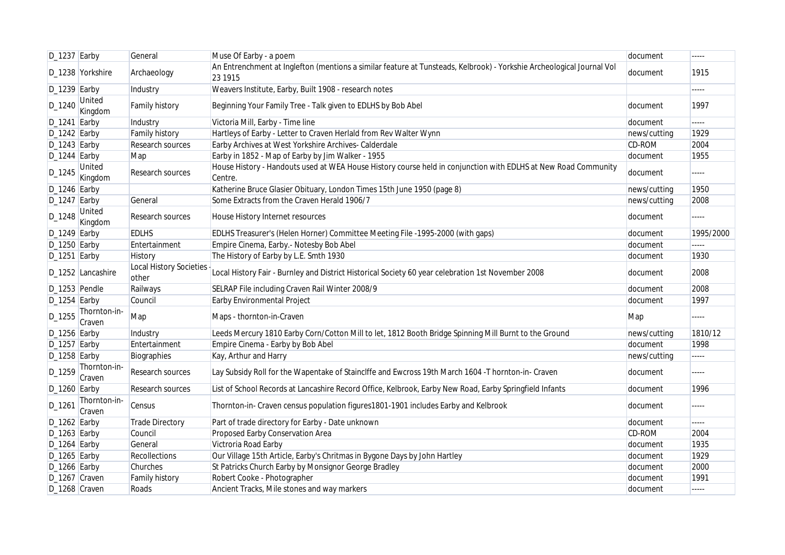| $D_1237$ Earby |                        | General                                 | Muse Of Earby - a poem                                                                                                           | document     | -----       |
|----------------|------------------------|-----------------------------------------|----------------------------------------------------------------------------------------------------------------------------------|--------------|-------------|
|                | D_1238 Yorkshire       | Archaeology                             | An Entrenchment at Inglefton (mentions a similar feature at Tunsteads, Kelbrook) - Yorkshie Archeological Journal Vol<br>23 1915 | document     | 1915        |
| $D_1239$ Earby |                        | Industry                                | Weavers Institute, Earby, Built 1908 - research notes                                                                            |              | -----       |
| D_1240         | United<br>Kingdom      | <b>Family history</b>                   | Beginning Your Family Tree - Talk given to EDLHS by Bob Abel                                                                     | document     | 1997        |
| $D_1241$ Earby |                        | Industry                                | Victoria Mill, Earby - Time line                                                                                                 | document     | -----       |
| $D_1242$ Earby |                        | <b>Family history</b>                   | Hartleys of Earby - Letter to Craven Herlald from Rev Walter Wynn                                                                | news/cutting | 1929        |
| $D_1243$ Earby |                        | Research sources                        | Earby Archives at West Yorkshire Archives- Calderdale                                                                            | CD-ROM       | 2004        |
| $D_1244$ Earby |                        | Map                                     | Earby in 1852 - Map of Earby by Jim Walker - 1955                                                                                | document     | 1955        |
| D_1245         | United<br>Kingdom      | Research sources                        | House History - Handouts used at WEA House History course held in conjunction with EDLHS at New Road Community<br>Centre.        | document     |             |
| $D_1246$ Earby |                        |                                         | Katherine Bruce Glasier Obituary, London Times 15th June 1950 (page 8)                                                           | news/cutting | 1950        |
| $D_1247$ Earby |                        | General                                 | Some Extracts from the Craven Herald 1906/7                                                                                      | news/cutting | 2008        |
| D_1248         | United<br>Kingdom      | Research sources                        | House History Internet resources                                                                                                 | document     | $- - - - -$ |
| $D_1249$ Earby |                        | <b>EDLHS</b>                            | EDLHS Treasurer's (Helen Horner) Committee Meeting File -1995-2000 (with gaps)                                                   | document     | 1995/2000   |
| D_1250 Earby   |                        | Entertainment                           | Empire Cinema, Earby.- Notesby Bob Abel                                                                                          | document     | -----       |
| $D_1251$ Earby |                        | History                                 | The History of Earby by L.E. Smth 1930                                                                                           | document     | 1930        |
|                | D_1252 Lancashire      | <b>Local History Societies</b><br>other | Local History Fair - Burnley and District Historical Society 60 year celebration 1st November 2008                               | document     | 2008        |
| D_1253 Pendle  |                        | Railways                                | SELRAP File including Craven Rail Winter 2008/9                                                                                  | document     | 2008        |
| $D_1254$ Earby |                        | Council                                 | Earby Environmental Project                                                                                                      | document     | 1997        |
| D_1255         | Thornton-in-<br>Craven | Map                                     | Maps - thornton-in-Craven                                                                                                        | Map          | -----       |
| D_1256 Earby   |                        | Industry                                | Leeds Mercury 1810 Earby Corn/Cotton Mill to let, 1812 Booth Bridge Spinning Mill Burnt to the Ground                            | news/cutting | 1810/12     |
| $D_1257$ Earby |                        | Entertainment                           | Empire Cinema - Earby by Bob Abel                                                                                                | document     | 1998        |
| $D_1258$ Earby |                        | Biographies                             | Kay, Arthur and Harry                                                                                                            | news/cutting | -----       |
| D_1259         | Thornton-in-<br>Craven | Research sources                        | Lay Subsidy Roll for the Wapentake of Stainclffe and Ewcross 19th March 1604 -T hornton-in- Craven                               | document     | $\cdots$    |
| $D_1260$ Earby |                        | Research sources                        | List of School Records at Lancashire Record Office, Kelbrook, Earby New Road, Earby Springfield Infants                          | document     | 1996        |
| $D_126'$       | Thornton-in-<br>Craven | Census                                  | Thornton-in- Craven census population figures1801-1901 includes Earby and Kelbrook                                               | document     | -----       |
| $D_1262$ Earby |                        | Trade Directory                         | Part of trade directory for Earby - Date unknown                                                                                 | document     | -----       |
| $D_1263$ Earby |                        | Council                                 | Proposed Earby Conservation Area                                                                                                 | CD-ROM       | 2004        |
| $D_1264$ Earby |                        | General                                 | Victroria Road Earby                                                                                                             | document     | 1935        |
| $D_1265$ Earby |                        | Recollections                           | Our Village 15th Article, Earby's Chritmas in Bygone Days by John Hartley                                                        | document     | 1929        |
| $D_1266$ Earby |                        | Churches                                | St Patricks Church Earby by Monsignor George Bradley                                                                             | document     | 2000        |
| D_1267 Craven  |                        | <b>Family history</b>                   | Robert Cooke - Photographer                                                                                                      | document     | 1991        |
| D_1268 Craven  |                        | Roads                                   | Ancient Tracks, Mile stones and way markers                                                                                      | document     |             |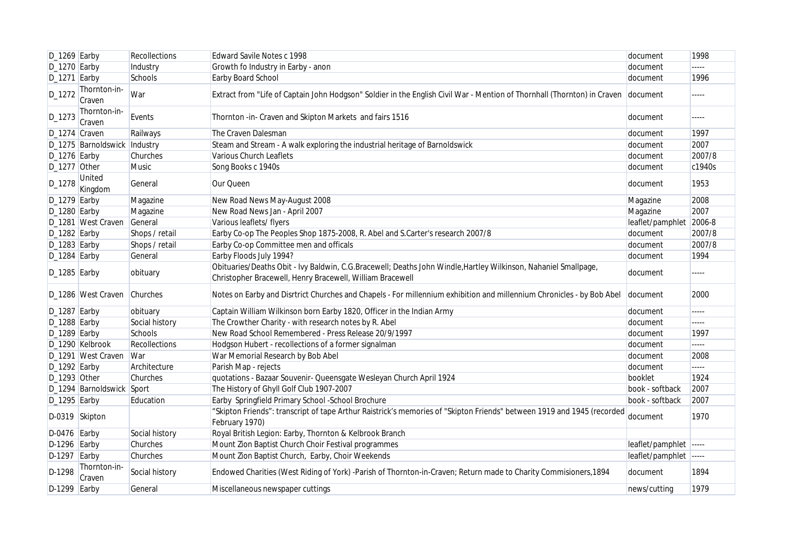| $D_1269$ Earby |                              | Recollections  | Edward Savile Notes c 1998                                                                                                                                                   | document               | 1998    |
|----------------|------------------------------|----------------|------------------------------------------------------------------------------------------------------------------------------------------------------------------------------|------------------------|---------|
| D_1270 Earby   |                              | Industry       | Growth fo Industry in Earby - anon                                                                                                                                           | document               | -----   |
| $D_1271$ Earby |                              | Schools        | Earby Board School                                                                                                                                                           | document               | 1996    |
| D_1272         | Thornton-in-<br>Craven       | War            | Extract from "Life of Captain John Hodgson" Soldier in the English Civil War - Mention of Thornhall (Thornton) in Craven document                                            |                        | -----   |
| D_1273         | Thornton-in-<br>Craven       | Events         | Thornton -in- Craven and Skipton Markets and fairs 1516                                                                                                                      | document               | -----   |
| D_1274 Craven  |                              | Railways       | The Craven Dalesman                                                                                                                                                          | document               | 1997    |
|                | D_1275 Barnoldswick Industry |                | Steam and Stream - A walk exploring the industrial heritage of Barnoldswick                                                                                                  | document               | 2007    |
| D_1276 Earby   |                              | Churches       | Various Church Leaflets                                                                                                                                                      | document               | 2007/8  |
| D_1277 Other   |                              | <b>Music</b>   | Song Books c 1940s                                                                                                                                                           | document               | c1940s  |
| D_1278         | United<br>Kingdom            | General        | Our Queen                                                                                                                                                                    | document               | 1953    |
| $D_1279$ Earby |                              | Magazine       | New Road News May-August 2008                                                                                                                                                | Magazine               | 2008    |
| $D_1280$ Earby |                              | Magazine       | New Road News Jan - April 2007                                                                                                                                               | Magazine               | 2007    |
|                | D_1281 West Craven           | General        | Various leaflets/ flyers                                                                                                                                                     | leaflet/pamphlet       | 2006-8  |
| $D_1282$ Earby |                              | Shops / retail | Earby Co-op The Peoples Shop 1875-2008, R. Abel and S.Carter's research 2007/8                                                                                               | document               | 2007/8  |
| D_1283 Earby   |                              | Shops / retail | Earby Co-op Committee men and officals                                                                                                                                       | document               | 2007/8  |
| D_1284 Earby   |                              | General        | Earby Floods July 1994?                                                                                                                                                      | document               | 1994    |
| $D_1285$ Earby |                              | obituary       | Obituaries/Deaths Obit - Ivy Baldwin, C.G.Bracewell; Deaths John Windle, Hartley Wilkinson, Nahaniel Smallpage,<br>Christopher Bracewell, Henry Bracewell, William Bracewell | document               | -----   |
|                | D_1286 West Craven           | Churches       | Notes on Earby and Disrtrict Churches and Chapels - For millennium exhibition and millennium Chronicles - by Bob Abel                                                        | document               | 2000    |
| $D_1287$ Earby |                              | obituary       | Captain William Wilkinson born Earby 1820, Officer in the Indian Army                                                                                                        | document               | -----   |
| D_1288 Earby   |                              | Social history | The Crowther Charity - with research notes by R. Abel                                                                                                                        | document               | -----   |
| D_1289 Earby   |                              | Schools        | New Road School Remembered - Press Release 20/9/1997                                                                                                                         | document               | 1997    |
|                | D_1290 Kelbrook              | Recollections  | Hodgson Hubert - recollections of a former signalman                                                                                                                         | document               |         |
|                | D_1291 West Craven           | <b>War</b>     | War Memorial Research by Bob Abel                                                                                                                                            | document               | 2008    |
| $D_1292$ Earby |                              | Architecture   | Parish Map - rejects                                                                                                                                                         | document               | <b></b> |
| D_1293 Other   |                              | Churches       | quotations - Bazaar Souvenir- Queensgate Wesleyan Church April 1924                                                                                                          | booklet                | 1924    |
|                | D_1294 Barnoldswick Sport    |                | The History of Ghyll Golf Club 1907-2007                                                                                                                                     | book - softback        | 2007    |
| $D_1295$ Earby |                              | Education      | Earby Springfield Primary School -School Brochure                                                                                                                            | book - softback        | 2007    |
|                | D-0319 Skipton               |                | "Skipton Friends": transcript of tape Arthur Raistrick's memories of "Skipton Friends" between 1919 and 1945 (recorded<br>February 1970)                                     | document               | 1970    |
| D-0476 Earby   |                              | Social history | Royal British Legion: Earby, Thornton & Kelbrook Branch                                                                                                                      |                        |         |
| D-1296 Earby   |                              | Churches       | Mount Zion Baptist Church Choir Festival programmes                                                                                                                          | leaflet/pamphlet ----- |         |
| $D-1297$ Earby |                              | Churches       | Mount Zion Baptist Church, Earby, Choir Weekends                                                                                                                             | leaflet/pamphlet ----- |         |
| D-1298         | Thornton-in-<br>Craven       | Social history | Endowed Charities (West Riding of York) -Parish of Thornton-in-Craven; Return made to Charity Commisioners, 1894                                                             | document               | 1894    |
| $D-1299$ Earby |                              | General        | Miscellaneous newspaper cuttings                                                                                                                                             | news/cutting           | 1979    |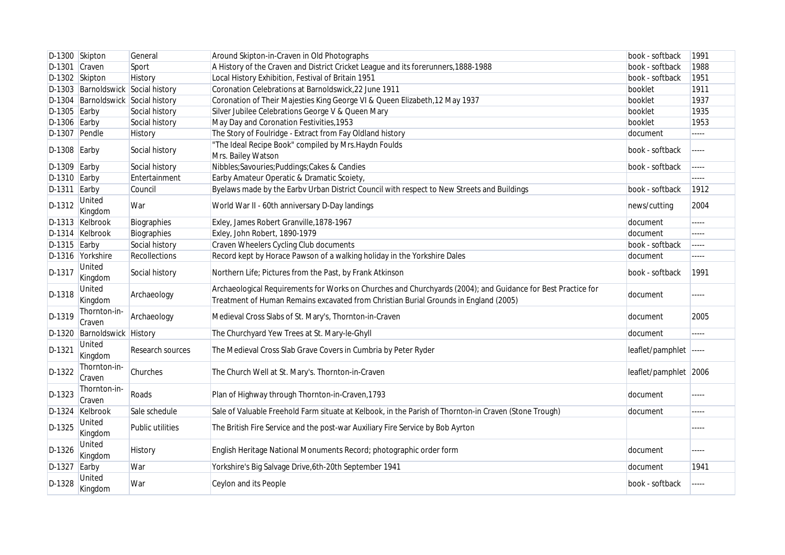|                | D-1300 Skipton                     | General          | Around Skipton-in-Craven in Old Photographs                                                                                                                                                          | book - softback       | 1991  |
|----------------|------------------------------------|------------------|------------------------------------------------------------------------------------------------------------------------------------------------------------------------------------------------------|-----------------------|-------|
| D-1301         | Craven                             | Sport            | A History of the Craven and District Cricket League and its forerunners, 1888-1988                                                                                                                   | book - softback       | 1988  |
| D-1302 Skipton |                                    | History          | Local History Exhibition, Festival of Britain 1951                                                                                                                                                   | book - softback       | 1951  |
|                | D-1303 Barnoldswick Social history |                  | Coronation Celebrations at Barnoldswick, 22 June 1911                                                                                                                                                | booklet               | 1911  |
|                | D-1304 Barnoldswick Social history |                  | Coronation of Their Majesties King George VI & Queen Elizabeth, 12 May 1937                                                                                                                          | booklet               | 1937  |
| $D-1305$ Earby |                                    | Social history   | Silver Jubilee Celebrations George V & Queen Mary                                                                                                                                                    | booklet               | 1935  |
| $D-1306$ Earby |                                    | Social history   | May Day and Coronation Festivities, 1953                                                                                                                                                             | booklet               | 1953  |
| D-1307 Pendle  |                                    | History          | The Story of Foulridge - Extract from Fay Oldland history                                                                                                                                            | document              | ----- |
| $D-1308$ Earby |                                    | Social history   | "The Ideal Recipe Book" compiled by Mrs. Haydn Foulds<br>Mrs. Bailey Watson                                                                                                                          | book - softback       | ----- |
| D-1309         | Earby                              | Social history   | Nibbles;Savouries;Puddings;Cakes & Candies                                                                                                                                                           | book - softback       | ----- |
| $D-1310$ Earby |                                    | Entertainment    | Earby Amateur Operatic & Dramatic Scoiety,                                                                                                                                                           |                       |       |
| $D-1311$ Earby |                                    | Council          | Byelaws made by the Earbv Urban District Council with respect to New Streets and Buildings                                                                                                           | book - softback       | 1912  |
| D-1312         | United<br>Kingdom                  | War              | World War II - 60th anniversary D-Day landings                                                                                                                                                       | news/cutting          | 2004  |
|                | D-1313 Kelbrook                    | Biographies      | Exley, James Robert Granville, 1878-1967                                                                                                                                                             | document              | ----- |
|                | D-1314 Kelbrook                    | Biographies      | Exley, John Robert, 1890-1979                                                                                                                                                                        | document              | ----- |
| D-1315 Earby   |                                    | Social history   | Craven Wheelers Cycling Club documents                                                                                                                                                               | book - softback       | ----- |
|                | D-1316 Yorkshire                   | Recollections    | Record kept by Horace Pawson of a walking holiday in the Yorkshire Dales                                                                                                                             | document              | ----- |
| D-1317         | United<br>Kingdom                  | Social history   | Northern Life; Pictures from the Past, by Frank Atkinson                                                                                                                                             | book - softback       | 1991  |
| D-1318         | <b>United</b><br>Kingdom           | Archaeology      | Archaeological Requirements for Works on Churches and Churchyards (2004); and Guidance for Best Practice for<br>Treatment of Human Remains excavated from Christian Burial Grounds in England (2005) | document              | ----- |
| D-1319         | Thornton-in-<br>Craven             | Archaeology      | Medieval Cross Slabs of St. Mary's, Thornton-in-Craven                                                                                                                                               | document              | 2005  |
| D-1320         | Barnoldswick History               |                  | The Churchyard Yew Trees at St. Mary-le-Ghyll                                                                                                                                                        | document              | ----- |
| D-1321         | United<br>Kingdom                  | Research sources | The Medieval Cross Slab Grave Covers in Cumbria by Peter Ryder                                                                                                                                       | leaflet/pamphlet      | ----- |
| D-1322         | Thornton-in-<br>Craven             | Churches         | The Church Well at St. Mary's. Thornton-in-Craven                                                                                                                                                    | leaflet/pamphlet 2006 |       |
| D-1323         | Thornton-in-<br>Craven             | Roads            | Plan of Highway through Thornton-in-Craven, 1793                                                                                                                                                     | document              | ----- |
|                | D-1324 Kelbrook                    | Sale schedule    | Sale of Valuable Freehold Farm situate at Kelbook, in the Parish of Thornton-in Craven (Stone Trough)                                                                                                | document              | ----- |
| D-1325         | United<br>Kingdom                  | Public utilities | The British Fire Service and the post-war Auxiliary Fire Service by Bob Ayrton                                                                                                                       |                       | ----- |
| D-1326         | <b>United</b><br>Kingdom           | History          | English Heritage National Monuments Record; photographic order form                                                                                                                                  | document              | ----- |
| D-1327         | Earby                              | War              | Yorkshire's Big Salvage Drive, 6th-20th September 1941                                                                                                                                               | document              | 1941  |
| D-1328         | United<br>Kingdom                  | War              | Ceylon and its People                                                                                                                                                                                | book - softback       | ----- |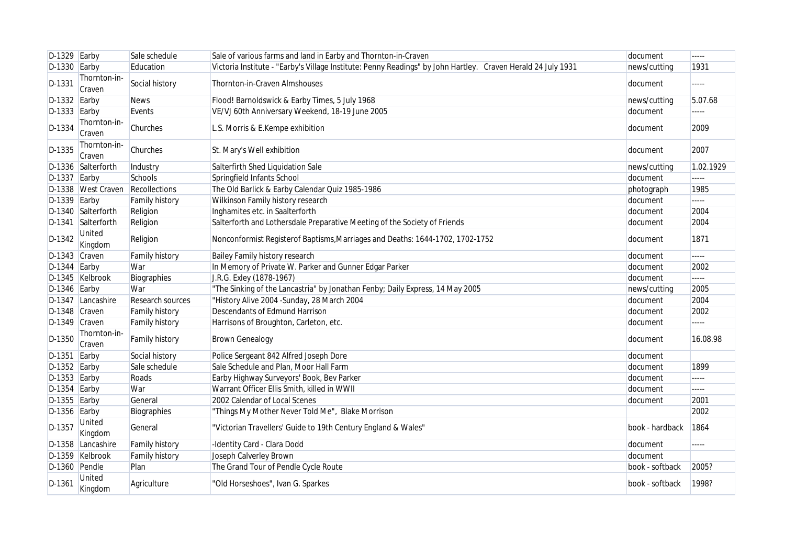| $D-1329$ Earby |                          | Sale schedule         | Sale of various farms and land in Earby and Thornton-in-Craven                                               | document        | -----     |
|----------------|--------------------------|-----------------------|--------------------------------------------------------------------------------------------------------------|-----------------|-----------|
| $D-1330$ Earby |                          | Education             | Victoria Institute - "Earby's Village Institute: Penny Readings" by John Hartley. Craven Herald 24 July 1931 | news/cutting    | 1931      |
| D-1331         | Thornton-in-<br>Craven   | Social history        | Thornton-in-Craven Almshouses                                                                                | document        | -----     |
| $D-1332$ Earby |                          | <b>News</b>           | Flood! Barnoldswick & Earby Times, 5 July 1968                                                               | news/cutting    | 5.07.68   |
| $D-1333$ Earby |                          | Events                | VE/VJ 60th Anniversary Weekend, 18-19 June 2005                                                              | document        | -----     |
| D-1334         | Thornton-in-<br>Craven   | Churches              | L.S. Morris & E.Kempe exhibition                                                                             | document        | 2009      |
| D-1335         | Thornton-in-<br>Craven   | Churches              | St. Mary's Well exhibition                                                                                   | document        | 2007      |
|                | D-1336 Salterforth       | Industry              | Salterfirth Shed Liquidation Sale                                                                            | news/cutting    | 1.02.1929 |
| D-1337         | Earby                    | Schools               | Springfield Infants School                                                                                   | document        |           |
|                | D-1338 West Craven       | Recollections         | The Old Barlick & Earby Calendar Quiz 1985-1986                                                              | photograph      | 1985      |
| $D-1339$ Earby |                          | Family history        | Wilkinson Family history research                                                                            | document        | -----     |
|                | D-1340 Salterforth       | Religion              | Inghamites etc. in Saalterforth                                                                              | document        | 2004      |
|                | D-1341 Salterforth       | Religion              | Salterforth and Lothersdale Preparative Meeting of the Society of Friends                                    | document        | 2004      |
| D-1342         | <b>United</b><br>Kingdom | Religion              | Nonconformist Registerof Baptisms, Marriages and Deaths: 1644-1702, 1702-1752                                | document        | 1871      |
| D-1343 Craven  |                          | Family history        | Bailey Family history research                                                                               | document        |           |
| D-1344         | Earby                    | War                   | In Memory of Private W. Parker and Gunner Edgar Parker                                                       | document        | 2002      |
|                | D-1345 Kelbrook          | Biographies           | J.R.G. Exley (1878-1967)                                                                                     | document        |           |
| $D-1346$ Earby |                          | War                   | "The Sinking of the Lancastria" by Jonathan Fenby; Daily Express, 14 May 2005                                | news/cutting    | 2005      |
| D-1347         | Lancashire               | Research sources      | "History Alive 2004 - Sunday, 28 March 2004                                                                  | document        | 2004      |
| D-1348 Craven  |                          | Family history        | <b>Descendants of Edmund Harrison</b>                                                                        | document        | 2002      |
| D-1349 Craven  |                          | Family history        | Harrisons of Broughton, Carleton, etc.                                                                       | document        | -----     |
| D-1350         | Thornton-in-<br>Craven   | <b>Family history</b> | <b>Brown Genealogy</b>                                                                                       | document        | 16.08.98  |
| D-1351         | Earby                    | Social history        | Police Sergeant 842 Alfred Joseph Dore                                                                       | document        |           |
| $D-1352$ Earby |                          | Sale schedule         | Sale Schedule and Plan, Moor Hall Farm                                                                       | document        | 1899      |
| $D-1353$ Earby |                          | Roads                 | Earby Highway Surveyors' Book, Bev Parker                                                                    | document        | -----     |
| $D-1354$ Earby |                          | War                   | Warrant Officer Ellis Smith, killed in WWII                                                                  | document        | -----     |
| $D-1355$ Earby |                          | General               | 2002 Calendar of Local Scenes                                                                                | document        | 2001      |
| $D-1356$ Earby |                          | Biographies           | "Things My Mother Never Told Me", Blake Morrison                                                             |                 | 2002      |
| D-1357         | <b>United</b><br>Kingdom | General               | "Victorian Travellers' Guide to 19th Century England & Wales"                                                | book - hardback | 1864      |
|                | D-1358 Lancashire        | <b>Family history</b> | -Identity Card - Clara Dodd                                                                                  | document        | -----     |
|                | D-1359 Kelbrook          | Family history        | Joseph Calverley Brown                                                                                       | document        |           |
| D-1360 Pendle  |                          | Plan                  | The Grand Tour of Pendle Cycle Route                                                                         | book - softback | 2005?     |
| D-1361         | United<br>Kingdom        | Agriculture           | "Old Horseshoes", Ivan G. Sparkes                                                                            | book - softback | 1998?     |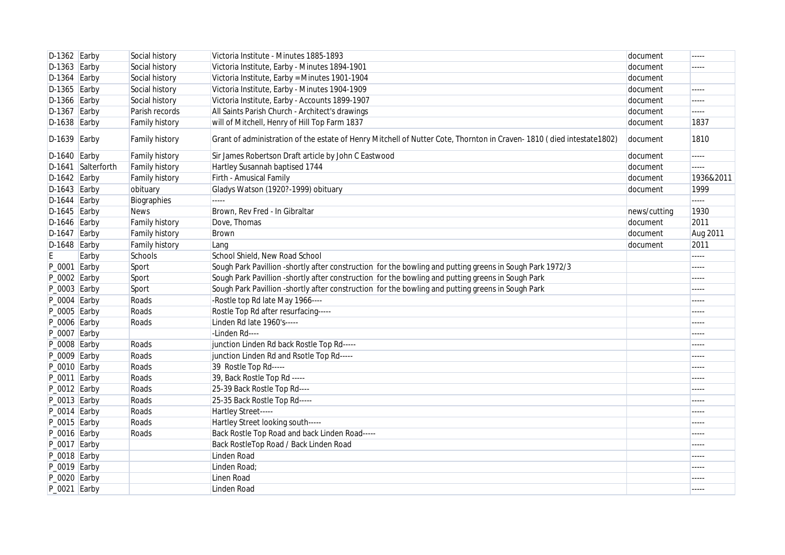| $D-1362$ Earby   |                    | Social history        | Victoria Institute - Minutes 1885-1893                                                                               | document     | -----     |
|------------------|--------------------|-----------------------|----------------------------------------------------------------------------------------------------------------------|--------------|-----------|
| $D-1363$ Earby   |                    | Social history        | Victoria Institute, Earby - Minutes 1894-1901                                                                        | document     | -----     |
| D-1364           | Earby              | Social history        | Victoria Institute, Earby = Minutes 1901-1904                                                                        | document     |           |
| D-1365           | Earby              | Social history        | Victoria Institute, Earby - Minutes 1904-1909                                                                        | document     | -----     |
| $D-1366$ Earby   |                    | Social history        | Victoria Institute, Earby - Accounts 1899-1907                                                                       | document     | -----     |
| $D-1367$ Earby   |                    | Parish records        | All Saints Parish Church - Architect's drawings                                                                      | document     | -----     |
| $D-1638$ Earby   |                    | <b>Family history</b> | will of Mitchell, Henry of Hill Top Farm 1837                                                                        | document     | 1837      |
| $D-1639$ Earby   |                    | <b>Family history</b> | Grant of administration of the estate of Henry Mitchell of Nutter Cote, Thornton in Craven-1810 (died intestate1802) | document     | 1810      |
| $D-1640$ Earby   |                    | Family history        | Sir James Robertson Draft article by John C Eastwood                                                                 | document     | -----     |
|                  | D-1641 Salterforth | Family history        | Hartley Susannah baptised 1744                                                                                       | document     | -----     |
| $D-1642$ Earby   |                    | Family history        | Firth - Amusical Family                                                                                              | document     | 1936&2011 |
| $D-1643$ Earby   |                    | obituary              | Gladys Watson (1920?-1999) obituary                                                                                  | document     | 1999      |
| $D-1644$ Earby   |                    | Biographies           |                                                                                                                      |              | -----     |
| $D-1645$ Earby   |                    | <b>News</b>           | Brown, Rev Fred - In Gibraltar                                                                                       | news/cutting | 1930      |
| $D-1646$ Earby   |                    | Family history        | Dove, Thomas                                                                                                         | document     | 2011      |
| $D-1647$ Earby   |                    | Family history        | Brown                                                                                                                | document     | Aug 2011  |
| $D-1648$ Earby   |                    | Family history        | Lang                                                                                                                 | document     | 2011      |
| E                | Earby              | Schools               | School Shield, New Road School                                                                                       |              | -----     |
| $P_0$ 0001 Earby |                    | Sport                 | Sough Park Pavillion -shortly after construction for the bowling and putting greens in Sough Park 1972/3             |              | -----     |
| $P_0002$ Earby   |                    | Sport                 | Sough Park Pavillion -shortly after construction for the bowling and putting greens in Sough Park                    |              | -----     |
| $P_0$ 0003 Earby |                    | Sport                 | Sough Park Pavillion -shortly after construction for the bowling and putting greens in Sough Park                    |              | -----     |
| $P_0004$ Earby   |                    | Roads                 | -Rostle top Rd late May 1966----                                                                                     |              | -----     |
| P_0005 Earby     |                    | Roads                 | Rostle Top Rd after resurfacing-----                                                                                 |              | -----     |
| P_0006 Earby     |                    | Roads                 | Linden Rd late 1960's-----                                                                                           |              | -----     |
| P_0007 Earby     |                    |                       | -Linden Rd----                                                                                                       |              | -----     |
| $P_0008$ Earby   |                    | Roads                 | junction Linden Rd back Rostle Top Rd-----                                                                           |              | -----     |
| P_0009 Earby     |                    | Roads                 | junction Linden Rd and Rsotle Top Rd-----                                                                            |              | -----     |
| $P_0010$ Earby   |                    | Roads                 | 39 Rostle Top Rd-----                                                                                                |              | -----     |
| $P_0$ 0011 Earby |                    | Roads                 | 39, Back Rostle Top Rd -----                                                                                         |              | -----     |
| $P_0012$ Earby   |                    | Roads                 | 25-39 Back Rostle Top Rd----                                                                                         |              | -----     |
| $P_0013$ Earby   |                    | Roads                 | 25-35 Back Rostle Top Rd-----                                                                                        |              | -----     |
| $P_0014$ Earby   |                    | Roads                 | Hartley Street-----                                                                                                  |              | -----     |
| $P_0015$ Earby   |                    | Roads                 | Hartley Street looking south-----                                                                                    |              | -----     |
| $P_0016$ Earby   |                    | Roads                 | Back Rostle Top Road and back Linden Road-----                                                                       |              | -----     |
| $P_0017$ Earby   |                    |                       | Back RostleTop Road / Back Linden Road                                                                               |              | -----     |
| $P_0018$ Earby   |                    |                       | Linden Road                                                                                                          |              | -----     |
| $P_0019$ Earby   |                    |                       | Linden Road;                                                                                                         |              | -----     |
| P_0020 Earby     |                    |                       | Linen Road                                                                                                           |              | -----     |
| $P_0021$ Earby   |                    |                       | Linden Road                                                                                                          |              | -----     |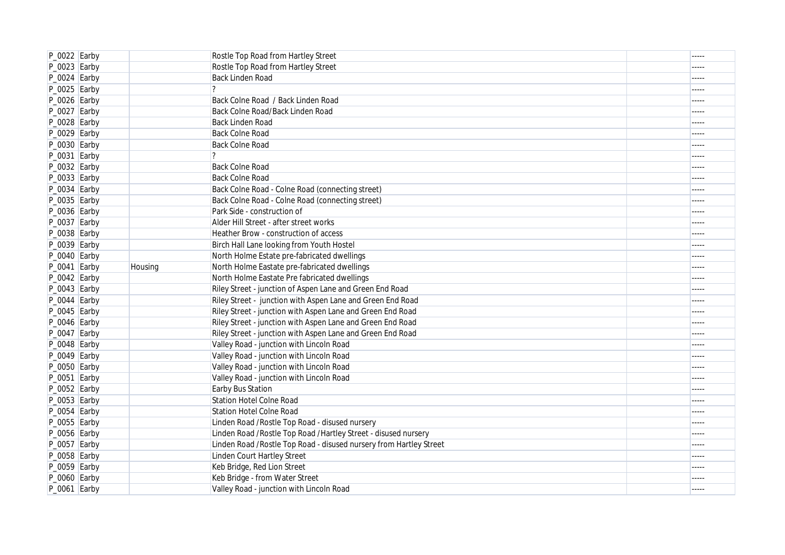| P_0022 Earby   |         | Rostle Top Road from Hartley Street                                 | $- - - - -$ |
|----------------|---------|---------------------------------------------------------------------|-------------|
| P_0023 Earby   |         | Rostle Top Road from Hartley Street                                 | -----       |
| P_0024 Earby   |         | <b>Back Linden Road</b>                                             | -----       |
| P_0025 Earby   |         | $\overline{?}$                                                      | -----       |
| P_0026 Earby   |         | Back Colne Road / Back Linden Road                                  | -----       |
| P_0027 Earby   |         | Back Colne Road/Back Linden Road                                    | -----       |
| P_0028 Earby   |         | <b>Back Linden Road</b>                                             | -----       |
| $P_0029$ Earby |         | <b>Back Colne Road</b>                                              | -----       |
| P_0030 Earby   |         | <b>Back Colne Road</b>                                              | -----       |
| P_0031 Earby   |         | $\overline{?}$                                                      | -----       |
| P_0032 Earby   |         | <b>Back Colne Road</b>                                              | -----       |
| P_0033 Earby   |         | <b>Back Colne Road</b>                                              | -----       |
| P_0034 Earby   |         | Back Colne Road - Colne Road (connecting street)                    |             |
| P_0035 Earby   |         | Back Colne Road - Colne Road (connecting street)                    | -----       |
| P_0036 Earby   |         | Park Side - construction of                                         | -----       |
| P_0037 Earby   |         | Alder Hill Street - after street works                              | -----       |
| P_0038 Earby   |         | Heather Brow - construction of access                               | -----       |
| P_0039 Earby   |         | Birch Hall Lane looking from Youth Hostel                           | -----       |
| P_0040 Earby   |         | North Holme Estate pre-fabricated dwellings                         | -----       |
| $P_0041$ Earby | Housing | North Holme Eastate pre-fabricated dwellings                        | -----       |
| $P_0042$ Earby |         | North Holme Eastate Pre fabricated dwellings                        | -----       |
| $P_0043$ Earby |         | Riley Street - junction of Aspen Lane and Green End Road            | -----       |
| $P_0044$ Earby |         | Riley Street - junction with Aspen Lane and Green End Road          | -----       |
| P_0045 Earby   |         | Riley Street - junction with Aspen Lane and Green End Road          | -----       |
| P_0046 Earby   |         | Riley Street - junction with Aspen Lane and Green End Road          | $- - - - -$ |
| $P_0047$ Earby |         | Riley Street - junction with Aspen Lane and Green End Road          | -----       |
| P_0048 Earby   |         | Valley Road - junction with Lincoln Road                            | -----       |
| $P_0049$ Earby |         | Valley Road - junction with Lincoln Road                            | -----       |
| P_0050 Earby   |         | Valley Road - junction with Lincoln Road                            | -----       |
| P_0051 Earby   |         | Valley Road - junction with Lincoln Road                            | -----       |
| P_0052 Earby   |         | Earby Bus Station                                                   | -----       |
| P_0053 Earby   |         | <b>Station Hotel Colne Road</b>                                     | -----       |
| P_0054 Earby   |         | <b>Station Hotel Colne Road</b>                                     | -----       |
| P_0055 Earby   |         | Linden Road / Rostle Top Road - disused nursery                     | -----       |
| P_0056 Earby   |         | Linden Road / Rostle Top Road / Hartley Street - disused nursery    | -----       |
| P_0057 Earby   |         | Linden Road / Rostle Top Road - disused nursery from Hartley Street | -----       |
| P_0058 Earby   |         | Linden Court Hartley Street                                         | -----       |
| P_0059 Earby   |         | Keb Bridge, Red Lion Street                                         | -----       |
| P_0060 Earby   |         | Keb Bridge - from Water Street                                      | -----       |
| P_0061 Earby   |         | Valley Road - junction with Lincoln Road                            | $1 - 1 - 1$ |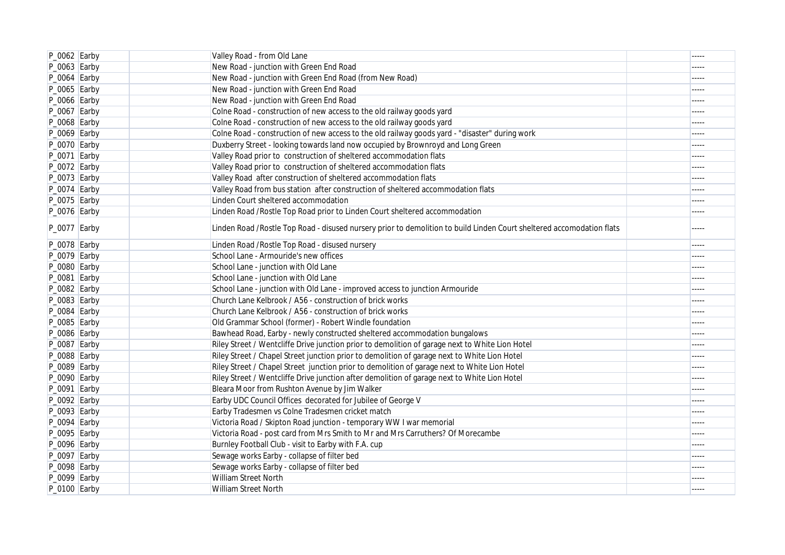| $P_0062$ Earby   | Valley Road - from Old Lane                                                                                           | $- - - - -$ |
|------------------|-----------------------------------------------------------------------------------------------------------------------|-------------|
| $P_0063$ Earby   | New Road - junction with Green End Road                                                                               | -----       |
| $P_0064$ Earby   | New Road - junction with Green End Road (from New Road)                                                               | -----       |
| $P_0065$ Earby   | New Road - junction with Green End Road                                                                               | -----       |
| $P_0066$ Earby   | New Road - junction with Green End Road                                                                               | -----       |
| $P_0067$ Earby   | Colne Road - construction of new access to the old railway goods yard                                                 | -----       |
| $P_0068$ Earby   | Colne Road - construction of new access to the old railway goods yard                                                 | -----       |
| $P_0069$ Earby   | Colne Road - construction of new access to the old railway goods yard - "disaster" during work                        | -----       |
| $P_0070$ Earby   | Duxberry Street - looking towards land now occupied by Brownroyd and Long Green                                       | -----       |
| $P_0071$ Earby   | Valley Road prior to construction of sheltered accommodation flats                                                    | -----       |
| $P_0072$ Earby   | Valley Road prior to construction of sheltered accommodation flats                                                    | -----       |
| $P_0073$ Earby   | Valley Road after construction of sheltered accommodation flats                                                       | -----       |
| $P_0074$ Earby   | Valley Road from bus station after construction of sheltered accommodation flats                                      | -----       |
| $P_0$ 0075 Earby | Linden Court sheltered accommodation                                                                                  |             |
| $P_0076$ Earby   | Linden Road / Rostle Top Road prior to Linden Court sheltered accommodation                                           | -----       |
| $P_0077$ Earby   | Linden Road /Rostle Top Road - disused nursery prior to demolition to build Linden Court sheltered accomodation flats | -----       |
| $P_0078$ Earby   | Linden Road / Rostle Top Road - disused nursery                                                                       | -----       |
| $P_0079$ Earby   | School Lane - Armouride's new offices                                                                                 | -----       |
| $P_0080$ Earby   | School Lane - junction with Old Lane                                                                                  |             |
| $P_0081$ Earby   | School Lane - junction with Old Lane                                                                                  | -----       |
| $P_0082$ Earby   | School Lane - junction with Old Lane - improved access to junction Armouride                                          | -----       |
| $P_0083$ Earby   | Church Lane Kelbrook / A56 - construction of brick works                                                              | -----       |
| $P_0084$ Earby   | Church Lane Kelbrook / A56 - construction of brick works                                                              | -----       |
| $P_0085$ Earby   | Old Grammar School (former) - Robert Windle foundation                                                                | -----       |
| $P_0086$ Earby   | Bawhead Road, Earby - newly constructed sheltered accommodation bungalows                                             | $- - - - -$ |
| $P_0087$ Earby   | Riley Street / Wentcliffe Drive junction prior to demolition of garage next to White Lion Hotel                       | -----       |
| $P_0088$ Earby   | Riley Street / Chapel Street junction prior to demolition of garage next to White Lion Hotel                          | -----       |
| $P_0089$ Earby   | Riley Street / Chapel Street junction prior to demolition of garage next to White Lion Hotel                          | -----       |
| $P_0090$ Earby   | Riley Street / Wentcliffe Drive junction after demolition of garage next to White Lion Hotel                          | -----       |
| $P_0$ 0091 Earby | Bleara Moor from Rushton Avenue by Jim Walker                                                                         | -----       |
| $P_0092$ Earby   | Earby UDC Council Offices decorated for Jubilee of George V                                                           | -----       |
| P_0093 Earby     | Earby Tradesmen vs Colne Tradesmen cricket match                                                                      | -----       |
| $P_0094$ Earby   | Victoria Road / Skipton Road junction - temporary WW I war memorial                                                   | -----       |
| $P_0$ 0095 Earby | Victoria Road - post card from Mrs Smith to Mr and Mrs Carruthers? Of Morecambe                                       | -----       |
| $P_0096$ Earby   | Burnley Football Club - visit to Earby with F.A. cup                                                                  | -----       |
| $P_0097$ Earby   | Sewage works Earby - collapse of filter bed                                                                           |             |
| P_0098 Earby     | Sewage works Earby - collapse of filter bed                                                                           | -----       |
| $P_0099$ Earby   | William Street North                                                                                                  | -----       |
| P_0100 Earby     | William Street North                                                                                                  |             |